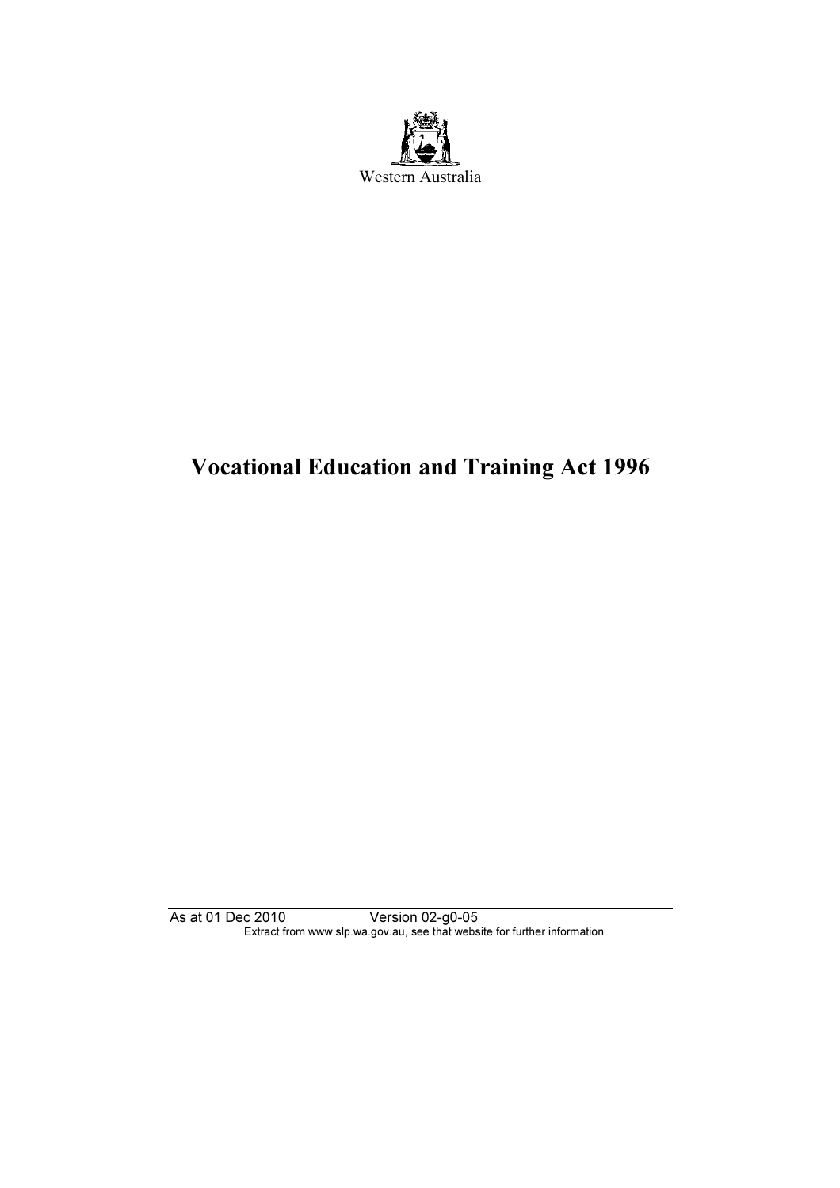

# Vocational Education and Training Act 1996

As at 01 Dec 2010 Version 02-g0-05 Extract from www.slp.wa.gov.au, see that website for further information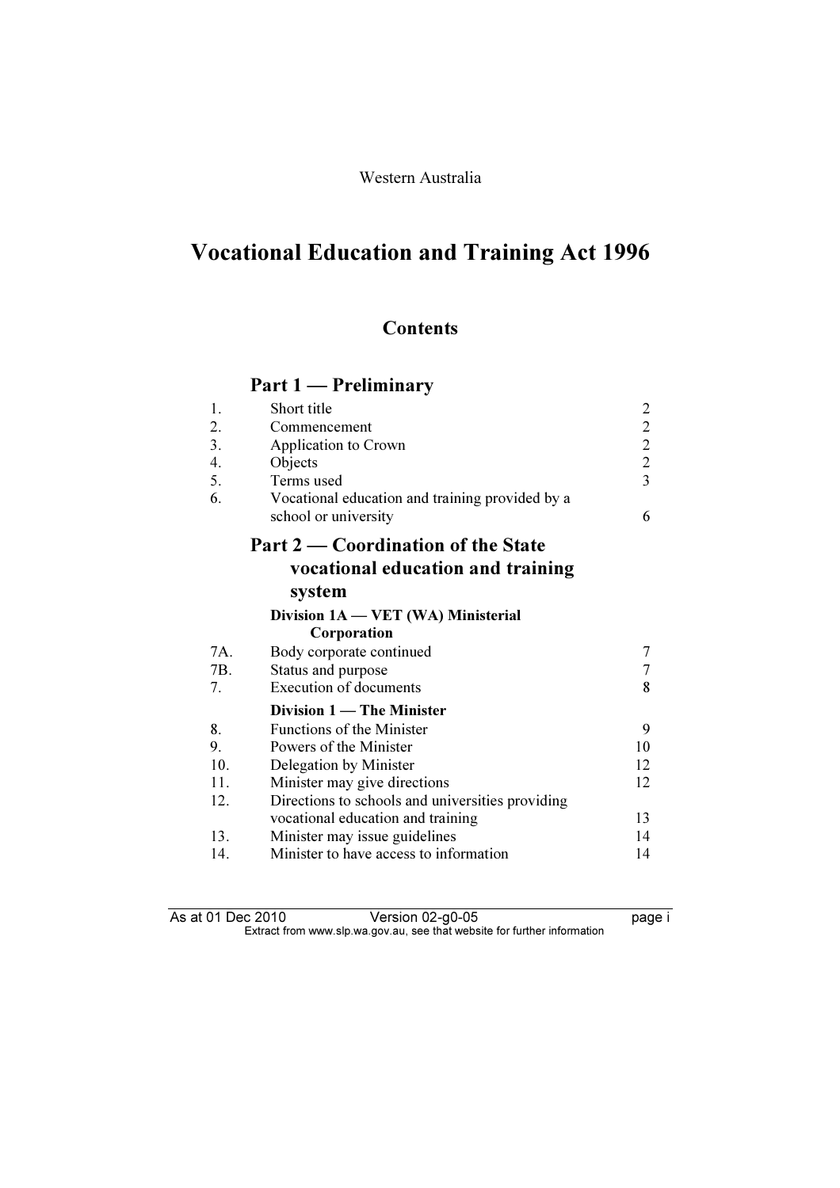## Western Australia

# Vocational Education and Training Act 1996

## **Contents**

# Part 1 — Preliminary

| 1.     | Short title                                      | $\overline{2}$ |
|--------|--------------------------------------------------|----------------|
| 2.     | Commencement                                     | $\overline{2}$ |
| 3.     | Application to Crown                             | $\overline{2}$ |
| 4.     | Objects                                          | $\overline{2}$ |
| 5.     | Terms used                                       | $\overline{3}$ |
| 6.     | Vocational education and training provided by a  |                |
|        | school or university                             | 6              |
|        | Part 2 — Coordination of the State               |                |
|        | vocational education and training                |                |
|        | system                                           |                |
|        | Division 1A - VET (WA) Ministerial               |                |
|        | Corporation                                      |                |
| $7A$ . | Body corporate continued                         | 7              |
| 7B.    | Status and purpose                               | 7              |
| 7.     | <b>Execution of documents</b>                    | 8              |
|        | Division 1 - The Minister                        |                |
| 8.     | Functions of the Minister                        | 9              |
| 9.     | Powers of the Minister                           | 10             |
| 10.    | Delegation by Minister                           | 12             |
| 11.    | Minister may give directions                     | 12             |
| 12.    | Directions to schools and universities providing |                |
|        | vocational education and training                | 13             |
| 13.    | Minister may issue guidelines                    | 14             |
| 14.    | Minister to have access to information           | 14             |

| As at 01 Dec 2010 | Version 02-g0-05                                                         | page i |
|-------------------|--------------------------------------------------------------------------|--------|
|                   | Extract from www.slp.wa.gov.au, see that website for further information |        |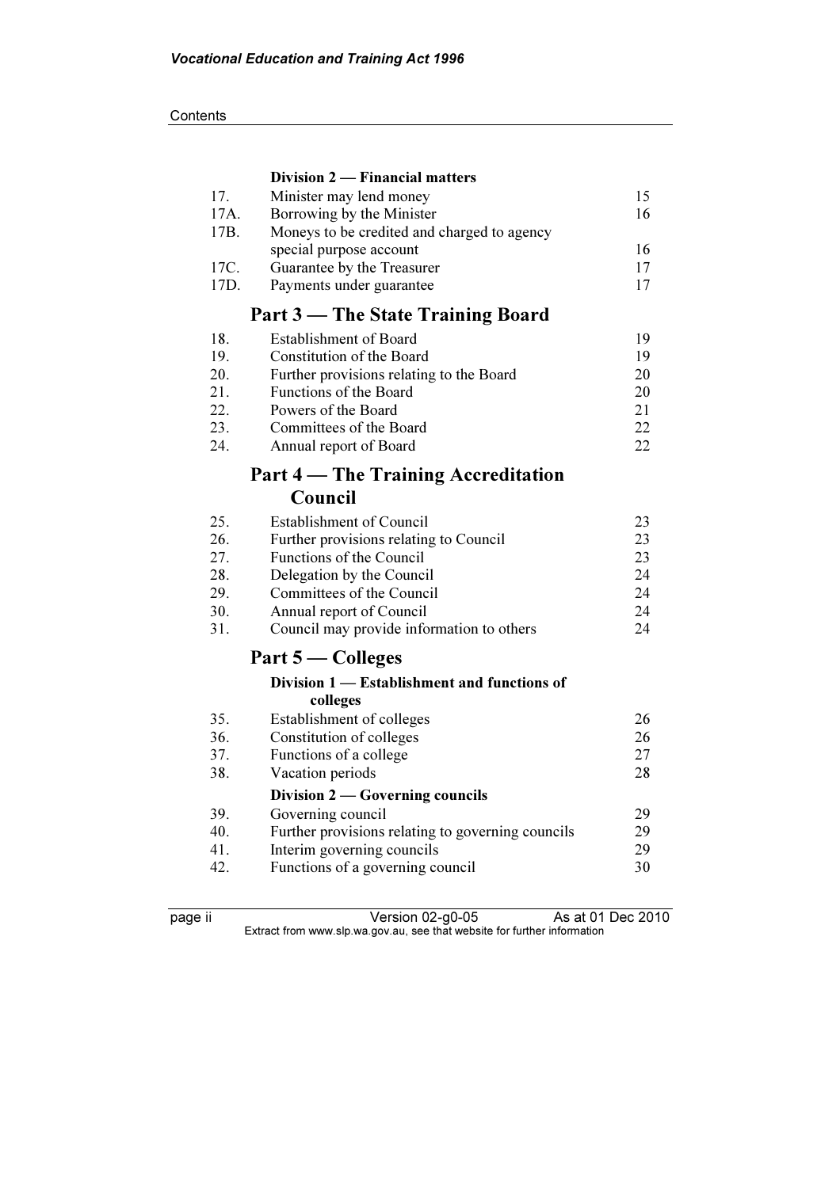#### **Contents**

|      | Division 2 — Financial matters                    |    |
|------|---------------------------------------------------|----|
| 17.  | Minister may lend money                           | 15 |
| 17A. | Borrowing by the Minister                         | 16 |
| 17B. | Moneys to be credited and charged to agency       |    |
|      | special purpose account                           | 16 |
| 17C. | Guarantee by the Treasurer                        | 17 |
| 17D. | Payments under guarantee                          | 17 |
|      | Part 3 — The State Training Board                 |    |
| 18.  | <b>Establishment of Board</b>                     | 19 |
| 19.  | Constitution of the Board                         | 19 |
| 20.  | Further provisions relating to the Board          | 20 |
| 21.  | Functions of the Board                            | 20 |
| 22.  | Powers of the Board                               | 21 |
| 23.  | Committees of the Board                           | 22 |
| 24.  | Annual report of Board                            | 22 |
|      | Part 4 – The Training Accreditation               |    |
|      | Council                                           |    |
| 25.  | <b>Establishment of Council</b>                   | 23 |
| 26.  | Further provisions relating to Council            | 23 |
| 27.  | Functions of the Council                          | 23 |
| 28.  | Delegation by the Council                         | 24 |
| 29.  | Committees of the Council                         | 24 |
| 30.  | Annual report of Council                          | 24 |
| 31.  | Council may provide information to others         | 24 |
|      | Part 5 — Colleges                                 |    |
|      | Division 1 - Establishment and functions of       |    |
|      | colleges                                          |    |
| 35.  | Establishment of colleges                         | 26 |
| 36.  | Constitution of colleges                          | 26 |
| 37.  | Functions of a college                            | 27 |
| 38.  | Vacation periods                                  | 28 |
|      | Division 2 — Governing councils                   |    |
| 39.  | Governing council                                 | 29 |
| 40.  | Further provisions relating to governing councils | 29 |
| 41.  | Interim governing councils                        | 29 |
| 42.  | Functions of a governing council                  | 30 |
|      |                                                   |    |

page ii Version 02-g0-05 As at 01 Dec 2010  $\mathbf{F}$  from which was the set that we besite for further information  $\mathbf{F}$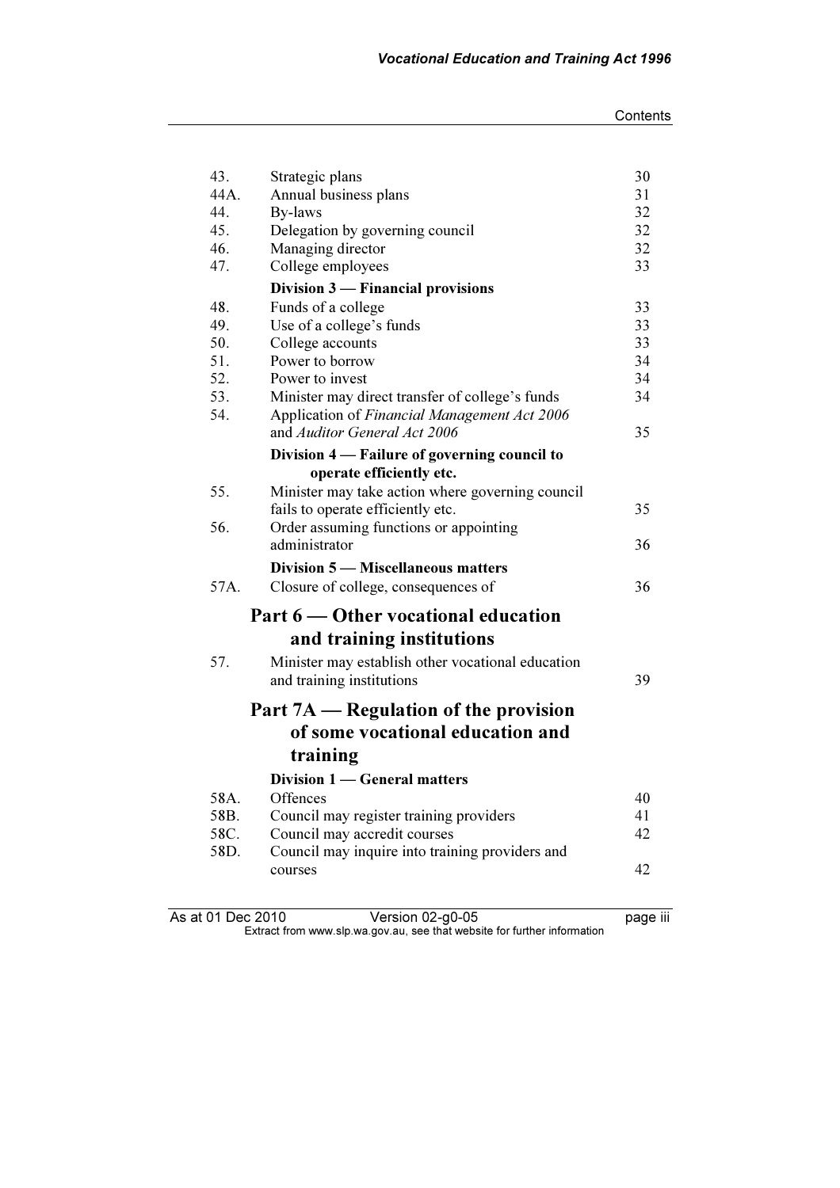| 43.  | Strategic plans                                   | 30 |
|------|---------------------------------------------------|----|
| 44A. | Annual business plans                             | 31 |
| 44.  | By-laws                                           | 32 |
| 45.  | Delegation by governing council                   | 32 |
| 46.  | Managing director                                 | 32 |
| 47.  | College employees                                 | 33 |
|      | Division 3 — Financial provisions                 |    |
| 48.  | Funds of a college                                | 33 |
| 49.  | Use of a college's funds                          | 33 |
| 50.  | College accounts                                  | 33 |
| 51.  | Power to borrow                                   | 34 |
| 52.  | Power to invest                                   | 34 |
| 53.  | Minister may direct transfer of college's funds   | 34 |
| 54.  | Application of Financial Management Act 2006      |    |
|      | and Auditor General Act 2006                      | 35 |
|      | Division 4 - Failure of governing council to      |    |
|      | operate efficiently etc.                          |    |
| 55.  | Minister may take action where governing council  |    |
|      | fails to operate efficiently etc.                 | 35 |
| 56.  | Order assuming functions or appointing            |    |
|      | administrator                                     | 36 |
|      | <b>Division 5 – Miscellaneous matters</b>         |    |
| 57A. | Closure of college, consequences of               | 36 |
|      | Part 6 — Other vocational education               |    |
|      |                                                   |    |
|      | and training institutions                         |    |
| 57.  | Minister may establish other vocational education |    |
|      | and training institutions                         | 39 |
|      | Part $7A$ — Regulation of the provision           |    |
|      | of some vocational education and                  |    |
|      | training                                          |    |
|      | Division 1 — General matters                      |    |
| 58A. | Offences                                          | 40 |
| 58B. | Council may register training providers           | 41 |
| 58C. | Council may accredit courses                      | 42 |
| 58D. | Council may inquire into training providers and   |    |
|      | courses                                           | 42 |
|      |                                                   |    |
|      |                                                   |    |

As at 01 Dec 2010 Version 02-g0-05 page iii  $\mathbf{F}$  from which was the set that we besite for further information  $\mathbf{F}$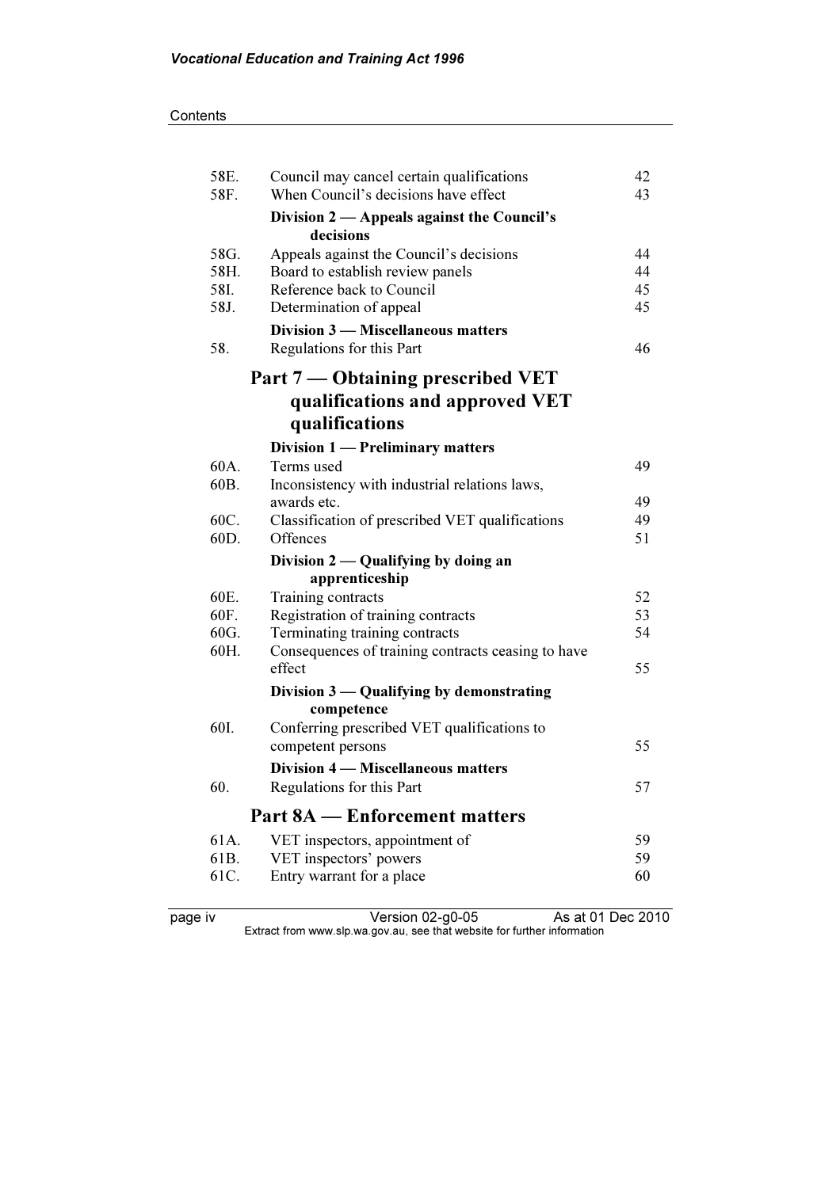| 58E.         | Council may cancel certain qualifications                    | 42 |
|--------------|--------------------------------------------------------------|----|
| 58F.         | When Council's decisions have effect                         | 43 |
|              | Division $2$ — Appeals against the Council's                 |    |
|              | decisions                                                    |    |
| 58G.         | Appeals against the Council's decisions                      | 44 |
| 58H.         | Board to establish review panels                             | 44 |
| 58I.         | Reference back to Council                                    | 45 |
| 58J.         | Determination of appeal                                      | 45 |
|              | Division 3 - Miscellaneous matters                           |    |
| 58.          | Regulations for this Part                                    | 46 |
|              | Part 7 — Obtaining prescribed VET                            |    |
|              | qualifications and approved VET                              |    |
|              | qualifications                                               |    |
|              | <b>Division 1 - Preliminary matters</b>                      |    |
| 60A.         | Terms used                                                   | 49 |
| 60B.         | Inconsistency with industrial relations laws,                |    |
|              | awards etc.                                                  | 49 |
| 60C.         | Classification of prescribed VET qualifications              | 49 |
| 60D.         | Offences                                                     | 51 |
|              | Division $2$ — Qualifying by doing an                        |    |
|              | apprenticeship                                               |    |
| 60E.         | Training contracts                                           | 52 |
| 60F.         | Registration of training contracts                           | 53 |
| 60G.<br>60H. | Terminating training contracts                               | 54 |
|              | Consequences of training contracts ceasing to have<br>effect | 55 |
|              |                                                              |    |
|              | Division 3 — Qualifying by demonstrating<br>competence       |    |
| 60I.         | Conferring prescribed VET qualifications to                  |    |
|              | competent persons                                            | 55 |
|              | Division 4 – Miscellaneous matters                           |    |
| 60.          | Regulations for this Part                                    | 57 |
|              |                                                              |    |
|              | Part 8A — Enforcement matters                                |    |
| 61A.         | VET inspectors, appointment of                               | 59 |
| 61B.         | VET inspectors' powers                                       | 59 |
| 61C.         | Entry warrant for a place                                    | 60 |
|              |                                                              |    |

page iv Version 02-g0-05 As at 01 Dec 2010  $\mathbf{F}$  from which was the set that we besite for further information  $\mathbf{F}$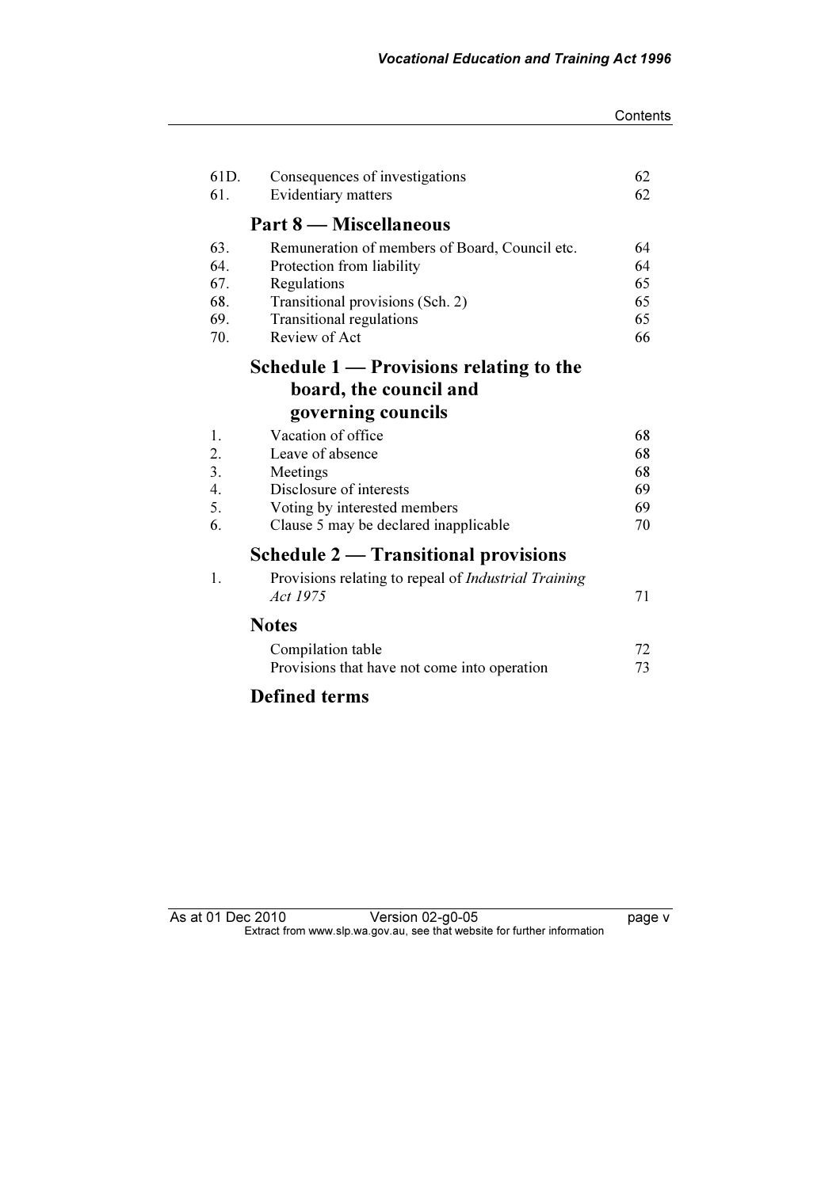| 61D.<br>61.      | Consequences of investigations<br>Evidentiary matters            | 62<br>62 |
|------------------|------------------------------------------------------------------|----------|
|                  | Part 8 – Miscellaneous                                           |          |
| 63.              | Remuneration of members of Board, Council etc.                   | 64       |
| 64.              | Protection from liability                                        | 64       |
| 67.              | Regulations                                                      | 65       |
| 68.              | Transitional provisions (Sch. 2)                                 | 65       |
| 69.              | <b>Transitional regulations</b>                                  | 65       |
| 70.              | Review of Act                                                    | 66       |
|                  | Schedule $1$ — Provisions relating to the                        |          |
|                  | board, the council and                                           |          |
|                  | governing councils                                               |          |
| 1.               | Vacation of office                                               | 68       |
| 2.               | Leave of absence                                                 | 68       |
| 3.               | Meetings                                                         | 68       |
| $\overline{4}$ . | Disclosure of interests                                          | 69       |
| 5.               | Voting by interested members                                     | 69       |
| 6.               | Clause 5 may be declared inapplicable                            | 70       |
|                  | <b>Schedule 2 — Transitional provisions</b>                      |          |
| 1.               | Provisions relating to repeal of Industrial Training<br>Act 1975 | 71       |
|                  | <b>Notes</b>                                                     |          |
|                  | Compilation table                                                | 72       |
|                  | Provisions that have not come into operation                     | 73       |
|                  |                                                                  |          |

## Defined terms

| As at 01 Dec 2010 | Version 02-g0-05                                                         | page v |
|-------------------|--------------------------------------------------------------------------|--------|
|                   | Extract from www.slp.wa.gov.au, see that website for further information |        |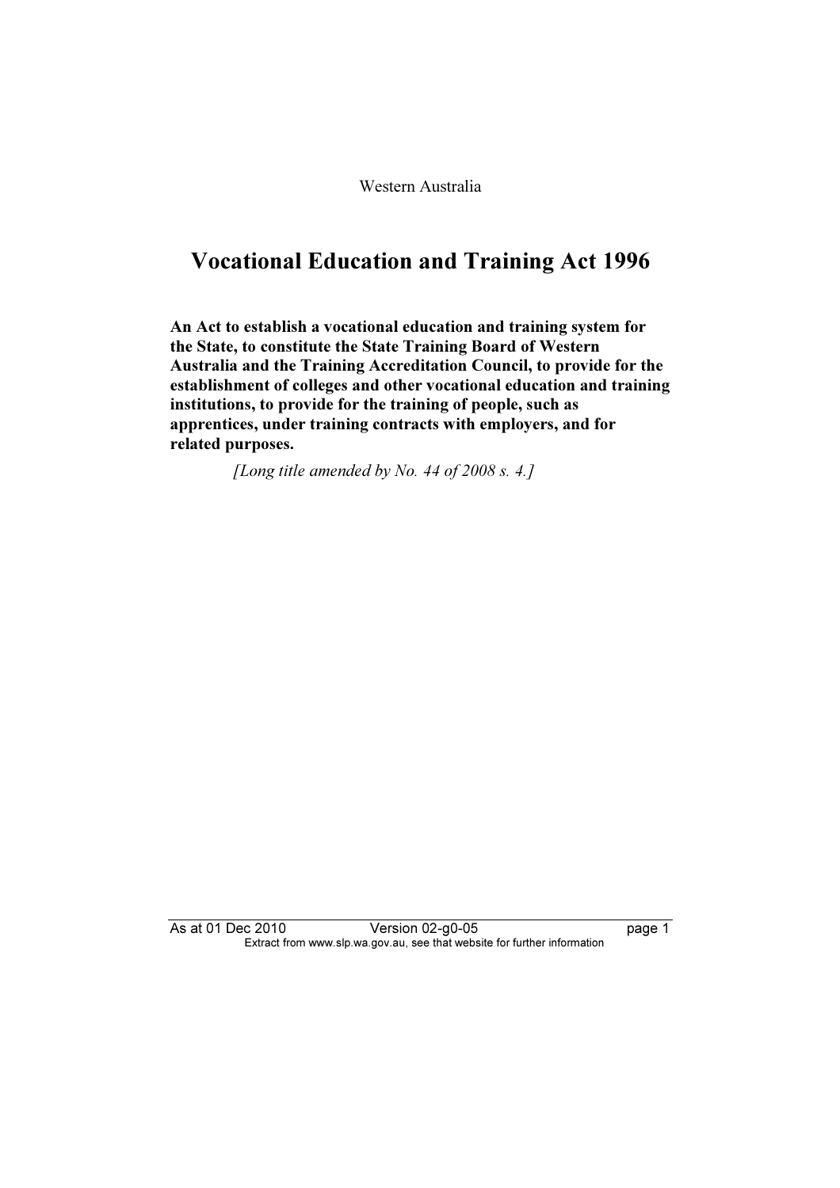Western Australia

## Vocational Education and Training Act 1996

An Act to establish a vocational education and training system for the State, to constitute the State Training Board of Western Australia and the Training Accreditation Council, to provide for the establishment of colleges and other vocational education and training institutions, to provide for the training of people, such as apprentices, under training contracts with employers, and for related purposes.

[Long title amended by No. 44 of 2008 s. 4.]

As at 01 Dec 2010 Version 02-g0-05 Page 1 Extract from www.slp.wa.gov.au, see that website for further information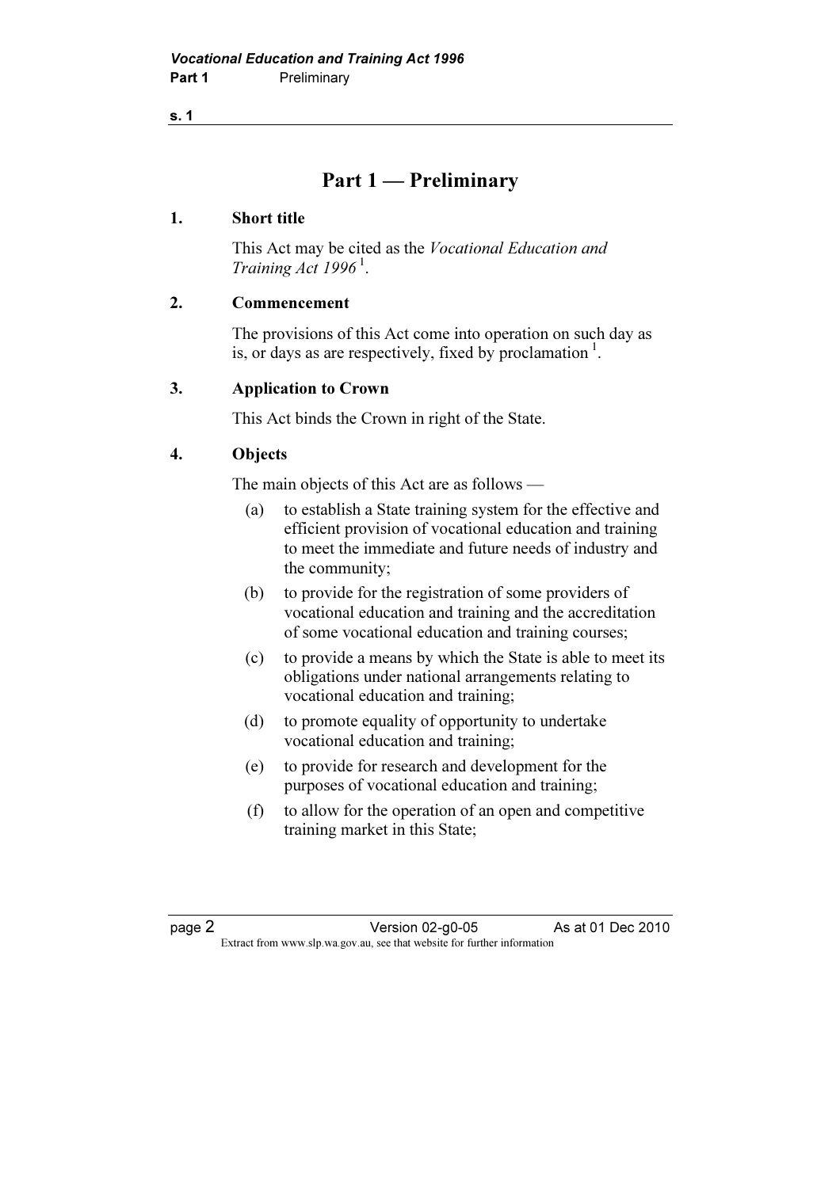s. 1

## Part 1 — Preliminary

### 1. Short title

 This Act may be cited as the Vocational Education and Training Act 1996<sup>1</sup>.

## 2. Commencement

 The provisions of this Act come into operation on such day as is, or days as are respectively, fixed by proclamation  $\frac{1}{1}$ .

## 3. Application to Crown

This Act binds the Crown in right of the State.

## 4. Objects

The main objects of this Act are as follows —

- (a) to establish a State training system for the effective and efficient provision of vocational education and training to meet the immediate and future needs of industry and the community;
- (b) to provide for the registration of some providers of vocational education and training and the accreditation of some vocational education and training courses;
- (c) to provide a means by which the State is able to meet its obligations under national arrangements relating to vocational education and training;
- (d) to promote equality of opportunity to undertake vocational education and training;
- (e) to provide for research and development for the purposes of vocational education and training;
- (f) to allow for the operation of an open and competitive training market in this State;

page 2<br>Extract from www.slp.wa.gov.au, see that website for further information<br>Extract from www.slp.wa.gov.au, see that website for further information  $\mathbf{F}$  from which we be the website for further information for further information  $\mathbf{F}$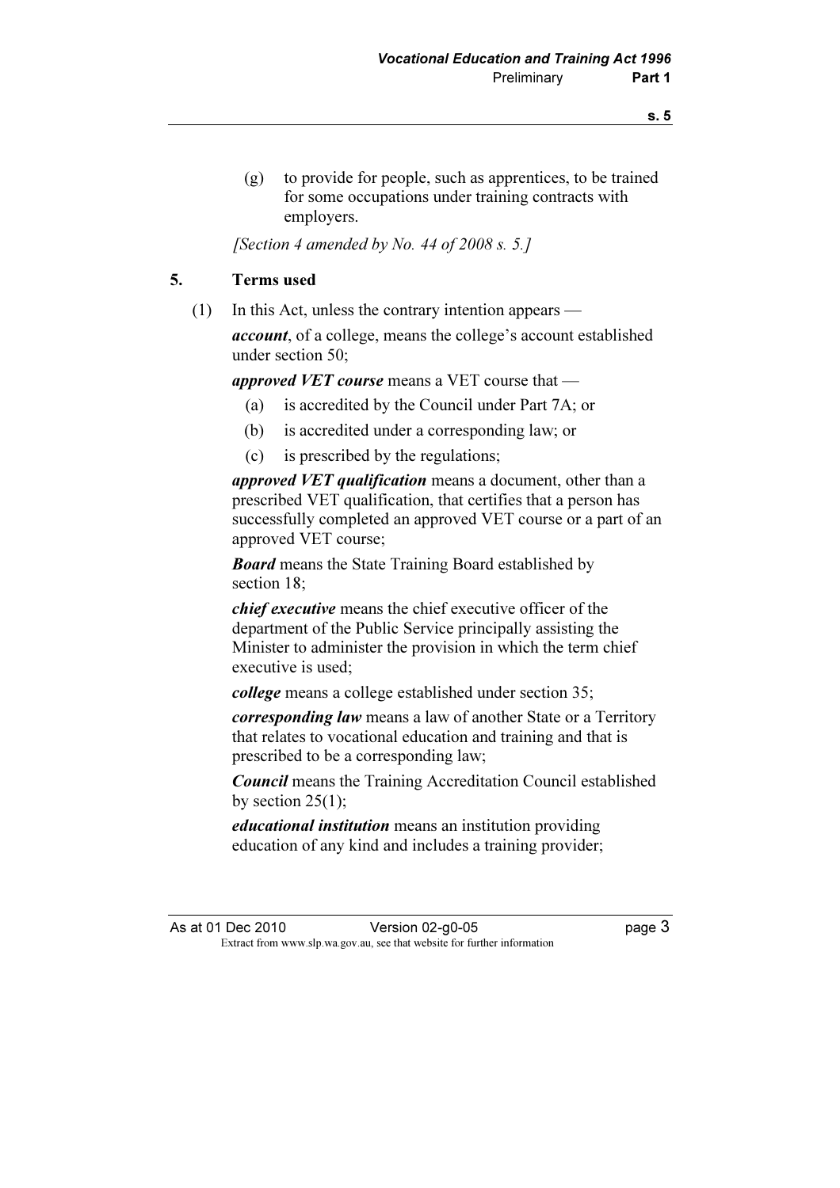(g) to provide for people, such as apprentices, to be trained for some occupations under training contracts with employers.

[Section 4 amended by No. 44 of 2008 s.  $5.1$ ]

#### 5. Terms used

(1) In this Act, unless the contrary intention appears —

account, of a college, means the college's account established under section 50;

approved VET course means a VET course that  $-$ 

- (a) is accredited by the Council under Part 7A; or
- (b) is accredited under a corresponding law; or
- (c) is prescribed by the regulations;

approved VET qualification means a document, other than a prescribed VET qualification, that certifies that a person has successfully completed an approved VET course or a part of an approved VET course;

**Board** means the State Training Board established by section 18;

chief executive means the chief executive officer of the department of the Public Service principally assisting the Minister to administer the provision in which the term chief executive is used;

college means a college established under section 35;

corresponding law means a law of another State or a Territory that relates to vocational education and training and that is prescribed to be a corresponding law;

Council means the Training Accreditation Council established by section  $25(1)$ ;

educational institution means an institution providing education of any kind and includes a training provider;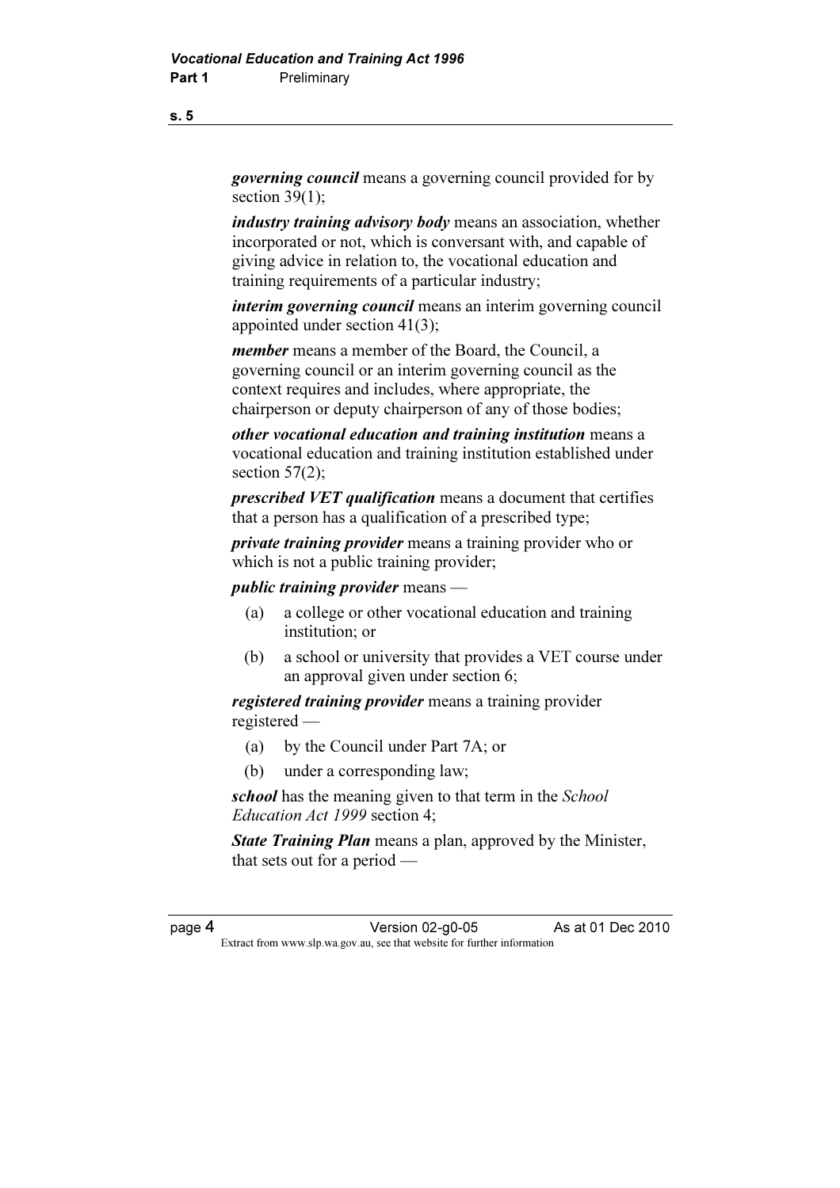governing council means a governing council provided for by section  $39(1)$ ;

industry training advisory body means an association, whether incorporated or not, which is conversant with, and capable of giving advice in relation to, the vocational education and training requirements of a particular industry;

*interim governing council* means an interim governing council appointed under section 41(3);

member means a member of the Board, the Council, a governing council or an interim governing council as the context requires and includes, where appropriate, the chairperson or deputy chairperson of any of those bodies;

other vocational education and training institution means a vocational education and training institution established under section  $57(2)$ ;

prescribed VET qualification means a document that certifies that a person has a qualification of a prescribed type;

private training provider means a training provider who or which is not a public training provider;

## public training provider means —

- (a) a college or other vocational education and training institution; or
- (b) a school or university that provides a VET course under an approval given under section 6;

registered training provider means a training provider registered —

- (a) by the Council under Part 7A; or
- (b) under a corresponding law;

school has the meaning given to that term in the School Education Act 1999 section 4;

**State Training Plan** means a plan, approved by the Minister, that sets out for a period —

page 4 Version 02-g0-05 As at 01 Dec 2010<br>Extract from www.slp.wa.gov.au, see that website for further information  $\mathbf{F}$  from which we be the website for further information for further information  $\mathbf{F}$ 

s. 5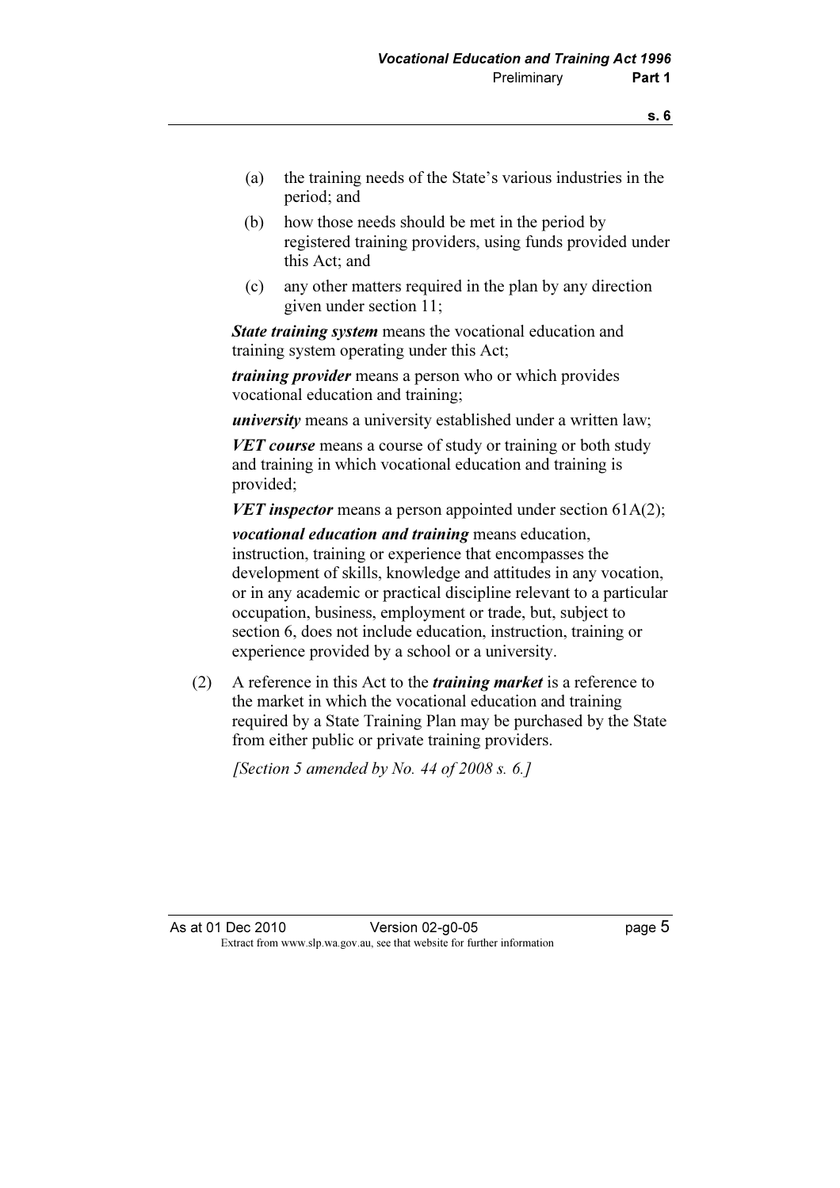- (a) the training needs of the State's various industries in the period; and
- (b) how those needs should be met in the period by registered training providers, using funds provided under this Act; and
- (c) any other matters required in the plan by any direction given under section 11;

State training system means the vocational education and training system operating under this Act;

training provider means a person who or which provides vocational education and training;

university means a university established under a written law;

**VET course** means a course of study or training or both study and training in which vocational education and training is provided;

VET inspector means a person appointed under section  $61A(2)$ ;

vocational education and training means education, instruction, training or experience that encompasses the development of skills, knowledge and attitudes in any vocation, or in any academic or practical discipline relevant to a particular occupation, business, employment or trade, but, subject to section 6, does not include education, instruction, training or experience provided by a school or a university.

(2) A reference in this Act to the *training market* is a reference to the market in which the vocational education and training required by a State Training Plan may be purchased by the State from either public or private training providers.

[Section 5 amended by No. 44 of 2008 s.  $6.1$ ]

As at 01 Dec 2010 Version 02-g0-05 Page 5  $\mathbf{F}$  from which we be the website for further information for further information  $\mathbf{F}$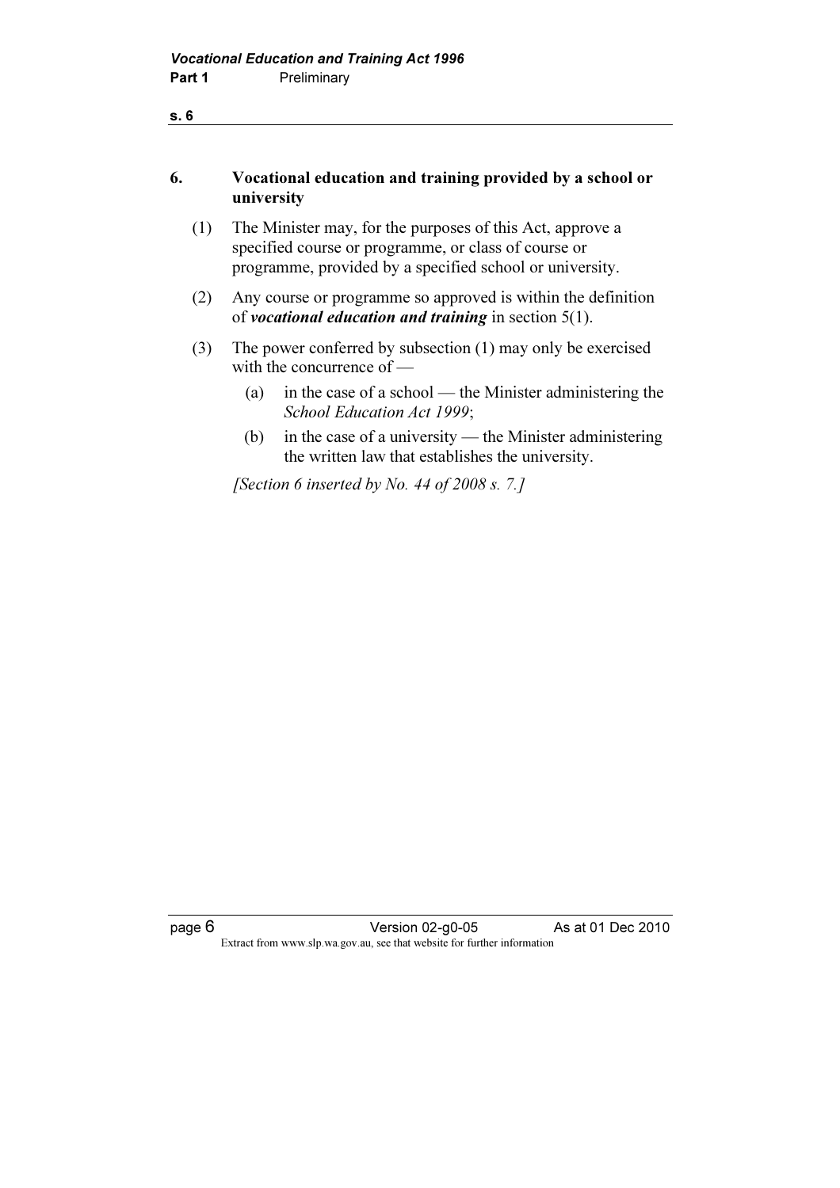#### 6. Vocational education and training provided by a school or university

- (1) The Minister may, for the purposes of this Act, approve a specified course or programme, or class of course or programme, provided by a specified school or university.
- (2) Any course or programme so approved is within the definition of vocational education and training in section 5(1).
- (3) The power conferred by subsection (1) may only be exercised with the concurrence of —
	- (a) in the case of a school the Minister administering the School Education Act 1999;
	- (b) in the case of a university the Minister administering the written law that establishes the university.

[Section 6 inserted by No. 44 of 2008 s. 7.]

| page 6 | Version $02$ -g0-05                                                      | As at 01 Dec 2010 |
|--------|--------------------------------------------------------------------------|-------------------|
|        | Extract from www.slp.wa.gov.au, see that website for further information |                   |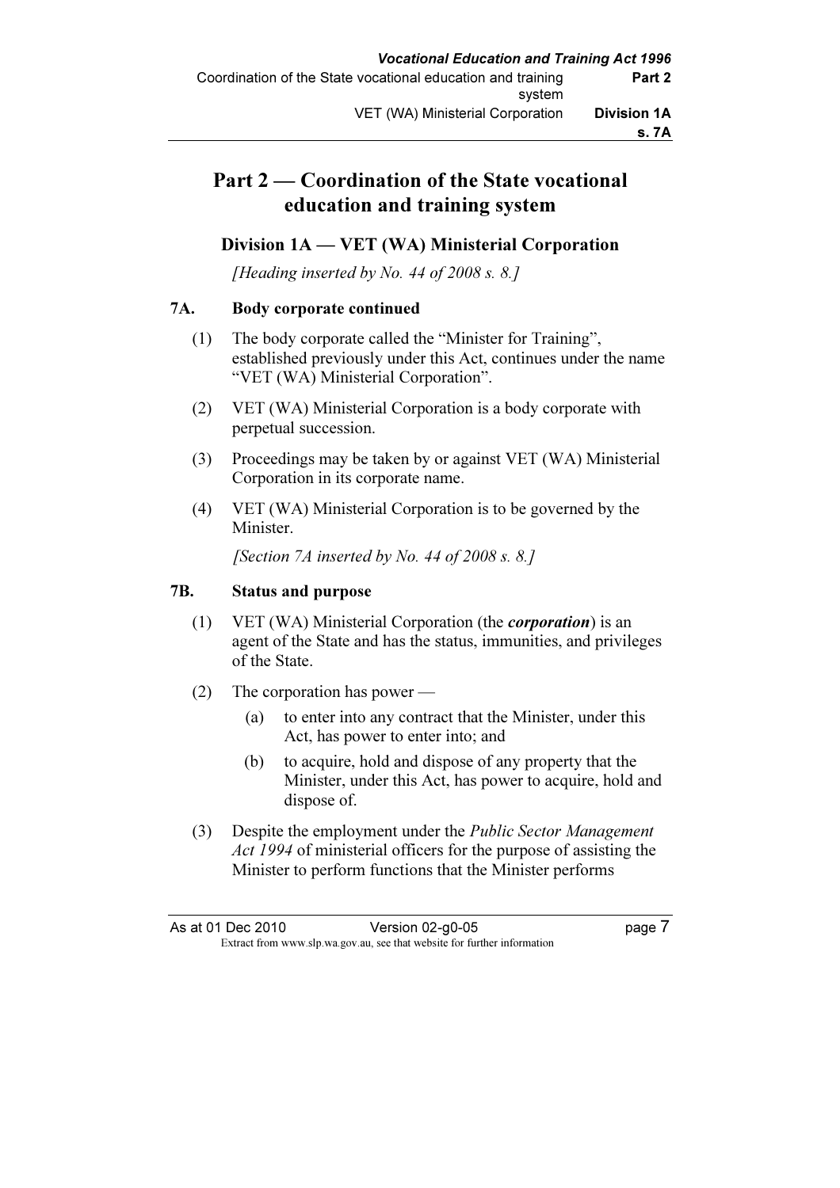## Part 2 — Coordination of the State vocational education and training system

## Division 1A — VET (WA) Ministerial Corporation

[Heading inserted by No. 44 of 2008 s. 8.]

#### 7A. Body corporate continued

- (1) The body corporate called the "Minister for Training", established previously under this Act, continues under the name "VET (WA) Ministerial Corporation".
- (2) VET (WA) Ministerial Corporation is a body corporate with perpetual succession.
- (3) Proceedings may be taken by or against VET (WA) Ministerial Corporation in its corporate name.
- (4) VET (WA) Ministerial Corporation is to be governed by the Minister.

[Section 7A inserted by No. 44 of 2008 s. 8.]

### 7B. Status and purpose

- (1) VET (WA) Ministerial Corporation (the *corporation*) is an agent of the State and has the status, immunities, and privileges of the State.
- (2) The corporation has power
	- (a) to enter into any contract that the Minister, under this Act, has power to enter into; and
	- (b) to acquire, hold and dispose of any property that the Minister, under this Act, has power to acquire, hold and dispose of.
- (3) Despite the employment under the Public Sector Management Act 1994 of ministerial officers for the purpose of assisting the Minister to perform functions that the Minister performs

As at 01 Dec 2010 Version 02-q0-05 Page 7  $\mathbf{F}$  from which we be the website for further information for further information  $\mathbf{F}$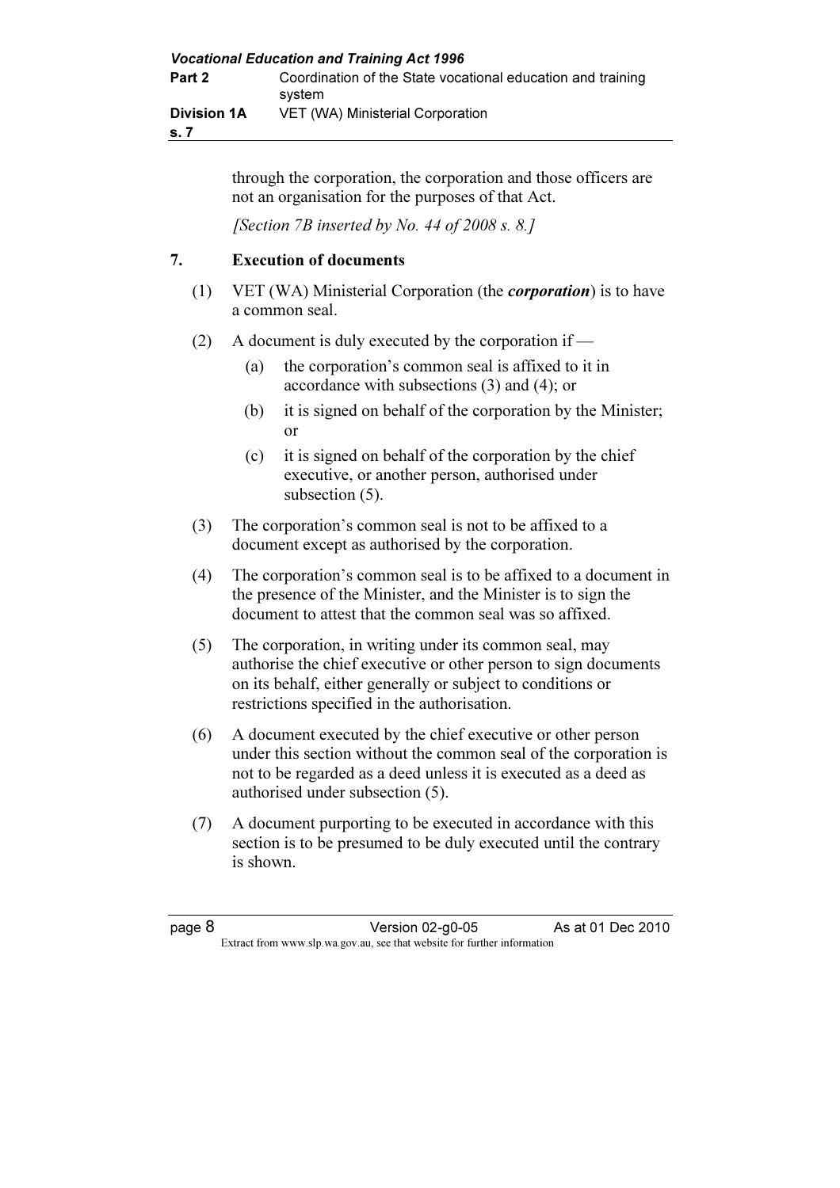| <b>Vocational Education and Training Act 1996</b> |                                                                       |
|---------------------------------------------------|-----------------------------------------------------------------------|
| Part 2                                            | Coordination of the State vocational education and training<br>system |
| <b>Division 1A</b><br>s.7                         | VET (WA) Ministerial Corporation                                      |

through the corporation, the corporation and those officers are not an organisation for the purposes of that Act.

[Section 7B inserted by No. 44 of 2008 s. 8.]

## 7. Execution of documents

- (1) VET (WA) Ministerial Corporation (the corporation) is to have a common seal.
- (2) A document is duly executed by the corporation if
	- (a) the corporation's common seal is affixed to it in accordance with subsections (3) and (4); or
	- (b) it is signed on behalf of the corporation by the Minister; or
	- (c) it is signed on behalf of the corporation by the chief executive, or another person, authorised under subsection  $(5)$ .
- (3) The corporation's common seal is not to be affixed to a document except as authorised by the corporation.
- (4) The corporation's common seal is to be affixed to a document in the presence of the Minister, and the Minister is to sign the document to attest that the common seal was so affixed.
- (5) The corporation, in writing under its common seal, may authorise the chief executive or other person to sign documents on its behalf, either generally or subject to conditions or restrictions specified in the authorisation.
- (6) A document executed by the chief executive or other person under this section without the common seal of the corporation is not to be regarded as a deed unless it is executed as a deed as authorised under subsection (5).
- (7) A document purporting to be executed in accordance with this section is to be presumed to be duly executed until the contrary is shown.

page 8 Version 02-g0-05 As at 01 Dec 2010<br>Extract from www.slp.wa.gov.au, see that website for further information  $\mathbf{F}$  from which we be the website for further information for further information  $\mathbf{F}$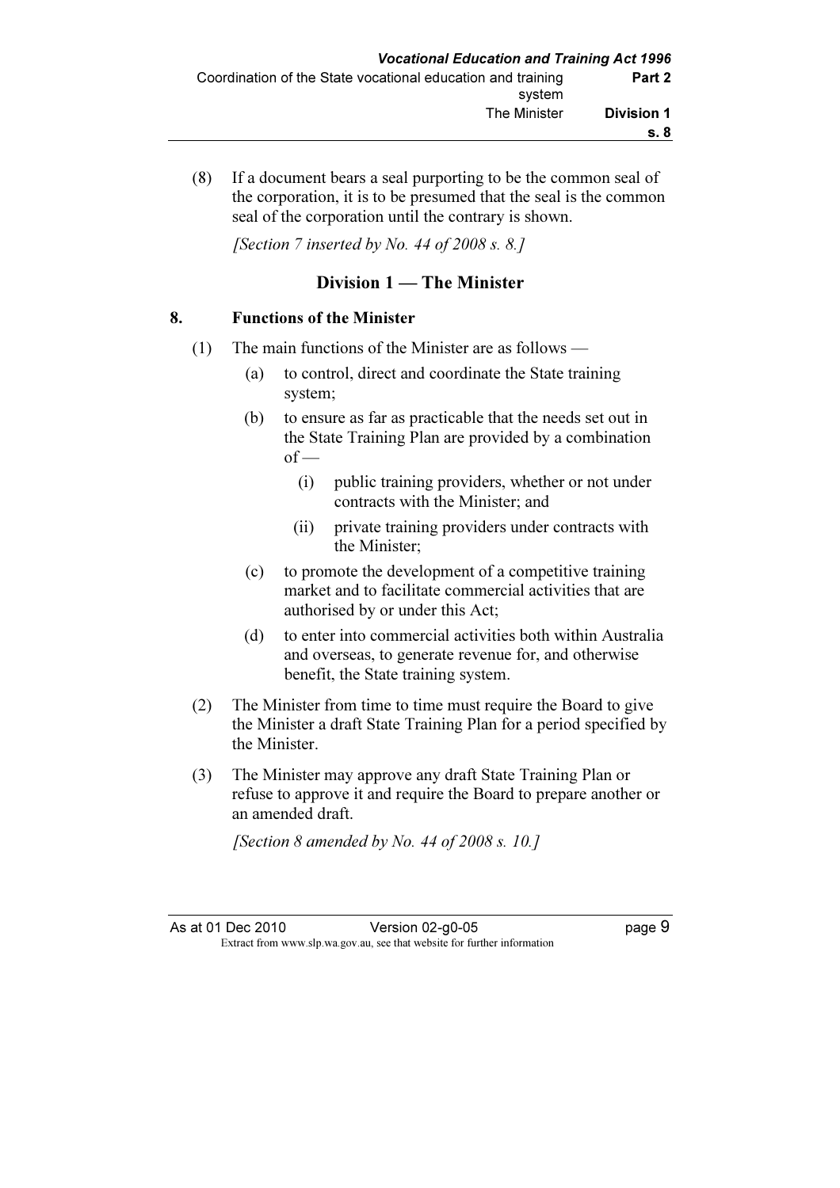(8) If a document bears a seal purporting to be the common seal of the corporation, it is to be presumed that the seal is the common seal of the corporation until the contrary is shown.

[Section 7 inserted by No. 44 of 2008 s.  $8.1$ ]

## Division 1 — The Minister

## 8. Functions of the Minister

- (1) The main functions of the Minister are as follows
	- (a) to control, direct and coordinate the State training system;
	- (b) to ensure as far as practicable that the needs set out in the State Training Plan are provided by a combination  $of$  —
		- (i) public training providers, whether or not under contracts with the Minister; and
		- (ii) private training providers under contracts with the Minister;
	- (c) to promote the development of a competitive training market and to facilitate commercial activities that are authorised by or under this Act;
	- (d) to enter into commercial activities both within Australia and overseas, to generate revenue for, and otherwise benefit, the State training system.
- (2) The Minister from time to time must require the Board to give the Minister a draft State Training Plan for a period specified by the Minister.
- (3) The Minister may approve any draft State Training Plan or refuse to approve it and require the Board to prepare another or an amended draft.

[Section 8 amended by No. 44 of 2008 s. 10.]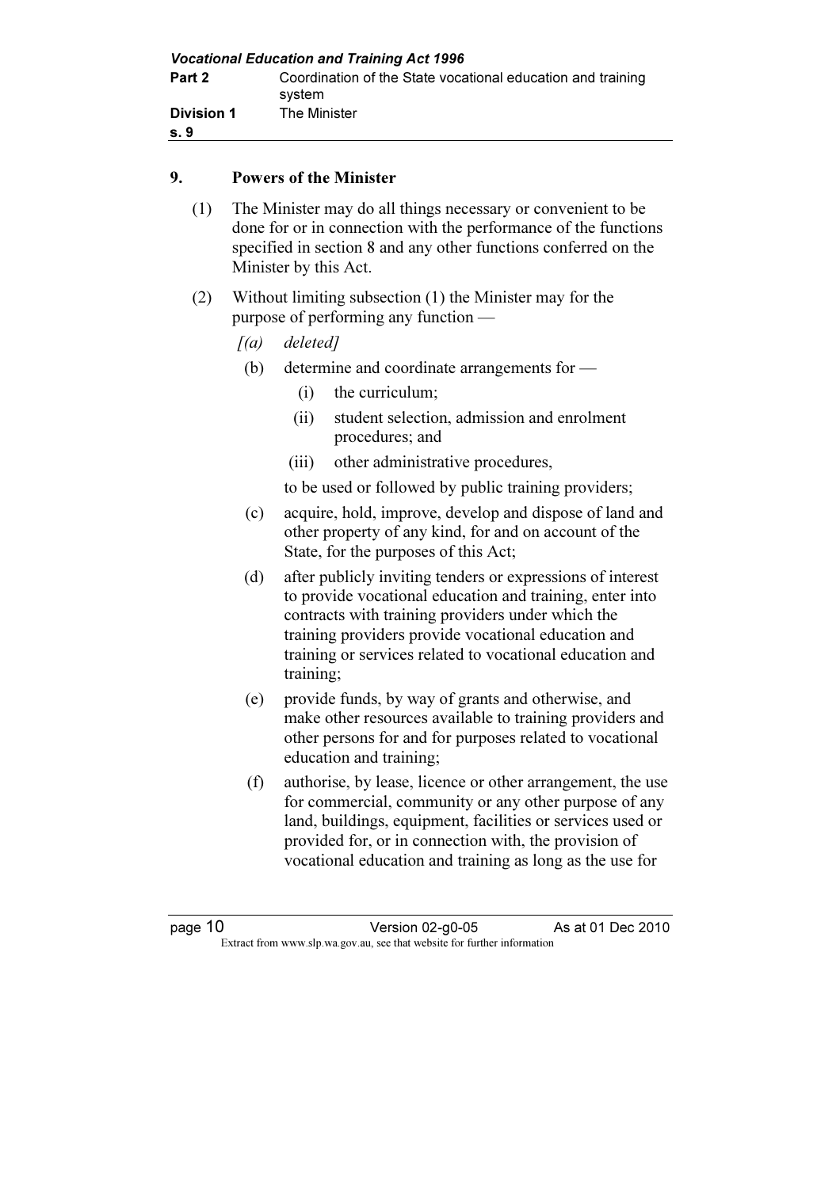| <b>Vocational Education and Training Act 1996</b> |                                                                       |
|---------------------------------------------------|-----------------------------------------------------------------------|
| Part 2                                            | Coordination of the State vocational education and training<br>system |
| <b>Division 1</b><br>s. 9                         | The Minister                                                          |

## 9. Powers of the Minister

- (1) The Minister may do all things necessary or convenient to be done for or in connection with the performance of the functions specified in section 8 and any other functions conferred on the Minister by this Act.
- (2) Without limiting subsection (1) the Minister may for the purpose of performing any function —
	- $[(a)$  deleted]
	- (b) determine and coordinate arrangements for
		- (i) the curriculum;
		- (ii) student selection, admission and enrolment procedures; and
		- (iii) other administrative procedures,
		- to be used or followed by public training providers;
	- (c) acquire, hold, improve, develop and dispose of land and other property of any kind, for and on account of the State, for the purposes of this Act;
	- (d) after publicly inviting tenders or expressions of interest to provide vocational education and training, enter into contracts with training providers under which the training providers provide vocational education and training or services related to vocational education and training;
	- (e) provide funds, by way of grants and otherwise, and make other resources available to training providers and other persons for and for purposes related to vocational education and training;
	- (f) authorise, by lease, licence or other arrangement, the use for commercial, community or any other purpose of any land, buildings, equipment, facilities or services used or provided for, or in connection with, the provision of vocational education and training as long as the use for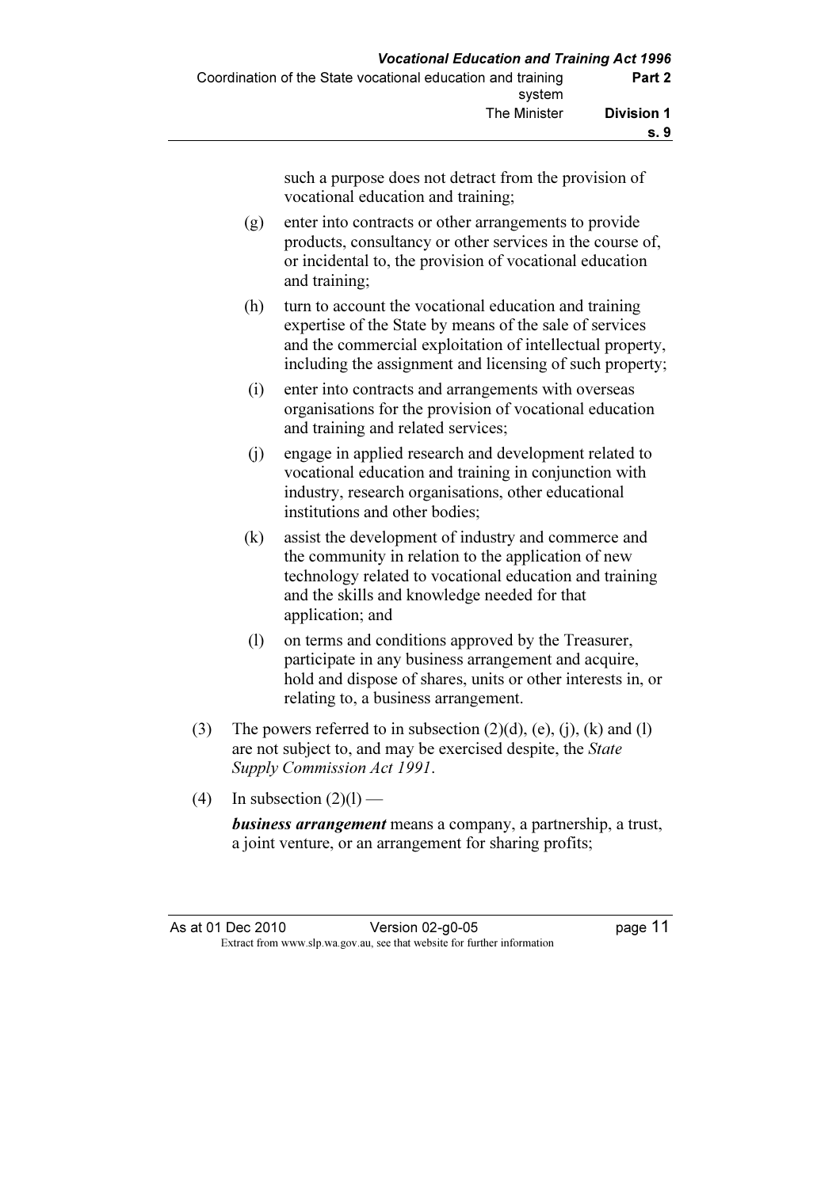such a purpose does not detract from the provision of vocational education and training;

- (g) enter into contracts or other arrangements to provide products, consultancy or other services in the course of, or incidental to, the provision of vocational education and training;
- (h) turn to account the vocational education and training expertise of the State by means of the sale of services and the commercial exploitation of intellectual property, including the assignment and licensing of such property;
- (i) enter into contracts and arrangements with overseas organisations for the provision of vocational education and training and related services;
- (j) engage in applied research and development related to vocational education and training in conjunction with industry, research organisations, other educational institutions and other bodies;
- (k) assist the development of industry and commerce and the community in relation to the application of new technology related to vocational education and training and the skills and knowledge needed for that application; and
- (l) on terms and conditions approved by the Treasurer, participate in any business arrangement and acquire, hold and dispose of shares, units or other interests in, or relating to, a business arrangement.
- (3) The powers referred to in subsection  $(2)(d)$ ,  $(e)$ ,  $(i)$ ,  $(k)$  and  $(l)$ are not subject to, and may be exercised despite, the *State* Supply Commission Act 1991.
- (4) In subsection  $(2)(1)$  —

**business arrangement** means a company, a partnership, a trust, a joint venture, or an arrangement for sharing profits;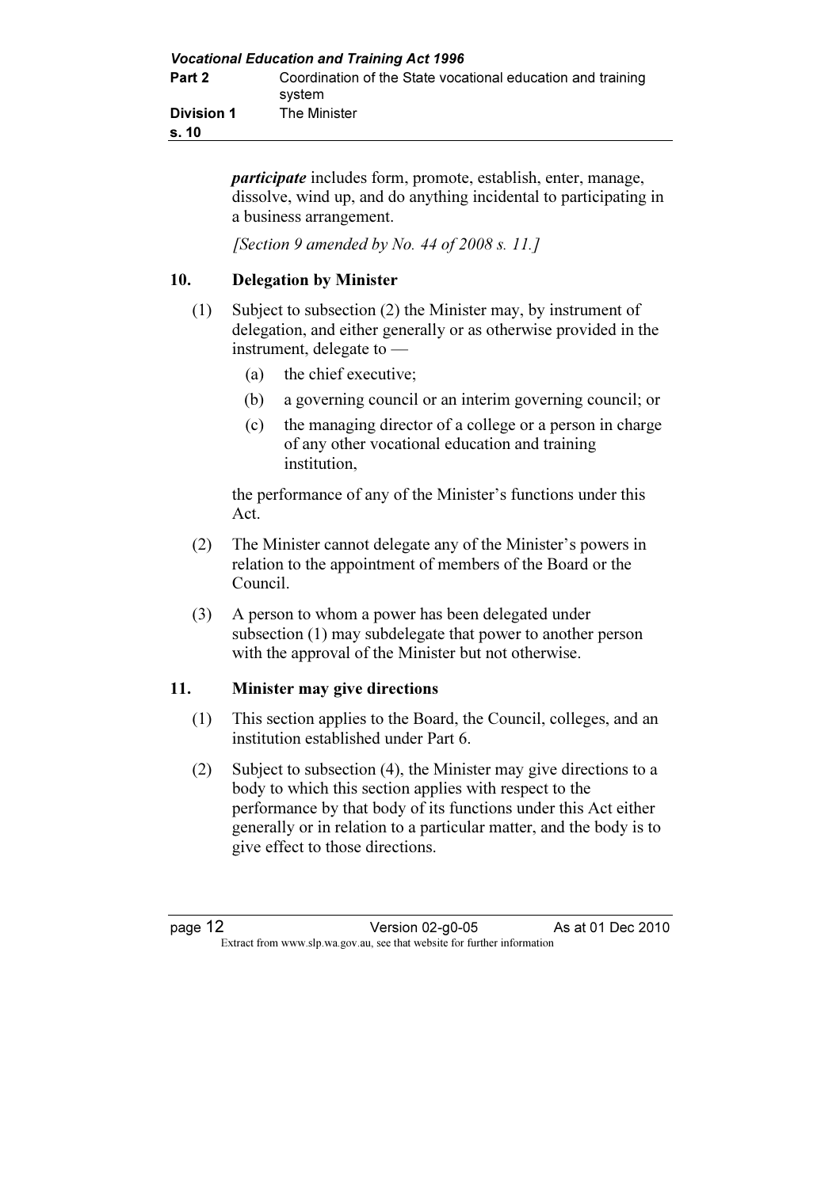| <b>Vocational Education and Training Act 1996</b> |                                                                       |  |
|---------------------------------------------------|-----------------------------------------------------------------------|--|
| Part 2                                            | Coordination of the State vocational education and training<br>system |  |
| <b>Division 1</b><br>s. 10                        | The Minister                                                          |  |

participate includes form, promote, establish, enter, manage, dissolve, wind up, and do anything incidental to participating in a business arrangement.

[Section 9 amended by No. 44 of 2008 s. 11.]

## 10. Delegation by Minister

- (1) Subject to subsection (2) the Minister may, by instrument of delegation, and either generally or as otherwise provided in the instrument, delegate to —
	- (a) the chief executive;
	- (b) a governing council or an interim governing council; or
	- (c) the managing director of a college or a person in charge of any other vocational education and training institution,

 the performance of any of the Minister's functions under this Act.

- (2) The Minister cannot delegate any of the Minister's powers in relation to the appointment of members of the Board or the Council.
- (3) A person to whom a power has been delegated under subsection (1) may subdelegate that power to another person with the approval of the Minister but not otherwise.

#### 11. Minister may give directions

- (1) This section applies to the Board, the Council, colleges, and an institution established under Part 6.
- (2) Subject to subsection (4), the Minister may give directions to a body to which this section applies with respect to the performance by that body of its functions under this Act either generally or in relation to a particular matter, and the body is to give effect to those directions.

page 12 Version 02-g0-05 As at 01 Dec 2010<br>Extract from www.slp.wa.gov.au, see that website for further information  $\mathbf{F}$  from which we be the website for further information for further information  $\mathbf{F}$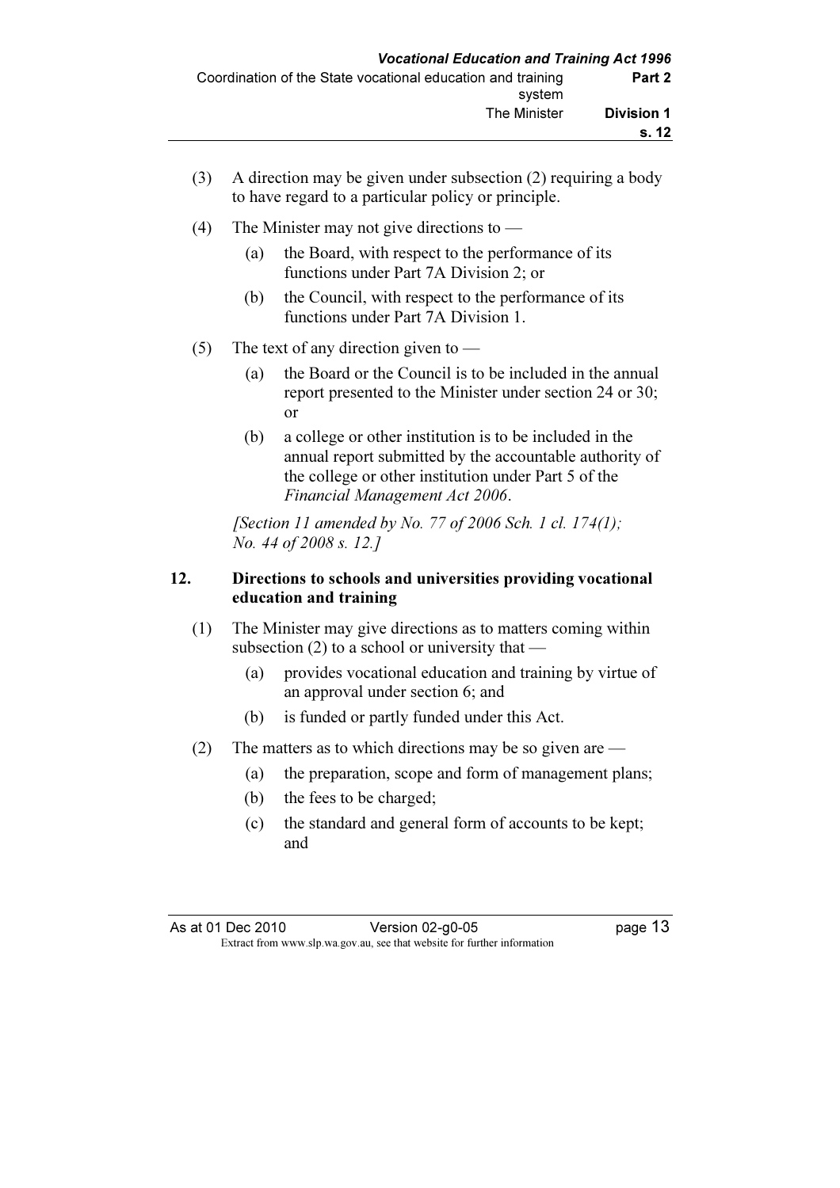- (3) A direction may be given under subsection (2) requiring a body to have regard to a particular policy or principle.
- (4) The Minister may not give directions to
	- (a) the Board, with respect to the performance of its functions under Part 7A Division 2; or
	- (b) the Council, with respect to the performance of its functions under Part 7A Division 1.
- (5) The text of any direction given to  $-$ 
	- (a) the Board or the Council is to be included in the annual report presented to the Minister under section 24 or 30; or
	- (b) a college or other institution is to be included in the annual report submitted by the accountable authority of the college or other institution under Part 5 of the Financial Management Act 2006.

[Section 11 amended by No. 77 of 2006 Sch. 1 cl. 174(1); No. 44 of 2008 s. 12.]

## 12. Directions to schools and universities providing vocational education and training

- (1) The Minister may give directions as to matters coming within subsection  $(2)$  to a school or university that —
	- (a) provides vocational education and training by virtue of an approval under section 6; and
	- (b) is funded or partly funded under this Act.
- (2) The matters as to which directions may be so given are
	- (a) the preparation, scope and form of management plans;
	- (b) the fees to be charged;
	- (c) the standard and general form of accounts to be kept; and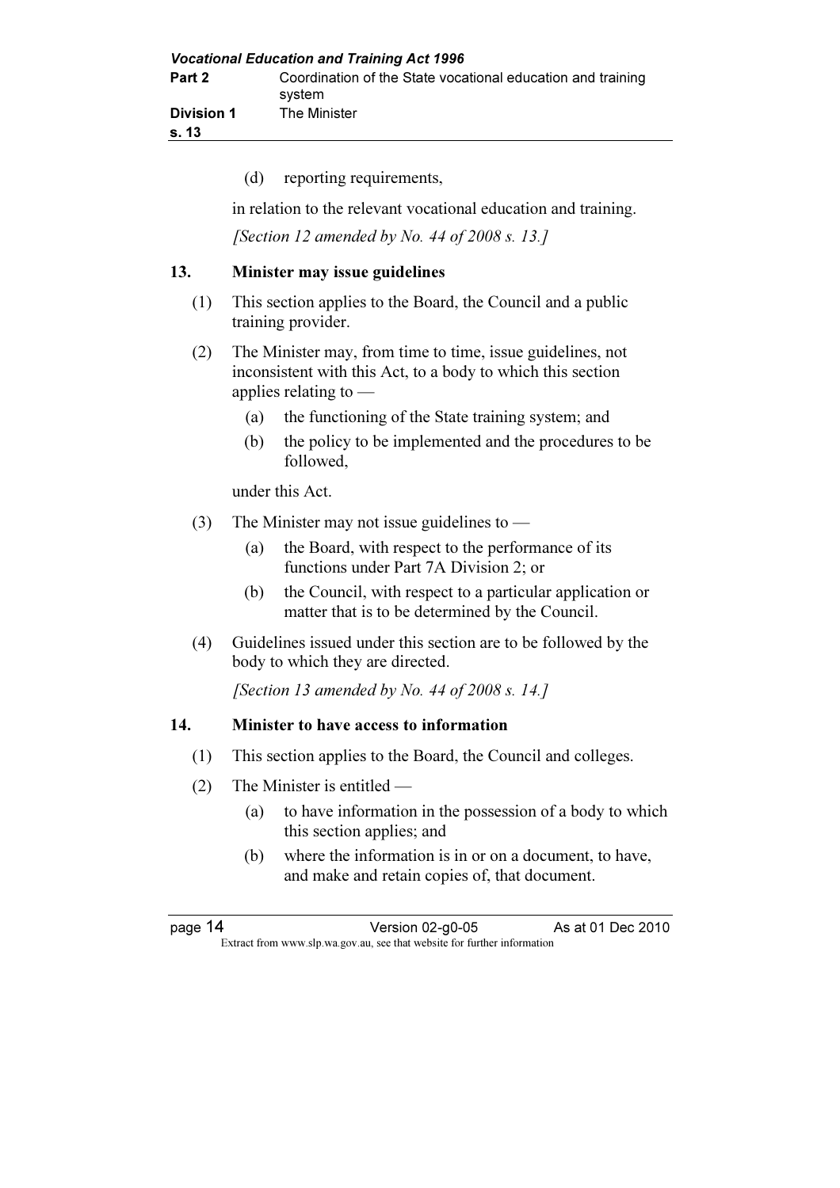| <b>Vocational Education and Training Act 1996</b> |                                                                       |  |  |
|---------------------------------------------------|-----------------------------------------------------------------------|--|--|
| Part 2                                            | Coordination of the State vocational education and training<br>system |  |  |
| <b>Division 1</b><br>s. 13                        | The Minister                                                          |  |  |

(d) reporting requirements,

in relation to the relevant vocational education and training.

[Section 12 amended by No. 44 of 2008 s. 13.]

#### 13. Minister may issue guidelines

- (1) This section applies to the Board, the Council and a public training provider.
- (2) The Minister may, from time to time, issue guidelines, not inconsistent with this Act, to a body to which this section applies relating to —
	- (a) the functioning of the State training system; and
	- (b) the policy to be implemented and the procedures to be followed,

under this Act.

- (3) The Minister may not issue guidelines to  $-$ 
	- (a) the Board, with respect to the performance of its functions under Part 7A Division 2; or
	- (b) the Council, with respect to a particular application or matter that is to be determined by the Council.
- (4) Guidelines issued under this section are to be followed by the body to which they are directed.

[Section 13 amended by No. 44 of 2008 s. 14.]

#### 14. Minister to have access to information

- (1) This section applies to the Board, the Council and colleges.
- (2) The Minister is entitled
	- (a) to have information in the possession of a body to which this section applies; and
	- (b) where the information is in or on a document, to have, and make and retain copies of, that document.

page 14 Version 02-g0-05 As at 01 Dec 2010<br>Extract from www.slp.wa.gov.au, see that website for further information  $\mathbf{F}$  from which we be the website for further information for further information  $\mathbf{F}$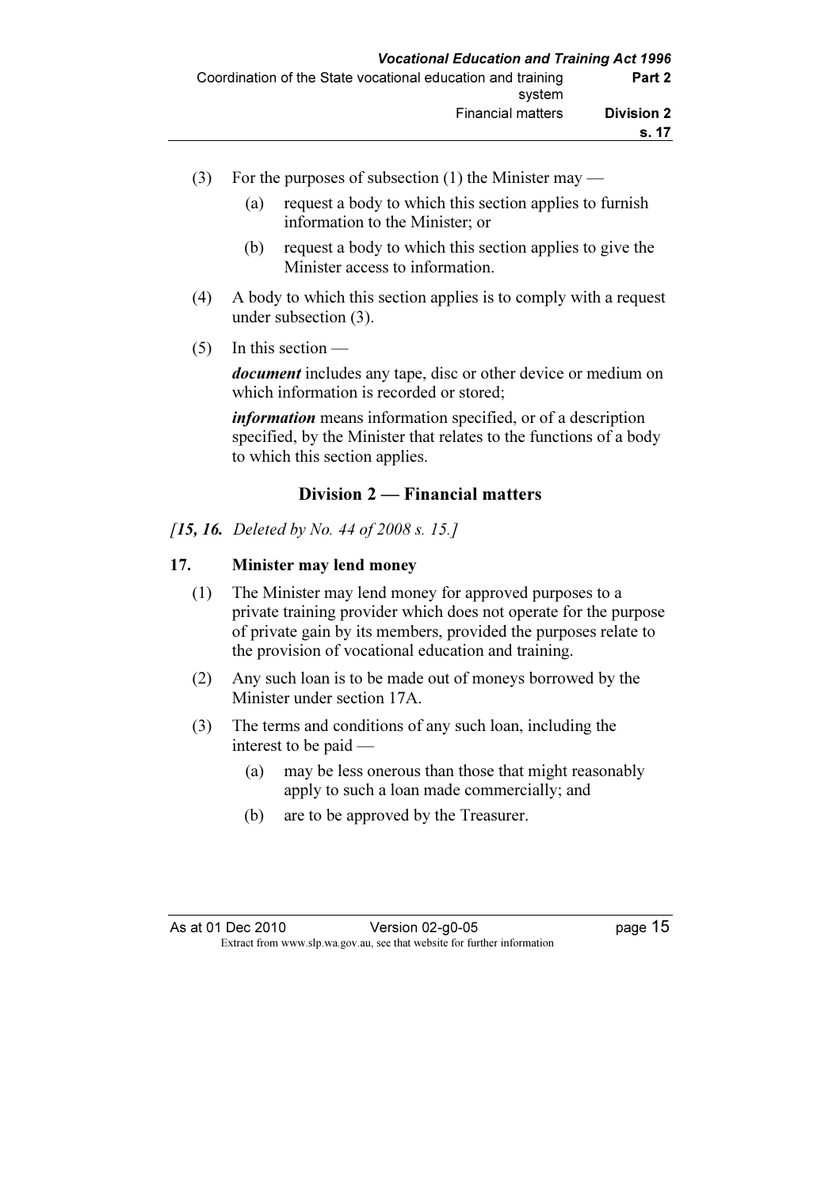- (3) For the purposes of subsection (1) the Minister may
	- (a) request a body to which this section applies to furnish information to the Minister; or
	- (b) request a body to which this section applies to give the Minister access to information.
- (4) A body to which this section applies is to comply with a request under subsection (3).
- $(5)$  In this section —

document includes any tape, disc or other device or medium on which information is recorded or stored;

information means information specified, or of a description specified, by the Minister that relates to the functions of a body to which this section applies.

## Division 2 — Financial matters

[15, 16. Deleted by No. 44 of 2008 s. 15.]

## 17. Minister may lend money

- (1) The Minister may lend money for approved purposes to a private training provider which does not operate for the purpose of private gain by its members, provided the purposes relate to the provision of vocational education and training.
- (2) Any such loan is to be made out of moneys borrowed by the Minister under section 17A.
- (3) The terms and conditions of any such loan, including the interest to be paid —
	- (a) may be less onerous than those that might reasonably apply to such a loan made commercially; and
	- (b) are to be approved by the Treasurer.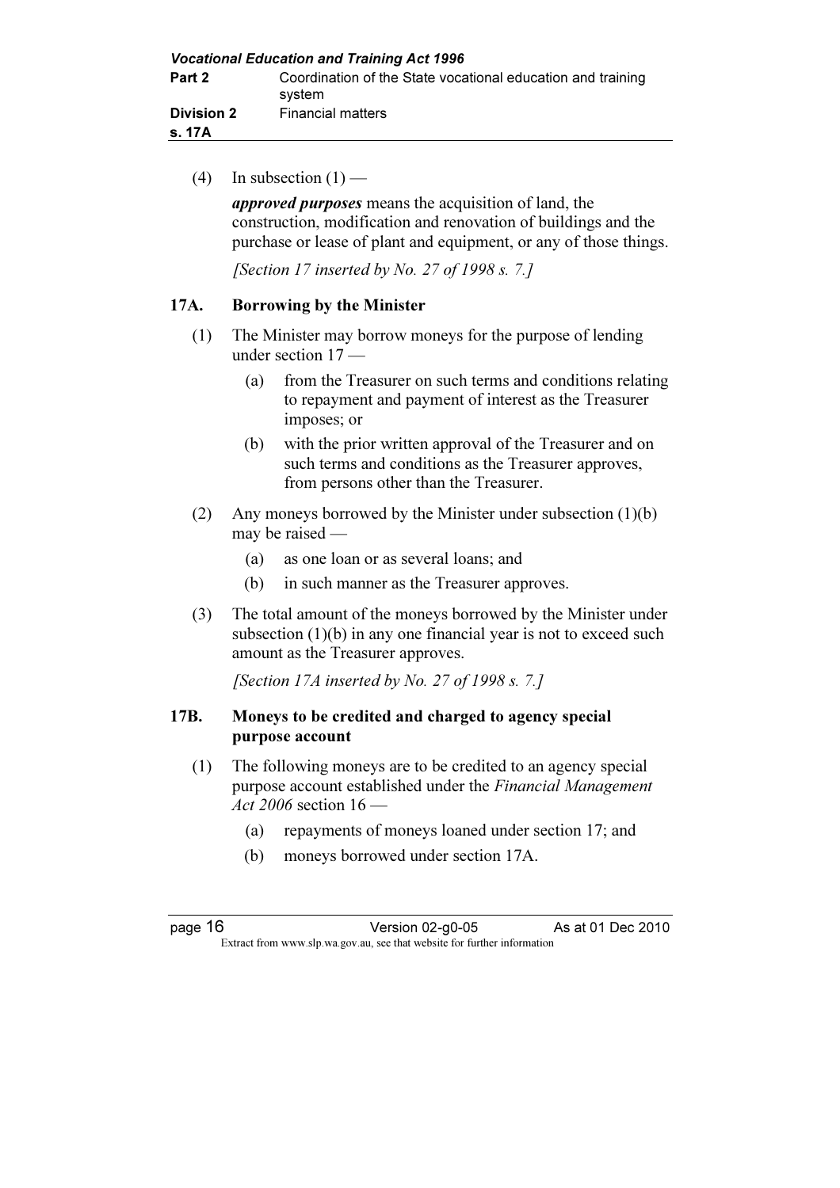| <b>Vocational Education and Training Act 1996</b> |                                                                       |  |  |
|---------------------------------------------------|-----------------------------------------------------------------------|--|--|
| Part 2                                            | Coordination of the State vocational education and training<br>system |  |  |
| <b>Division 2</b><br>s. 17A                       | <b>Financial matters</b>                                              |  |  |

(4) In subsection  $(1)$  —

approved purposes means the acquisition of land, the construction, modification and renovation of buildings and the purchase or lease of plant and equipment, or any of those things.

[Section 17 inserted by No. 27 of 1998 s. 7.]

#### 17A. Borrowing by the Minister

- (1) The Minister may borrow moneys for the purpose of lending under section 17 —
	- (a) from the Treasurer on such terms and conditions relating to repayment and payment of interest as the Treasurer imposes; or
	- (b) with the prior written approval of the Treasurer and on such terms and conditions as the Treasurer approves, from persons other than the Treasurer.
- (2) Any moneys borrowed by the Minister under subsection (1)(b) may be raised —
	- (a) as one loan or as several loans; and
	- (b) in such manner as the Treasurer approves.
- (3) The total amount of the moneys borrowed by the Minister under subsection  $(1)(b)$  in any one financial year is not to exceed such amount as the Treasurer approves.

[Section 17A inserted by No. 27 of 1998 s. 7.]

#### 17B. Moneys to be credited and charged to agency special purpose account

- (1) The following moneys are to be credited to an agency special purpose account established under the Financial Management Act 2006 section 16 -
	- (a) repayments of moneys loaned under section 17; and
	- (b) moneys borrowed under section 17A.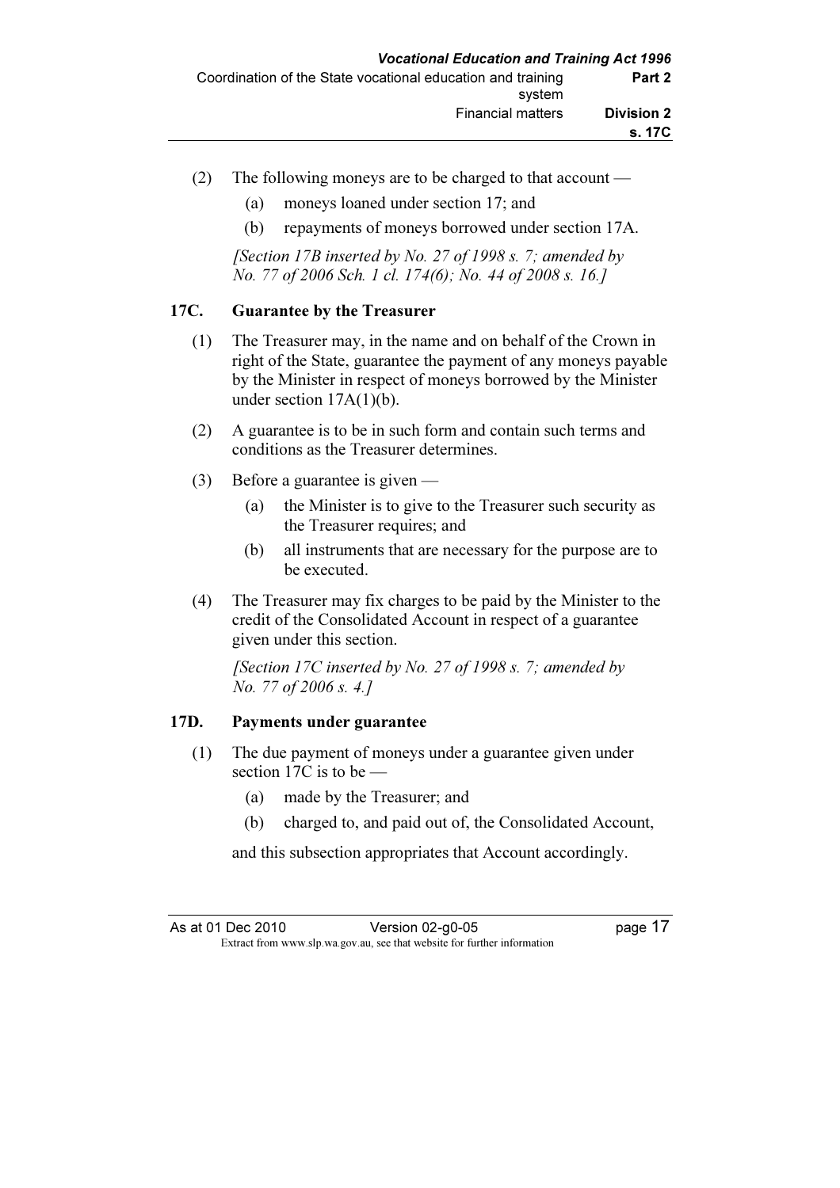- (2) The following moneys are to be charged to that account
	- (a) moneys loaned under section 17; and
	- (b) repayments of moneys borrowed under section 17A.

[Section 17B inserted by No. 27 of 1998 s. 7; amended by No. 77 of 2006 Sch. 1 cl. 174(6); No. 44 of 2008 s. 16.]

#### 17C. Guarantee by the Treasurer

- (1) The Treasurer may, in the name and on behalf of the Crown in right of the State, guarantee the payment of any moneys payable by the Minister in respect of moneys borrowed by the Minister under section 17A(1)(b).
- (2) A guarantee is to be in such form and contain such terms and conditions as the Treasurer determines.
- (3) Before a guarantee is given
	- (a) the Minister is to give to the Treasurer such security as the Treasurer requires; and
	- (b) all instruments that are necessary for the purpose are to be executed.
- (4) The Treasurer may fix charges to be paid by the Minister to the credit of the Consolidated Account in respect of a guarantee given under this section.

[Section 17C inserted by No. 27 of 1998 s. 7; amended by No. 77 of 2006 s. 4.]

## 17D. Payments under guarantee

- (1) The due payment of moneys under a guarantee given under section 17C is to be —
	- (a) made by the Treasurer; and
	- (b) charged to, and paid out of, the Consolidated Account,

and this subsection appropriates that Account accordingly.

As at 01 Dec 2010 Version 02-g0-05 Page 17  $\mathbf{F}$  from which we be the website for further information for further information  $\mathbf{F}$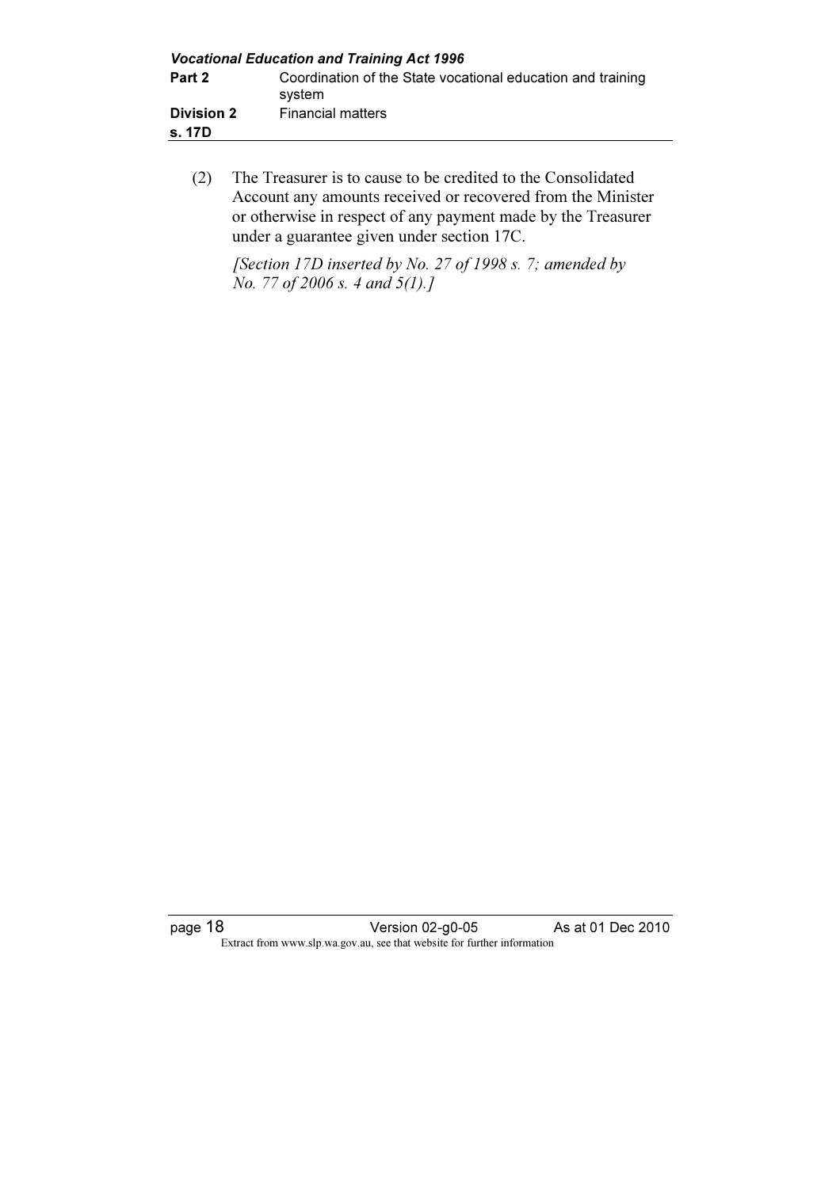| <b>Vocational Education and Training Act 1996</b> |                                                                       |  |
|---------------------------------------------------|-----------------------------------------------------------------------|--|
| Part 2                                            | Coordination of the State vocational education and training<br>system |  |
| <b>Division 2</b>                                 | <b>Financial matters</b>                                              |  |
| s. 17D                                            |                                                                       |  |

 (2) The Treasurer is to cause to be credited to the Consolidated Account any amounts received or recovered from the Minister or otherwise in respect of any payment made by the Treasurer under a guarantee given under section 17C.

 [Section 17D inserted by No. 27 of 1998 s. 7; amended by No. 77 of 2006 s. 4 and 5(1).]

page 18 **Version 02-g0-05** As at 01 Dec 2010 Extract from www.slp.wa.gov.au, see that website for further information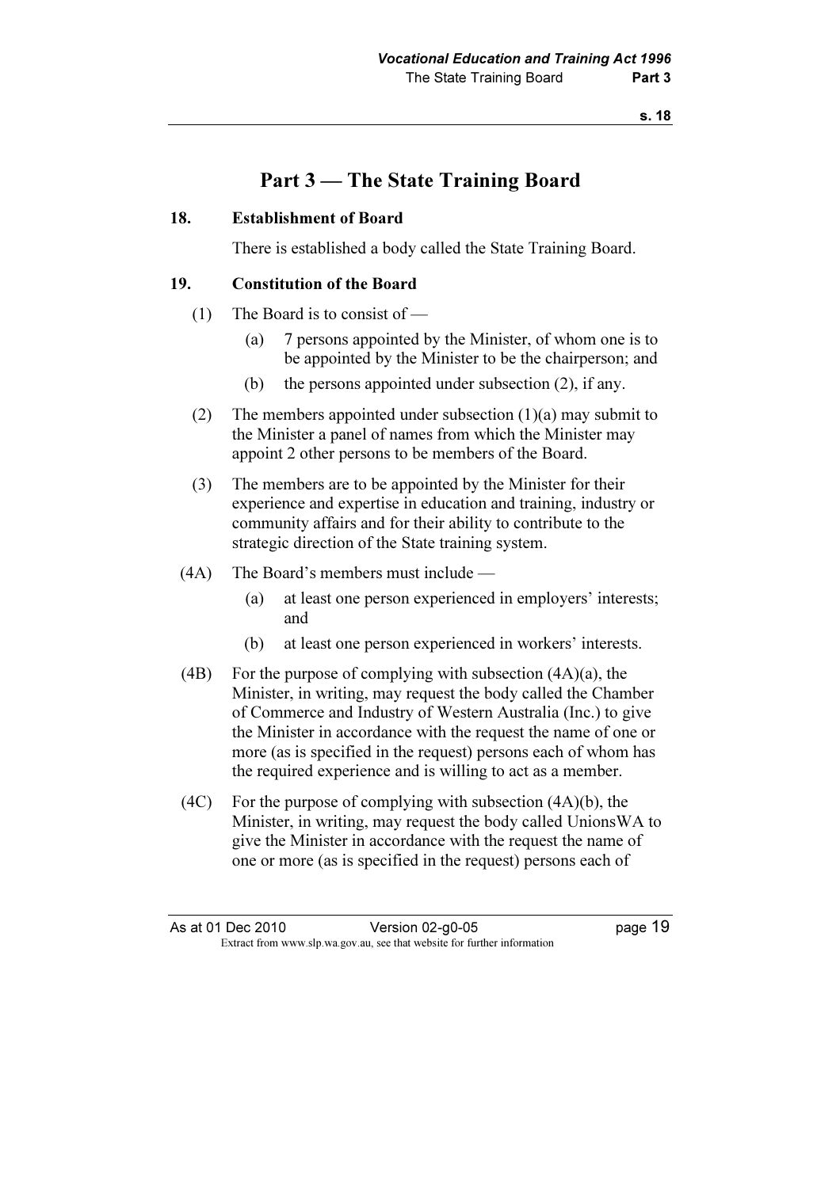## Part 3 — The State Training Board

#### 18. Establishment of Board

There is established a body called the State Training Board.

#### 19. Constitution of the Board

- (1) The Board is to consist of
	- (a) 7 persons appointed by the Minister, of whom one is to be appointed by the Minister to be the chairperson; and
	- (b) the persons appointed under subsection (2), if any.
- (2) The members appointed under subsection  $(1)(a)$  may submit to the Minister a panel of names from which the Minister may appoint 2 other persons to be members of the Board.
- (3) The members are to be appointed by the Minister for their experience and expertise in education and training, industry or community affairs and for their ability to contribute to the strategic direction of the State training system.
- (4A) The Board's members must include
	- (a) at least one person experienced in employers' interests; and
	- (b) at least one person experienced in workers' interests.
- (4B) For the purpose of complying with subsection (4A)(a), the Minister, in writing, may request the body called the Chamber of Commerce and Industry of Western Australia (Inc.) to give the Minister in accordance with the request the name of one or more (as is specified in the request) persons each of whom has the required experience and is willing to act as a member.
- (4C) For the purpose of complying with subsection  $(4A)(b)$ , the Minister, in writing, may request the body called UnionsWA to give the Minister in accordance with the request the name of one or more (as is specified in the request) persons each of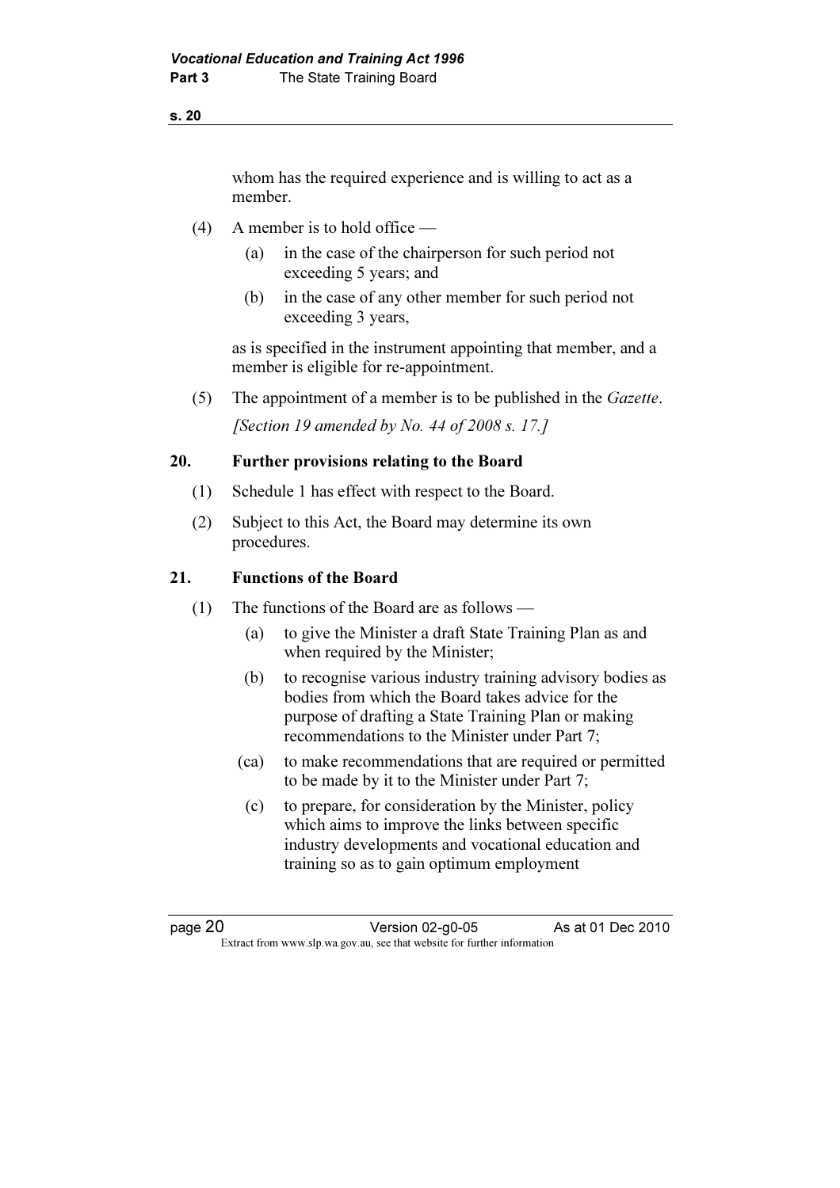whom has the required experience and is willing to act as a member.

- (4) A member is to hold office
	- (a) in the case of the chairperson for such period not exceeding 5 years; and
	- (b) in the case of any other member for such period not exceeding 3 years,

 as is specified in the instrument appointing that member, and a member is eligible for re-appointment.

 (5) The appointment of a member is to be published in the Gazette. [Section 19 amended by No. 44 of 2008 s. 17.]

#### 20. Further provisions relating to the Board

- (1) Schedule 1 has effect with respect to the Board.
- (2) Subject to this Act, the Board may determine its own procedures.

#### 21. Functions of the Board

- (1) The functions of the Board are as follows
	- (a) to give the Minister a draft State Training Plan as and when required by the Minister;
	- (b) to recognise various industry training advisory bodies as bodies from which the Board takes advice for the purpose of drafting a State Training Plan or making recommendations to the Minister under Part 7;
	- (ca) to make recommendations that are required or permitted to be made by it to the Minister under Part 7;
	- (c) to prepare, for consideration by the Minister, policy which aims to improve the links between specific industry developments and vocational education and training so as to gain optimum employment

page 20 Version 02-g0-05 As at 01 Dec 2010<br>Extract from www.slp.wa.gov.au, see that website for further information  $\mathbf{F}$  from which we be the website for further information for further information  $\mathbf{F}$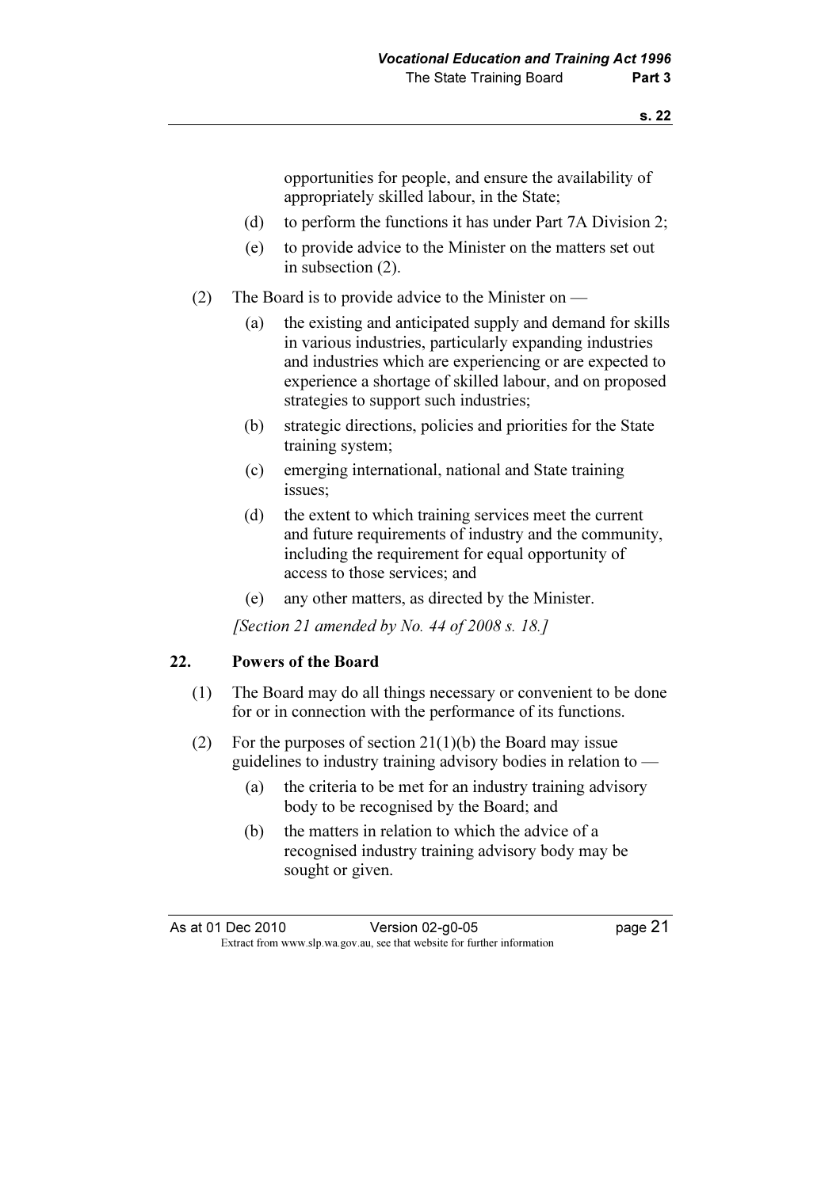opportunities for people, and ensure the availability of appropriately skilled labour, in the State;

- (d) to perform the functions it has under Part 7A Division 2;
- (e) to provide advice to the Minister on the matters set out in subsection (2).
- (2) The Board is to provide advice to the Minister on
	- (a) the existing and anticipated supply and demand for skills in various industries, particularly expanding industries and industries which are experiencing or are expected to experience a shortage of skilled labour, and on proposed strategies to support such industries;
	- (b) strategic directions, policies and priorities for the State training system;
	- (c) emerging international, national and State training issues;
	- (d) the extent to which training services meet the current and future requirements of industry and the community, including the requirement for equal opportunity of access to those services; and
	- (e) any other matters, as directed by the Minister.

[Section 21 amended by No. 44 of  $2008 s$ , 18.]

## 22. Powers of the Board

- (1) The Board may do all things necessary or convenient to be done for or in connection with the performance of its functions.
- (2) For the purposes of section  $21(1)(b)$  the Board may issue guidelines to industry training advisory bodies in relation to —
	- (a) the criteria to be met for an industry training advisory body to be recognised by the Board; and
	- (b) the matters in relation to which the advice of a recognised industry training advisory body may be sought or given.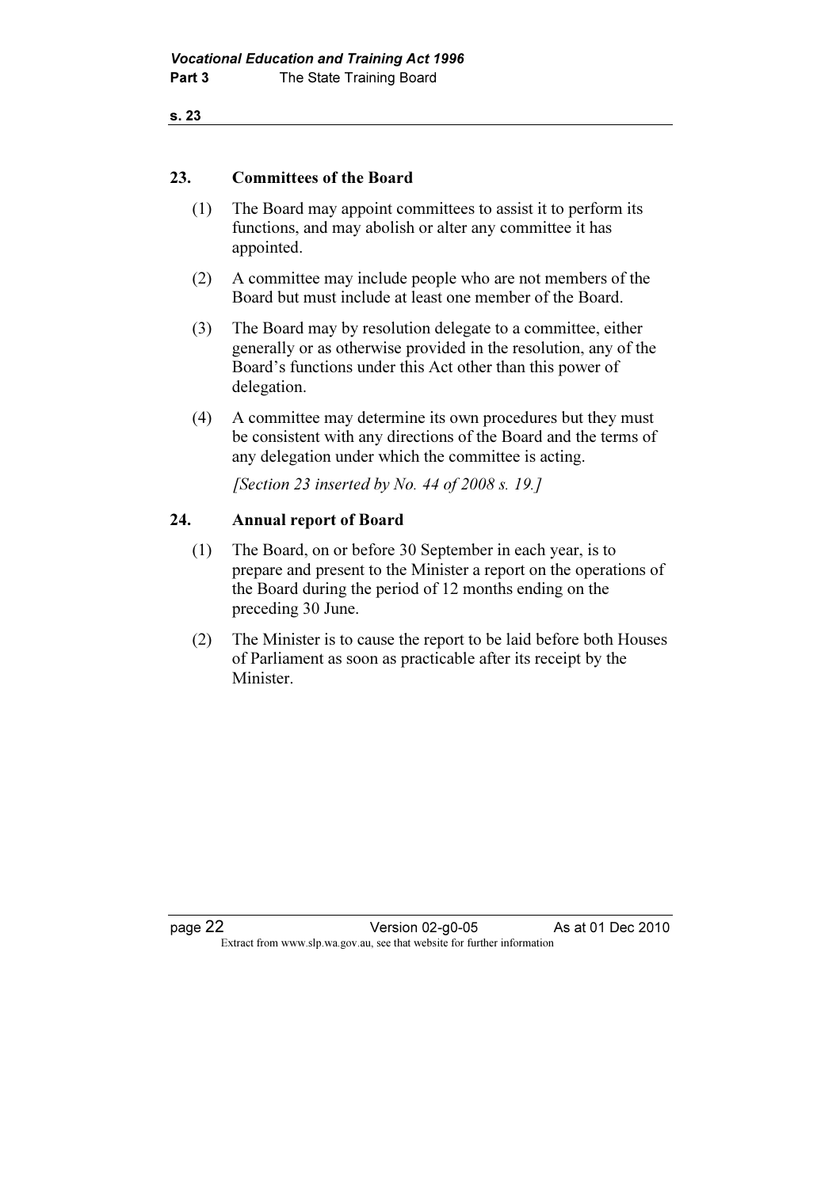#### s. 23

#### 23. Committees of the Board

- (1) The Board may appoint committees to assist it to perform its functions, and may abolish or alter any committee it has appointed.
- (2) A committee may include people who are not members of the Board but must include at least one member of the Board.
- (3) The Board may by resolution delegate to a committee, either generally or as otherwise provided in the resolution, any of the Board's functions under this Act other than this power of delegation.
- (4) A committee may determine its own procedures but they must be consistent with any directions of the Board and the terms of any delegation under which the committee is acting.

[Section 23 inserted by No. 44 of 2008 s. 19.]

## 24. Annual report of Board

- (1) The Board, on or before 30 September in each year, is to prepare and present to the Minister a report on the operations of the Board during the period of 12 months ending on the preceding 30 June.
- (2) The Minister is to cause the report to be laid before both Houses of Parliament as soon as practicable after its receipt by the Minister.

page 22 Version 02-g0-05 As at 01 Dec 2010<br>Extract from www.slp.wa.gov.au, see that website for further information  $\mathbf{F}$  from which we be the website for further information for further information  $\mathbf{F}$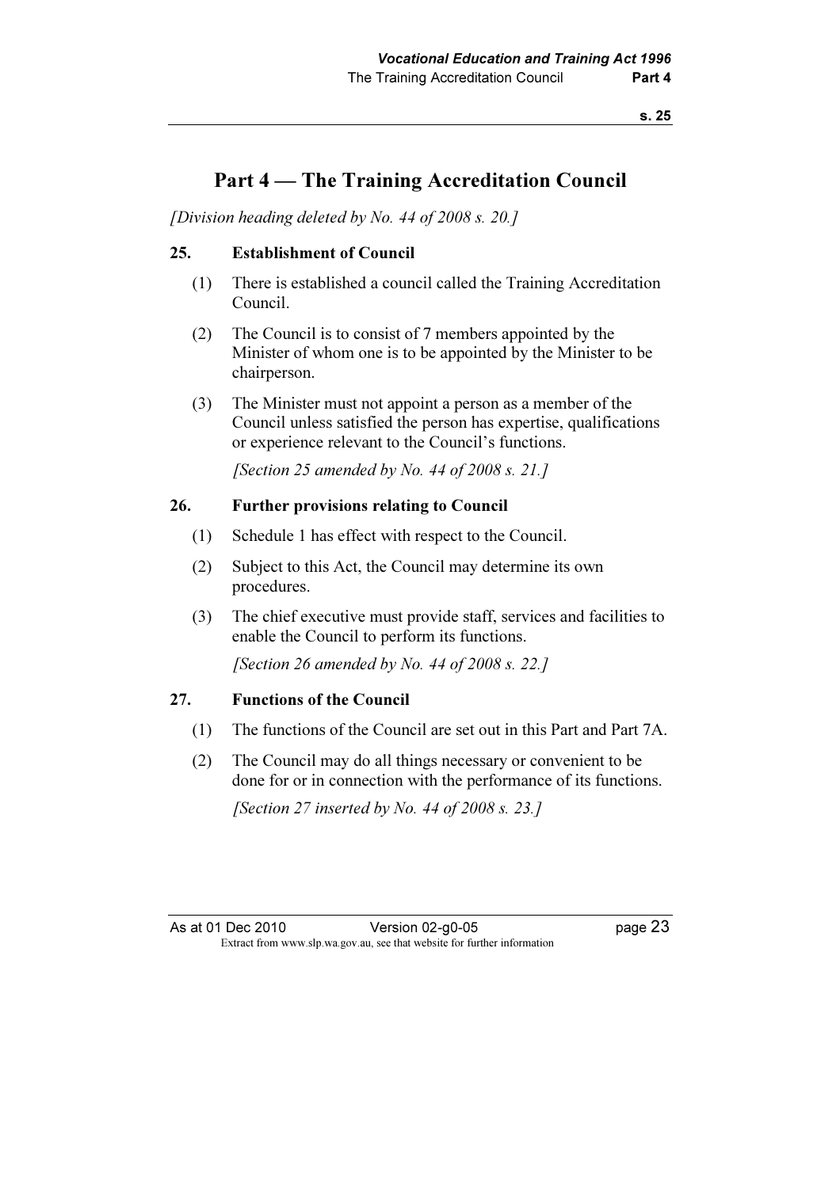## Part 4 — The Training Accreditation Council

[Division heading deleted by No. 44 of 2008 s. 20.]

### 25. Establishment of Council

- (1) There is established a council called the Training Accreditation Council.
- (2) The Council is to consist of 7 members appointed by the Minister of whom one is to be appointed by the Minister to be chairperson.
- (3) The Minister must not appoint a person as a member of the Council unless satisfied the person has expertise, qualifications or experience relevant to the Council's functions.

[Section 25 amended by No. 44 of 2008 s. 21.]

#### 26. Further provisions relating to Council

- (1) Schedule 1 has effect with respect to the Council.
- (2) Subject to this Act, the Council may determine its own procedures.
- (3) The chief executive must provide staff, services and facilities to enable the Council to perform its functions.

[Section 26 amended by No. 44 of 2008 s. 22.]

#### 27. Functions of the Council

- (1) The functions of the Council are set out in this Part and Part 7A.
- (2) The Council may do all things necessary or convenient to be done for or in connection with the performance of its functions.

[Section 27 inserted by No. 44 of 2008 s. 23.]

As at 01 Dec 2010 Version 02-g0-05 page 23<br>Extract from www.slp.wa.gov.au, see that website for further information  $\mathbf{F}$  from which we be the website for further information for further information  $\mathbf{F}$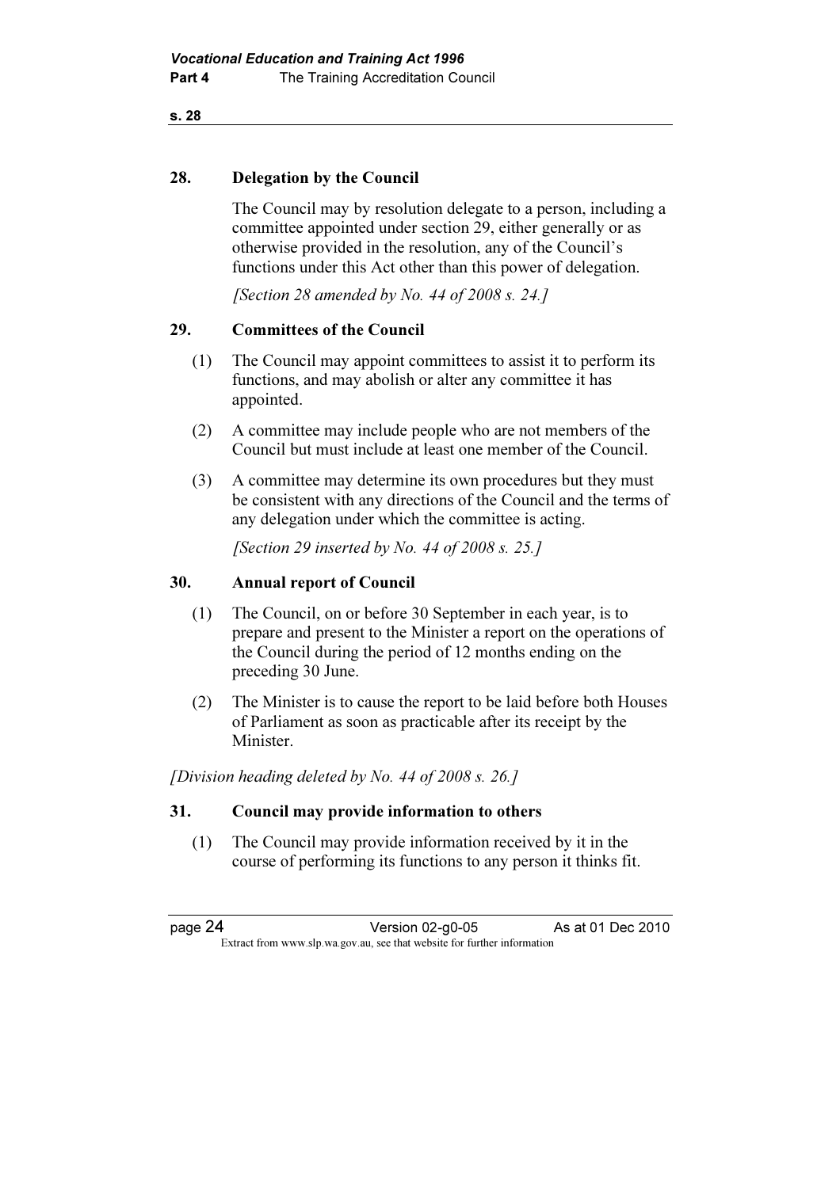s. 28

### 28. Delegation by the Council

 The Council may by resolution delegate to a person, including a committee appointed under section 29, either generally or as otherwise provided in the resolution, any of the Council's functions under this Act other than this power of delegation.

[Section 28 amended by No. 44 of 2008 s. 24.]

#### 29. Committees of the Council

- (1) The Council may appoint committees to assist it to perform its functions, and may abolish or alter any committee it has appointed.
- (2) A committee may include people who are not members of the Council but must include at least one member of the Council.
- (3) A committee may determine its own procedures but they must be consistent with any directions of the Council and the terms of any delegation under which the committee is acting.

[Section 29 inserted by No. 44 of 2008 s. 25.]

#### 30. Annual report of Council

- (1) The Council, on or before 30 September in each year, is to prepare and present to the Minister a report on the operations of the Council during the period of 12 months ending on the preceding 30 June.
- (2) The Minister is to cause the report to be laid before both Houses of Parliament as soon as practicable after its receipt by the Minister.

[Division heading deleted by No. 44 of 2008 s. 26.]

#### 31. Council may provide information to others

 (1) The Council may provide information received by it in the course of performing its functions to any person it thinks fit.

page 24 Version 02-g0-05 As at 01 Dec 2010<br>Extract from www.slp.wa.gov.au, see that website for further information  $\mathbf{F}$  from which we be the website for further information for further information  $\mathbf{F}$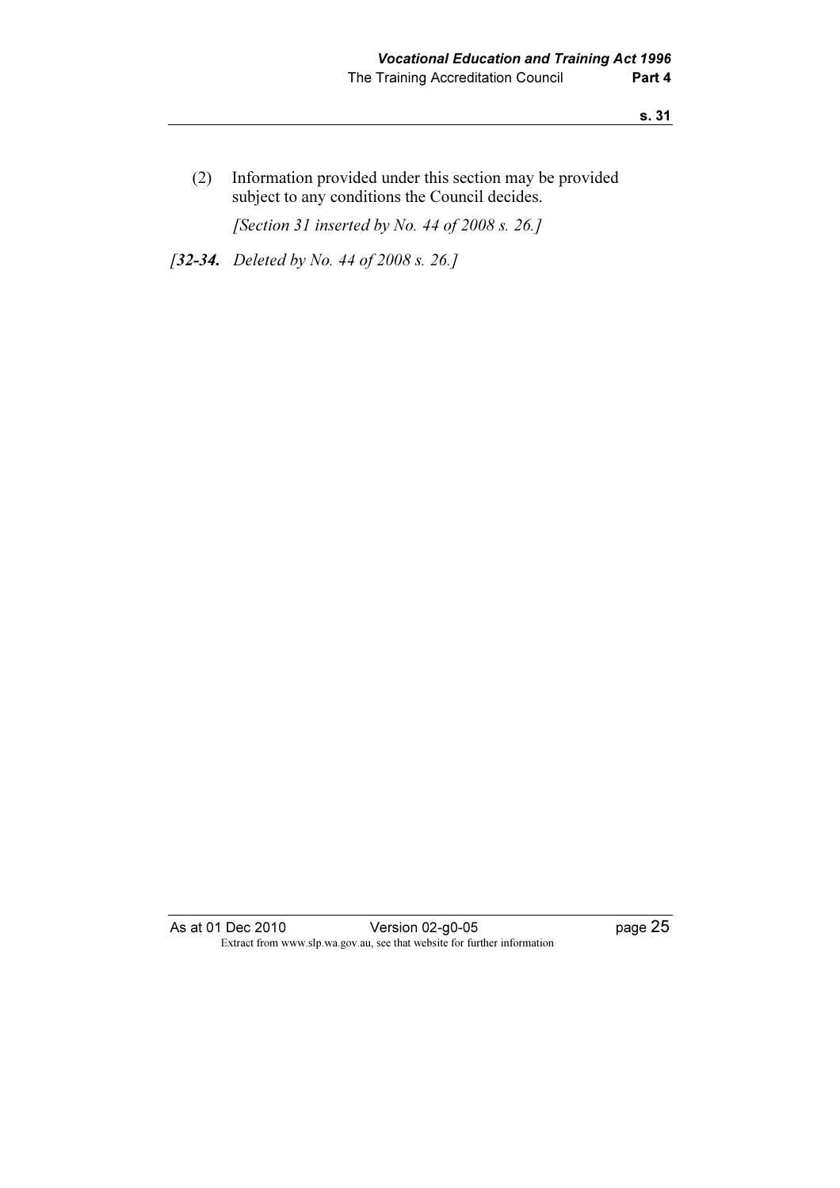- (2) Information provided under this section may be provided subject to any conditions the Council decides. [Section 31 inserted by No. 44 of 2008 s. 26.]
- [32-34. Deleted by No. 44 of 2008 s. 26.]

As at 01 Dec 2010 Version 02-g0-05 page 25 Extract from www.slp.wa.gov.au, see that website for further information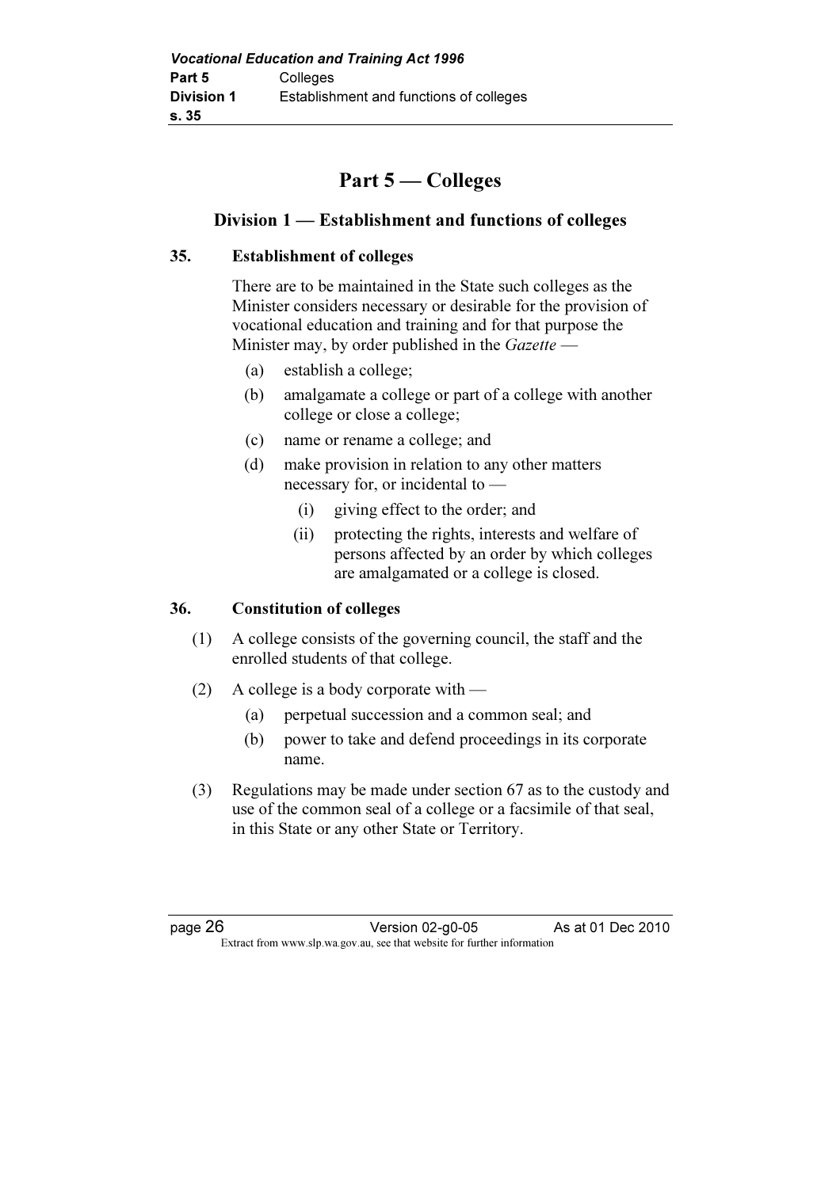## Part 5 — Colleges

## Division 1 — Establishment and functions of colleges

## 35. Establishment of colleges

 There are to be maintained in the State such colleges as the Minister considers necessary or desirable for the provision of vocational education and training and for that purpose the Minister may, by order published in the Gazette —

- (a) establish a college;
- (b) amalgamate a college or part of a college with another college or close a college;
- (c) name or rename a college; and
- (d) make provision in relation to any other matters necessary for, or incidental to —
	- (i) giving effect to the order; and
	- (ii) protecting the rights, interests and welfare of persons affected by an order by which colleges are amalgamated or a college is closed.

## 36. Constitution of colleges

- (1) A college consists of the governing council, the staff and the enrolled students of that college.
- (2) A college is a body corporate with
	- (a) perpetual succession and a common seal; and
	- (b) power to take and defend proceedings in its corporate name.
- (3) Regulations may be made under section 67 as to the custody and use of the common seal of a college or a facsimile of that seal, in this State or any other State or Territory.

page 26 **Version 02-g0-05** As at 01 Dec 2010  $\mathbf{F}$  from which we be the website for further information for further information  $\mathbf{F}$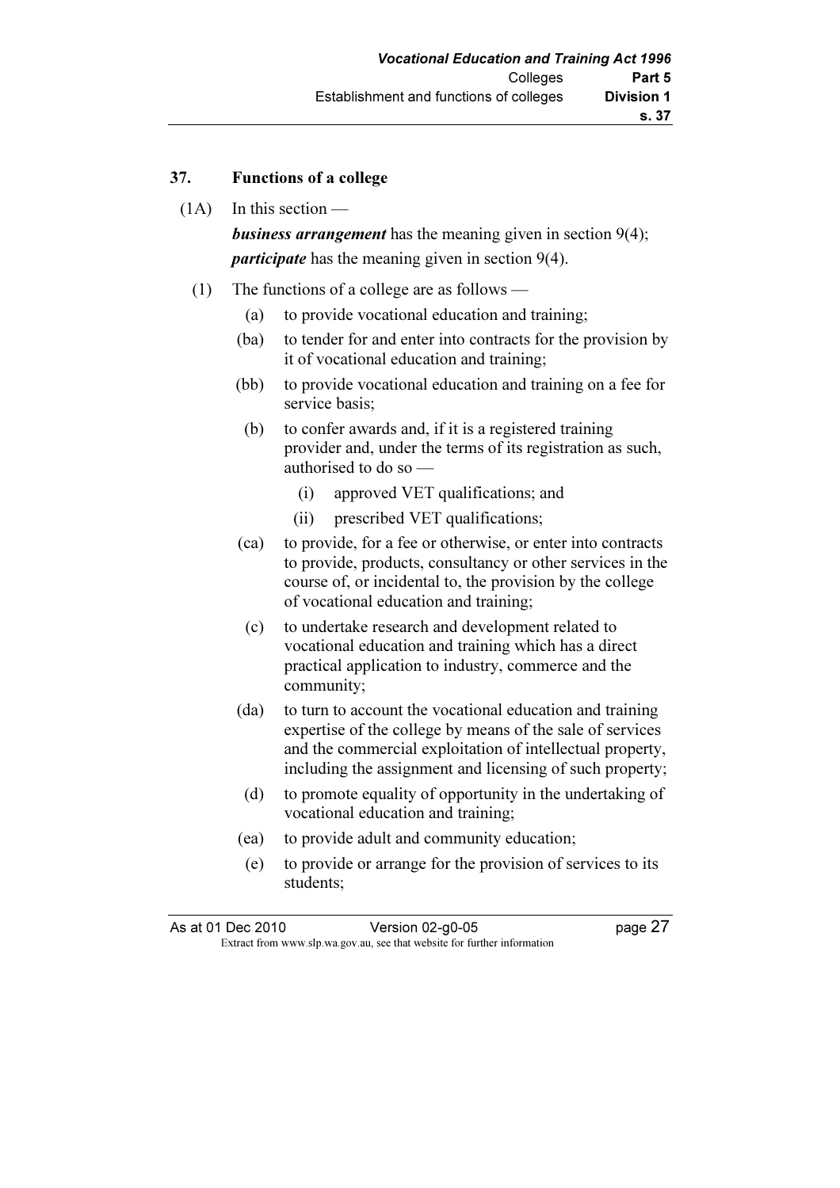#### 37. Functions of a college

(1A) In this section —

**business arrangement** has the meaning given in section  $9(4)$ ; *participate* has the meaning given in section 9(4).

- (1) The functions of a college are as follows
	- (a) to provide vocational education and training;
	- (ba) to tender for and enter into contracts for the provision by it of vocational education and training;
	- (bb) to provide vocational education and training on a fee for service basis;
	- (b) to confer awards and, if it is a registered training provider and, under the terms of its registration as such, authorised to do so —
		- (i) approved VET qualifications; and
		- (ii) prescribed VET qualifications;
	- (ca) to provide, for a fee or otherwise, or enter into contracts to provide, products, consultancy or other services in the course of, or incidental to, the provision by the college of vocational education and training;
	- (c) to undertake research and development related to vocational education and training which has a direct practical application to industry, commerce and the community;
	- (da) to turn to account the vocational education and training expertise of the college by means of the sale of services and the commercial exploitation of intellectual property, including the assignment and licensing of such property;
	- (d) to promote equality of opportunity in the undertaking of vocational education and training;
	- (ea) to provide adult and community education;
	- (e) to provide or arrange for the provision of services to its students;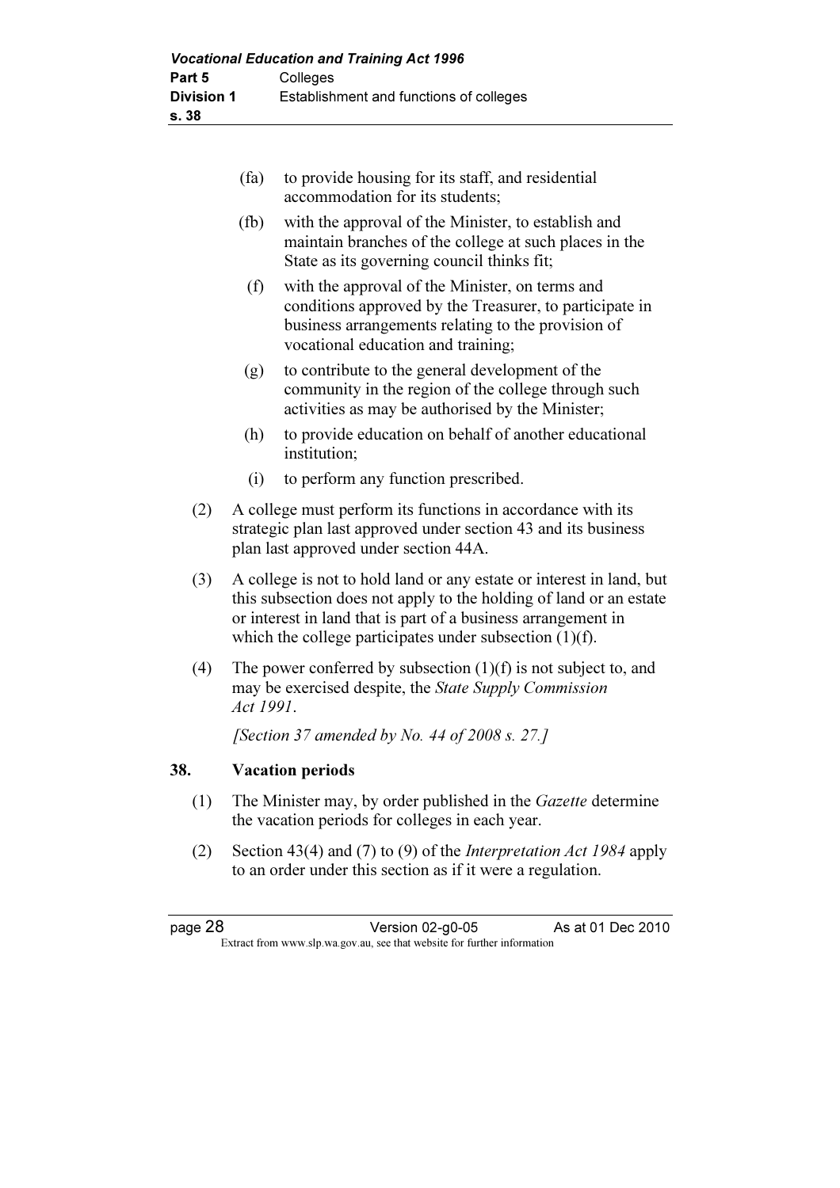|     | (fa)                                                                                                                                                                                                                                                                      | to provide housing for its staff, and residential<br>accommodation for its students;                                                                                                                   |
|-----|---------------------------------------------------------------------------------------------------------------------------------------------------------------------------------------------------------------------------------------------------------------------------|--------------------------------------------------------------------------------------------------------------------------------------------------------------------------------------------------------|
|     | (fb)                                                                                                                                                                                                                                                                      | with the approval of the Minister, to establish and<br>maintain branches of the college at such places in the<br>State as its governing council thinks fit;                                            |
|     | (f)                                                                                                                                                                                                                                                                       | with the approval of the Minister, on terms and<br>conditions approved by the Treasurer, to participate in<br>business arrangements relating to the provision of<br>vocational education and training; |
|     | (g)                                                                                                                                                                                                                                                                       | to contribute to the general development of the<br>community in the region of the college through such<br>activities as may be authorised by the Minister;                                             |
|     | (h)                                                                                                                                                                                                                                                                       | to provide education on behalf of another educational<br>institution;                                                                                                                                  |
|     | (i)                                                                                                                                                                                                                                                                       | to perform any function prescribed.                                                                                                                                                                    |
| (2) | A college must perform its functions in accordance with its<br>strategic plan last approved under section 43 and its business<br>plan last approved under section 44A.                                                                                                    |                                                                                                                                                                                                        |
| (3) | A college is not to hold land or any estate or interest in land, but<br>this subsection does not apply to the holding of land or an estate<br>or interest in land that is part of a business arrangement in<br>which the college participates under subsection $(1)(f)$ . |                                                                                                                                                                                                        |
| (4) | The power conferred by subsection $(1)(f)$ is not subject to, and<br>may be exercised despite, the State Supply Commission<br>Act 1991.                                                                                                                                   |                                                                                                                                                                                                        |

[Section 37 amended by No. 44 of 2008 s. 27.]

## 38. Vacation periods

- (1) The Minister may, by order published in the Gazette determine the vacation periods for colleges in each year.
- (2) Section 43(4) and (7) to (9) of the Interpretation Act 1984 apply to an order under this section as if it were a regulation.

page 28 **Version 02-g0-05** As at 01 Dec 2010 Extract from www.slp.wa.gov.au, see that website for further information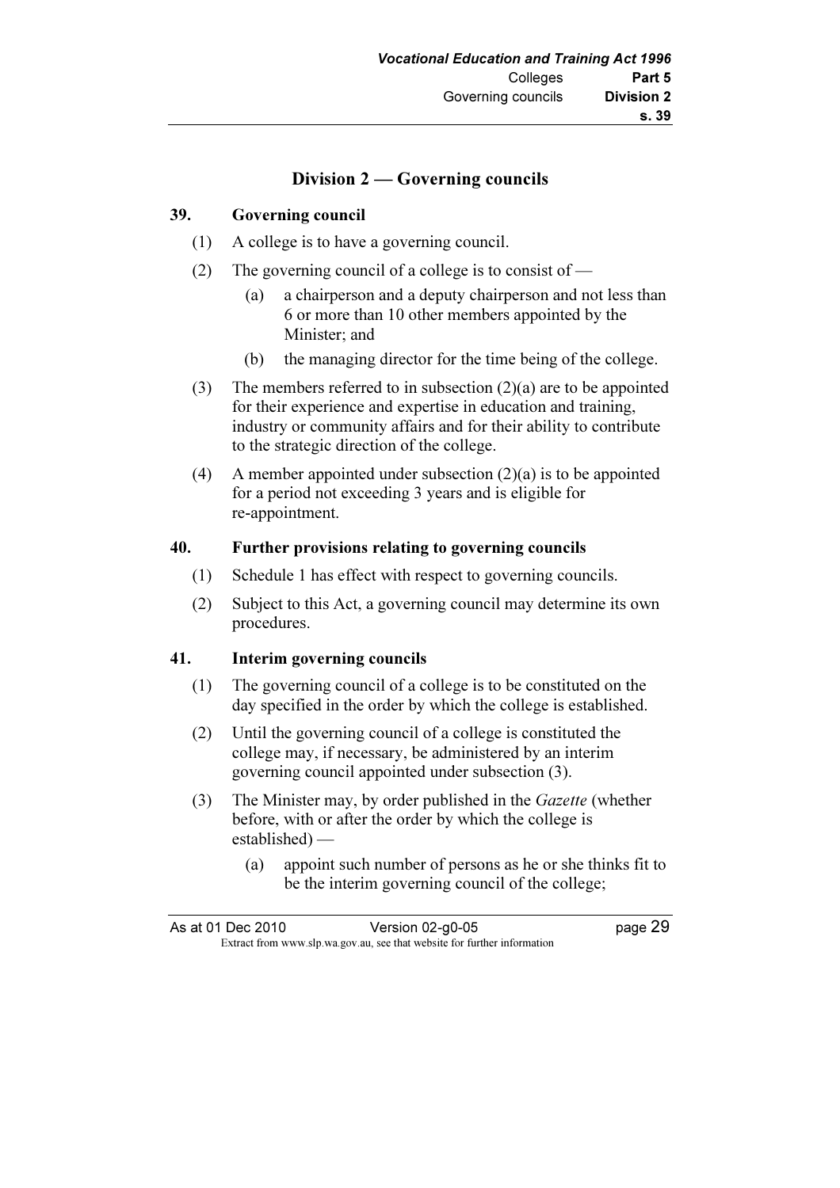## Division 2 — Governing councils

#### 39. Governing council

- (1) A college is to have a governing council.
- (2) The governing council of a college is to consist of
	- (a) a chairperson and a deputy chairperson and not less than 6 or more than 10 other members appointed by the Minister; and
	- (b) the managing director for the time being of the college.
- (3) The members referred to in subsection  $(2)(a)$  are to be appointed for their experience and expertise in education and training, industry or community affairs and for their ability to contribute to the strategic direction of the college.
- (4) A member appointed under subsection (2)(a) is to be appointed for a period not exceeding 3 years and is eligible for re-appointment.

### 40. Further provisions relating to governing councils

- (1) Schedule 1 has effect with respect to governing councils.
- (2) Subject to this Act, a governing council may determine its own procedures.

## 41. Interim governing councils

- (1) The governing council of a college is to be constituted on the day specified in the order by which the college is established.
- (2) Until the governing council of a college is constituted the college may, if necessary, be administered by an interim governing council appointed under subsection (3).
- (3) The Minister may, by order published in the Gazette (whether before, with or after the order by which the college is established) —
	- (a) appoint such number of persons as he or she thinks fit to be the interim governing council of the college;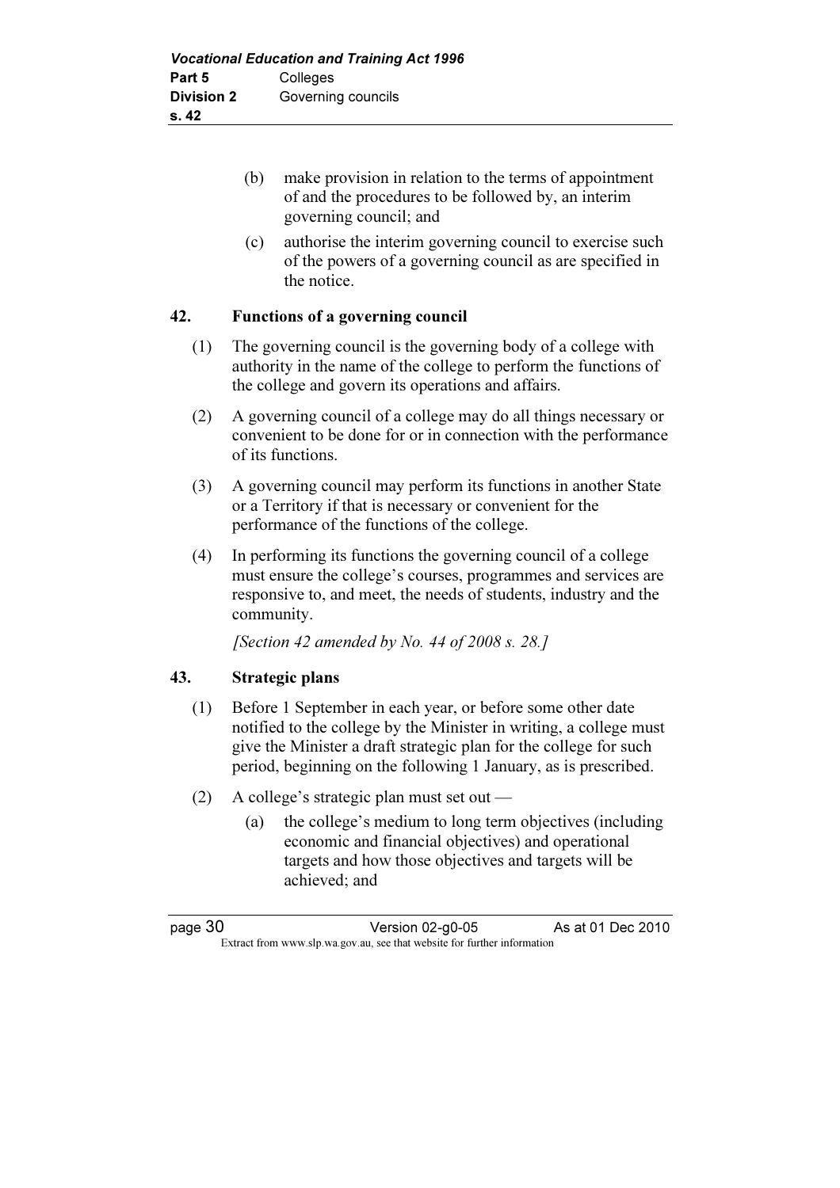- (b) make provision in relation to the terms of appointment of and the procedures to be followed by, an interim governing council; and
- (c) authorise the interim governing council to exercise such of the powers of a governing council as are specified in the notice.

### 42. Functions of a governing council

- (1) The governing council is the governing body of a college with authority in the name of the college to perform the functions of the college and govern its operations and affairs.
- (2) A governing council of a college may do all things necessary or convenient to be done for or in connection with the performance of its functions.
- (3) A governing council may perform its functions in another State or a Territory if that is necessary or convenient for the performance of the functions of the college.
- (4) In performing its functions the governing council of a college must ensure the college's courses, programmes and services are responsive to, and meet, the needs of students, industry and the community.

[Section 42 amended by No. 44 of 2008 s. 28.]

#### 43. Strategic plans

- (1) Before 1 September in each year, or before some other date notified to the college by the Minister in writing, a college must give the Minister a draft strategic plan for the college for such period, beginning on the following 1 January, as is prescribed.
- (2) A college's strategic plan must set out
	- (a) the college's medium to long term objectives (including economic and financial objectives) and operational targets and how those objectives and targets will be achieved; and

page 30 **Version 02-g0-05** As at 01 Dec 2010  $\mathbf{F}$  from which we be the website for further information for further information  $\mathbf{F}$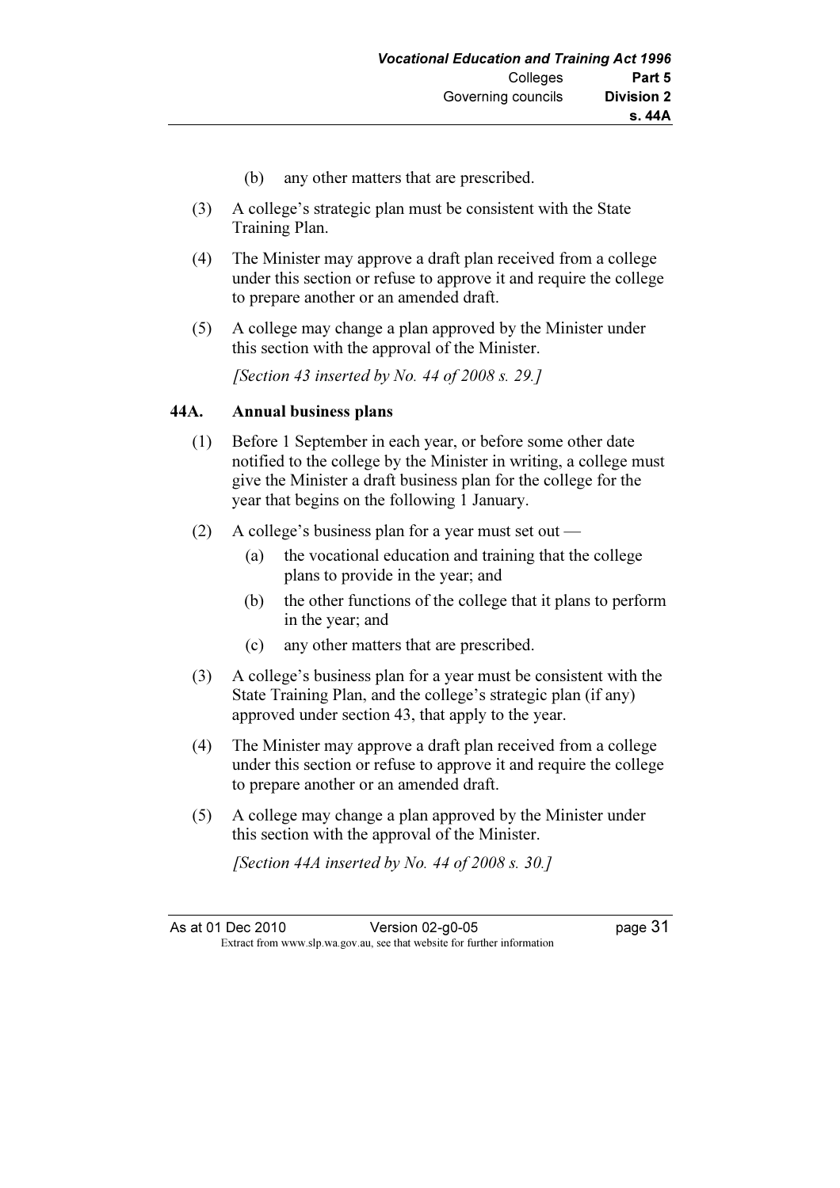- (b) any other matters that are prescribed.
- (3) A college's strategic plan must be consistent with the State Training Plan.
- (4) The Minister may approve a draft plan received from a college under this section or refuse to approve it and require the college to prepare another or an amended draft.
- (5) A college may change a plan approved by the Minister under this section with the approval of the Minister.

[Section 43 inserted by No. 44 of 2008 s. 29.]

### 44A. Annual business plans

- (1) Before 1 September in each year, or before some other date notified to the college by the Minister in writing, a college must give the Minister a draft business plan for the college for the year that begins on the following 1 January.
- (2) A college's business plan for a year must set out
	- (a) the vocational education and training that the college plans to provide in the year; and
	- (b) the other functions of the college that it plans to perform in the year; and
	- (c) any other matters that are prescribed.
- (3) A college's business plan for a year must be consistent with the State Training Plan, and the college's strategic plan (if any) approved under section 43, that apply to the year.
- (4) The Minister may approve a draft plan received from a college under this section or refuse to approve it and require the college to prepare another or an amended draft.
- (5) A college may change a plan approved by the Minister under this section with the approval of the Minister.

[Section 44A inserted by No. 44 of 2008 s. 30.]

As at 01 Dec 2010 Version 02-g0-05 Page 31  $\mathbf{F}$  from which we be the website for further information for further information  $\mathbf{F}$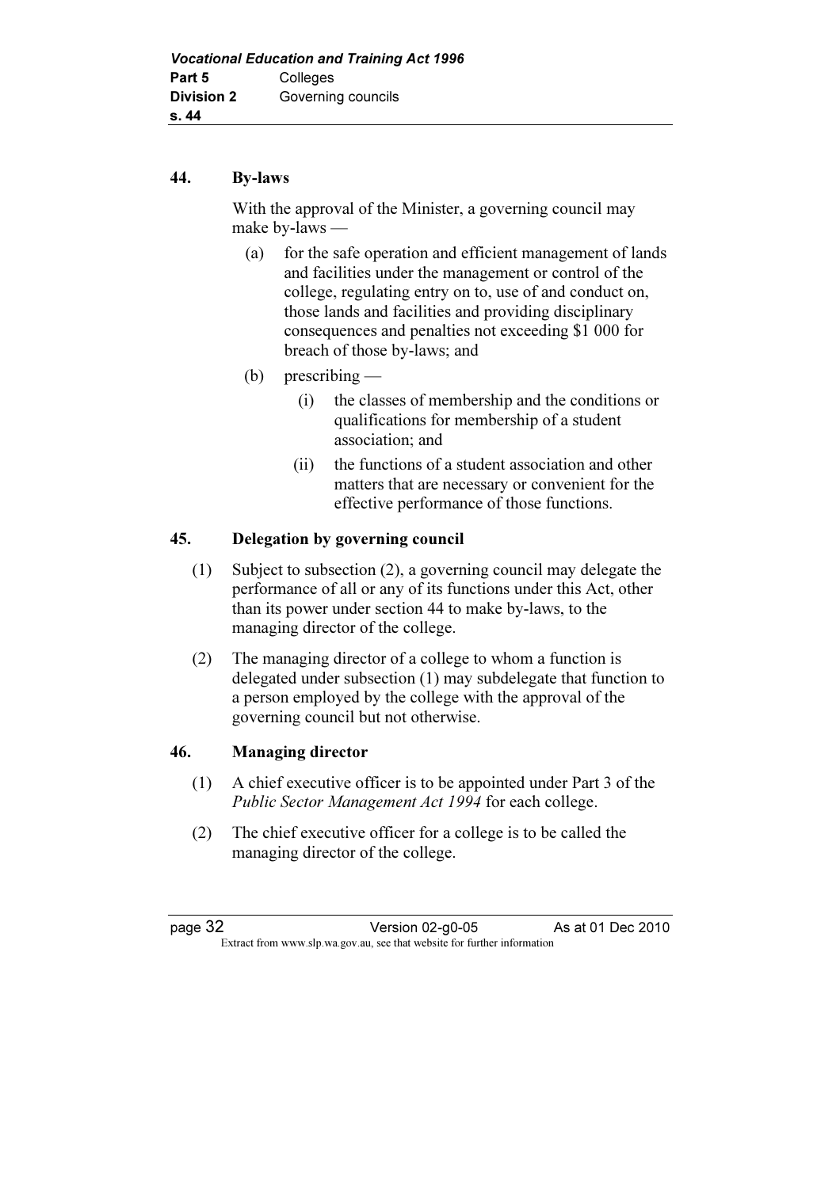## 44. By-laws

 With the approval of the Minister, a governing council may make by-laws —

- (a) for the safe operation and efficient management of lands and facilities under the management or control of the college, regulating entry on to, use of and conduct on, those lands and facilities and providing disciplinary consequences and penalties not exceeding \$1 000 for breach of those by-laws; and
- (b) prescribing
	- (i) the classes of membership and the conditions or qualifications for membership of a student association; and
	- (ii) the functions of a student association and other matters that are necessary or convenient for the effective performance of those functions.

## 45. Delegation by governing council

- (1) Subject to subsection (2), a governing council may delegate the performance of all or any of its functions under this Act, other than its power under section 44 to make by-laws, to the managing director of the college.
- (2) The managing director of a college to whom a function is delegated under subsection (1) may subdelegate that function to a person employed by the college with the approval of the governing council but not otherwise.

## 46. Managing director

- (1) A chief executive officer is to be appointed under Part 3 of the Public Sector Management Act 1994 for each college.
- (2) The chief executive officer for a college is to be called the managing director of the college.

page 32 Version 02-g0-05 As at 01 Dec 2010<br>Extract from www.slp.wa.gov.au, see that website for further information  $\mathbf{F}$  from which we be the website for further information for further information  $\mathbf{F}$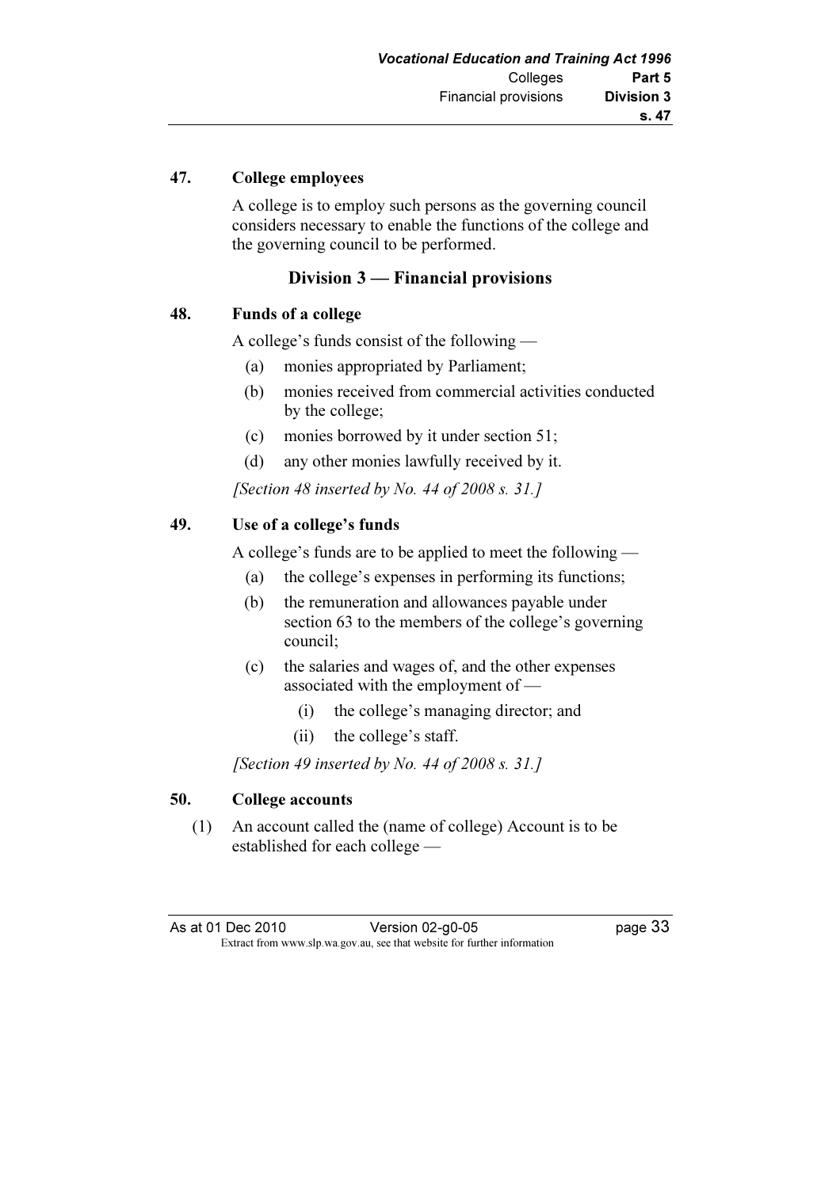### 47. College employees

 A college is to employ such persons as the governing council considers necessary to enable the functions of the college and the governing council to be performed.

## Division 3 — Financial provisions

### 48. Funds of a college

A college's funds consist of the following —

- (a) monies appropriated by Parliament;
- (b) monies received from commercial activities conducted by the college;
- (c) monies borrowed by it under section 51;
- (d) any other monies lawfully received by it.

[Section 48 inserted by No. 44 of 2008 s. 31.]

### 49. Use of a college's funds

A college's funds are to be applied to meet the following —

- (a) the college's expenses in performing its functions;
- (b) the remuneration and allowances payable under section 63 to the members of the college's governing council;
- (c) the salaries and wages of, and the other expenses associated with the employment of —
	- (i) the college's managing director; and
	- (ii) the college's staff.

[Section 49 inserted by No. 44 of 2008 s. 31.]

### 50. College accounts

 (1) An account called the (name of college) Account is to be established for each college —

As at 01 Dec 2010 Version 02-g0-05 page 33<br>Extract from www.slp.wa.gov.au, see that website for further information  $\mathbf{F}$  from which we be the website for further information for further information  $\mathbf{F}$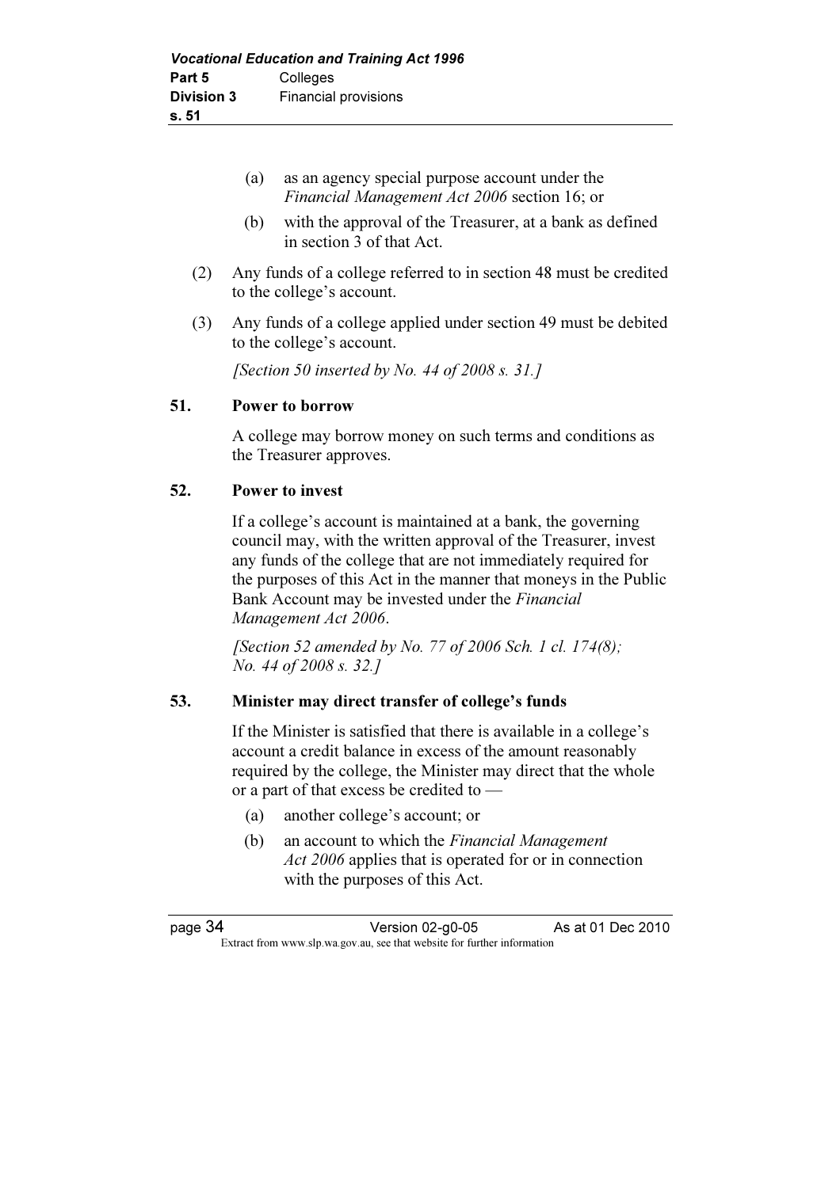51.

|     | as an agency special purpose account under the<br>(a)<br>Financial Management Act 2006 section 16; or                            |  |  |
|-----|----------------------------------------------------------------------------------------------------------------------------------|--|--|
|     | with the approval of the Treasurer, at a bank as defined<br>(b)<br>in section 3 of that Act.                                     |  |  |
| (2) | Any funds of a college referred to in section 48 must be credited<br>to the college's account.                                   |  |  |
| (3) | Any funds of a college applied under section 49 must be debited<br>to the college's account.                                     |  |  |
|     | [Section 50 inserted by No. 44 of 2008 s. 31.]                                                                                   |  |  |
| 51. | Power to borrow                                                                                                                  |  |  |
|     | A college may borrow money on such terms and conditions as<br>the Treasurer approves.                                            |  |  |
| 52. | <b>Power to invest</b>                                                                                                           |  |  |
|     | If a college's account is maintained at a bank, the governing<br>council may, with the written approval of the Treasurer, invest |  |  |

council may, with the written approval of the Treasurer, invest any funds of the college that are not immediately required for the purposes of this Act in the manner that moneys in the Public Bank Account may be invested under the Financial Management Act 2006.

[Section 52 amended by No. 77 of 2006 Sch. 1 cl. 174(8); No. 44 of 2008 s. 32.]

## 53. Minister may direct transfer of college's funds

 If the Minister is satisfied that there is available in a college's account a credit balance in excess of the amount reasonably required by the college, the Minister may direct that the whole or a part of that excess be credited to —

- (a) another college's account; or
- (b) an account to which the Financial Management Act 2006 applies that is operated for or in connection with the purposes of this Act.

| page 34 | Version 02-g0-05                                                         | As at 01 Dec 2010 |
|---------|--------------------------------------------------------------------------|-------------------|
|         | Extract from www.slp.wa.gov.au, see that website for further information |                   |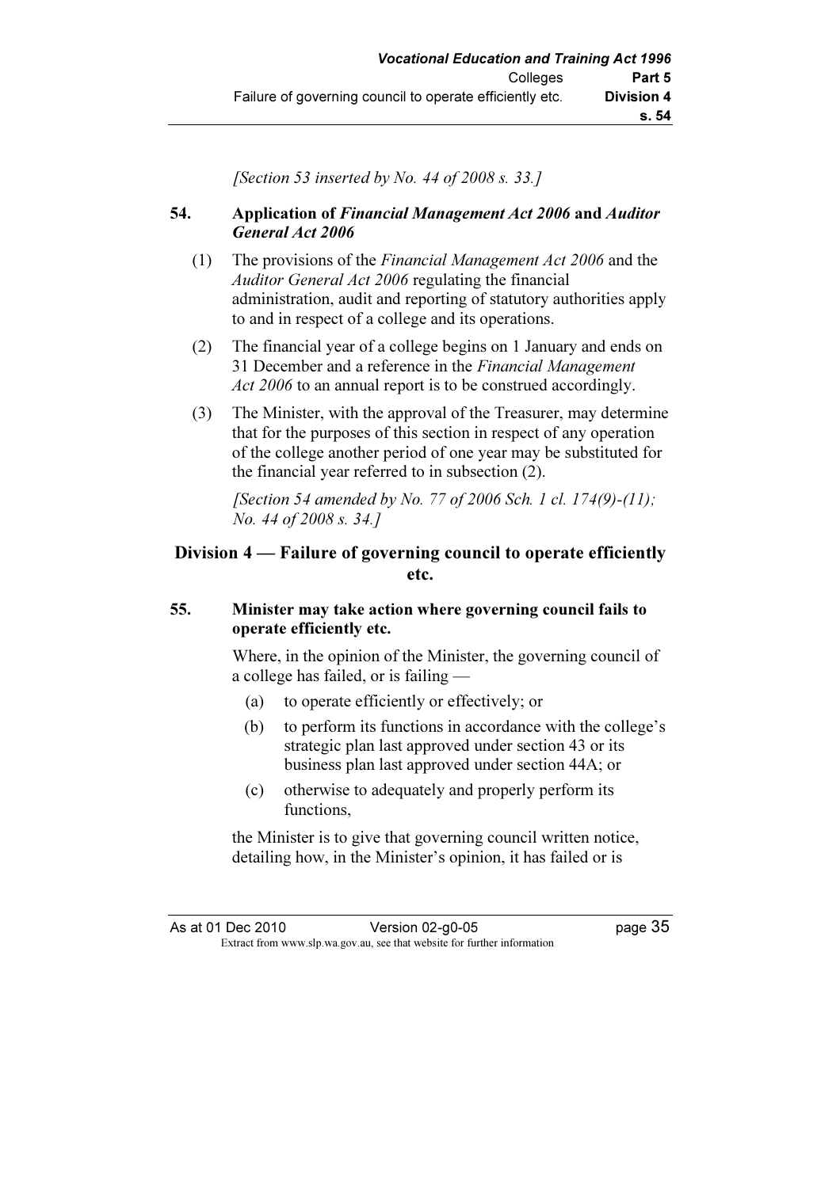[Section 53 inserted by No. 44 of 2008 s. 33.]

## 54. Application of Financial Management Act 2006 and Auditor General Act 2006

- (1) The provisions of the Financial Management Act 2006 and the Auditor General Act 2006 regulating the financial administration, audit and reporting of statutory authorities apply to and in respect of a college and its operations.
- (2) The financial year of a college begins on 1 January and ends on 31 December and a reference in the Financial Management Act 2006 to an annual report is to be construed accordingly.
- (3) The Minister, with the approval of the Treasurer, may determine that for the purposes of this section in respect of any operation of the college another period of one year may be substituted for the financial year referred to in subsection (2).

[Section 54 amended by No. 77 of 2006 Sch. 1 cl. 174(9)-(11); No. 44 of 2008 s. 34.]

## Division 4 — Failure of governing council to operate efficiently etc.

## 55. Minister may take action where governing council fails to operate efficiently etc.

 Where, in the opinion of the Minister, the governing council of a college has failed, or is failing —

- (a) to operate efficiently or effectively; or
- (b) to perform its functions in accordance with the college's strategic plan last approved under section 43 or its business plan last approved under section 44A; or
- (c) otherwise to adequately and properly perform its functions,

 the Minister is to give that governing council written notice, detailing how, in the Minister's opinion, it has failed or is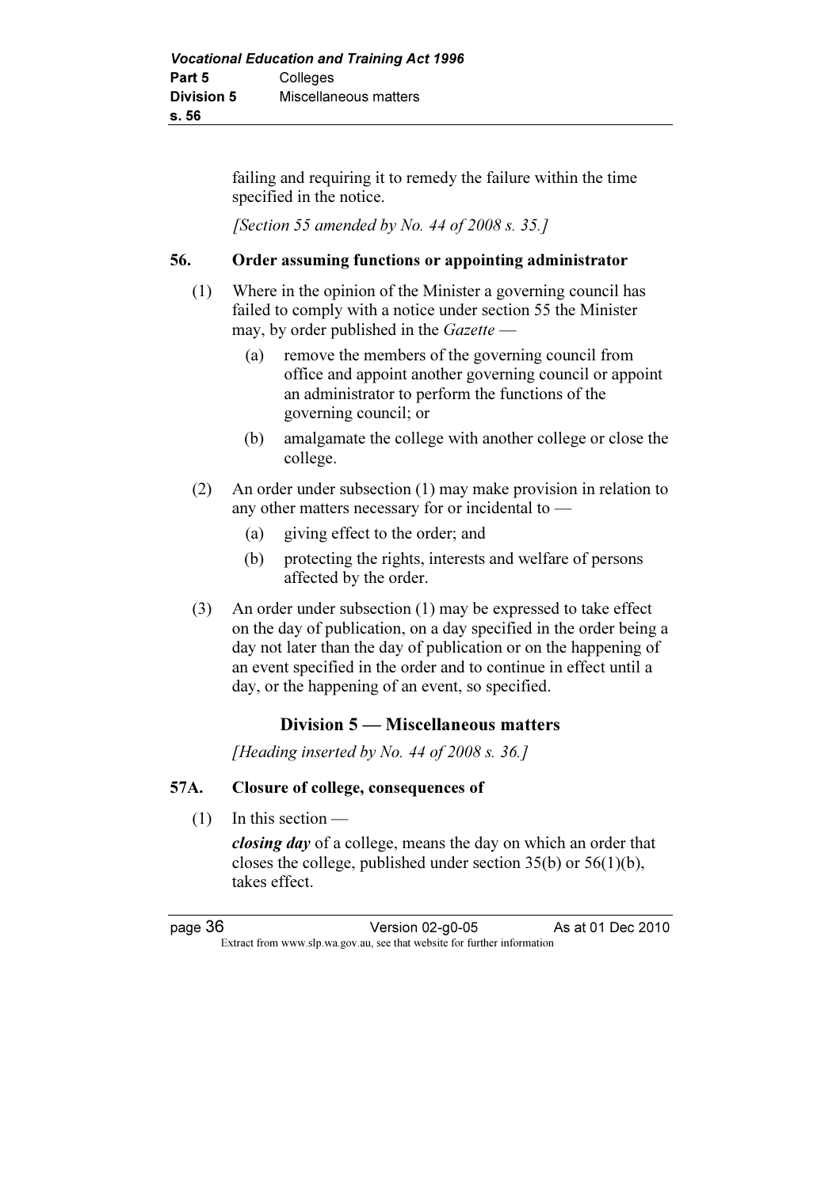failing and requiring it to remedy the failure within the time specified in the notice.

[Section 55 amended by No. 44 of 2008 s. 35.]

## 56. Order assuming functions or appointing administrator

- (1) Where in the opinion of the Minister a governing council has failed to comply with a notice under section 55 the Minister may, by order published in the Gazette —
	- (a) remove the members of the governing council from office and appoint another governing council or appoint an administrator to perform the functions of the governing council; or
	- (b) amalgamate the college with another college or close the college.
- (2) An order under subsection (1) may make provision in relation to any other matters necessary for or incidental to —
	- (a) giving effect to the order; and
	- (b) protecting the rights, interests and welfare of persons affected by the order.
- (3) An order under subsection (1) may be expressed to take effect on the day of publication, on a day specified in the order being a day not later than the day of publication or on the happening of an event specified in the order and to continue in effect until a day, or the happening of an event, so specified.

## Division 5 — Miscellaneous matters

[Heading inserted by No. 44 of 2008 s. 36.]

## 57A. Closure of college, consequences of

 $(1)$  In this section —

closing day of a college, means the day on which an order that closes the college, published under section 35(b) or 56(1)(b), takes effect.

page 36 Version 02-g0-05 As at 01 Dec 2010<br>Extract from www.slp.wa.gov.au, see that website for further information  $\mathbf{F}$  from which we be the website for further information for further information  $\mathbf{F}$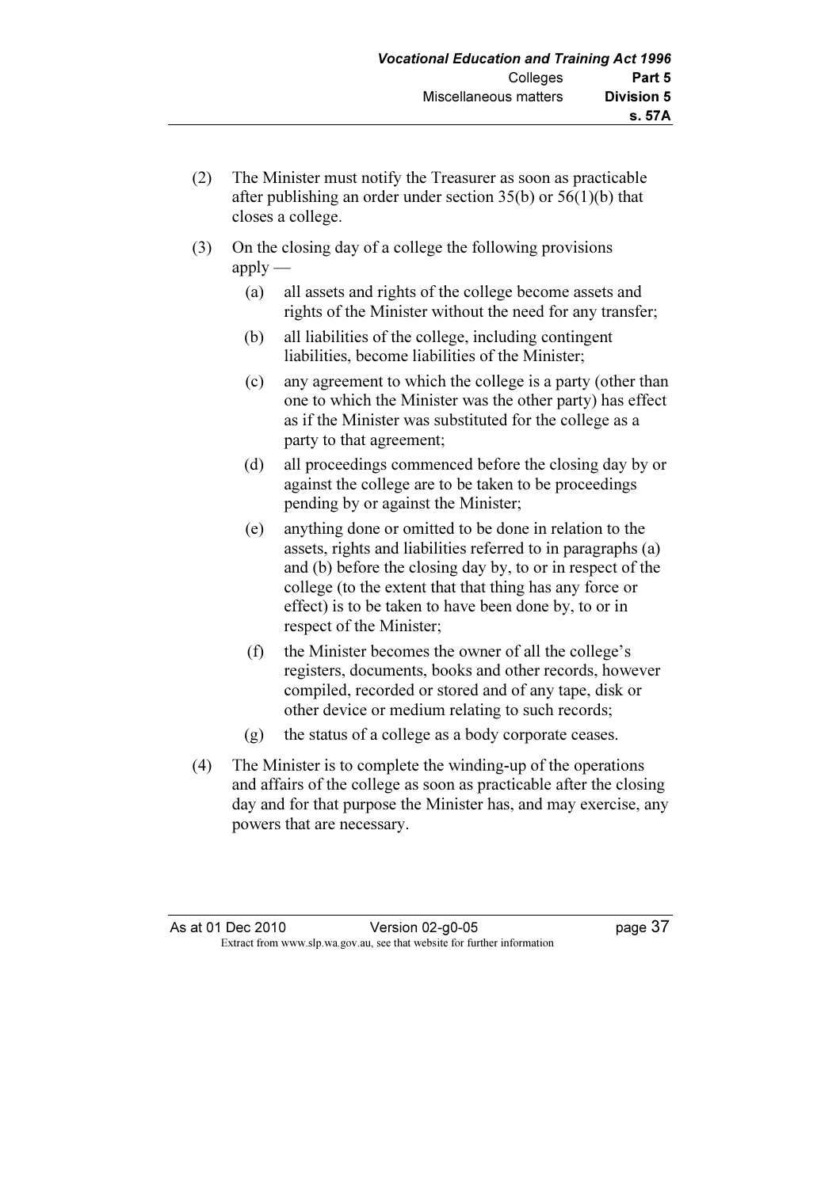- (2) The Minister must notify the Treasurer as soon as practicable after publishing an order under section 35(b) or 56(1)(b) that closes a college.
- (3) On the closing day of a college the following provisions apply —
	- (a) all assets and rights of the college become assets and rights of the Minister without the need for any transfer;
	- (b) all liabilities of the college, including contingent liabilities, become liabilities of the Minister;
	- (c) any agreement to which the college is a party (other than one to which the Minister was the other party) has effect as if the Minister was substituted for the college as a party to that agreement;
	- (d) all proceedings commenced before the closing day by or against the college are to be taken to be proceedings pending by or against the Minister;
	- (e) anything done or omitted to be done in relation to the assets, rights and liabilities referred to in paragraphs (a) and (b) before the closing day by, to or in respect of the college (to the extent that that thing has any force or effect) is to be taken to have been done by, to or in respect of the Minister;
	- (f) the Minister becomes the owner of all the college's registers, documents, books and other records, however compiled, recorded or stored and of any tape, disk or other device or medium relating to such records;
	- (g) the status of a college as a body corporate ceases.
- (4) The Minister is to complete the winding-up of the operations and affairs of the college as soon as practicable after the closing day and for that purpose the Minister has, and may exercise, any powers that are necessary.

As at 01 Dec 2010 Version 02-g0-05 Page 37  $\mathbf{F}$  from which we be the website for further information for further information  $\mathbf{F}$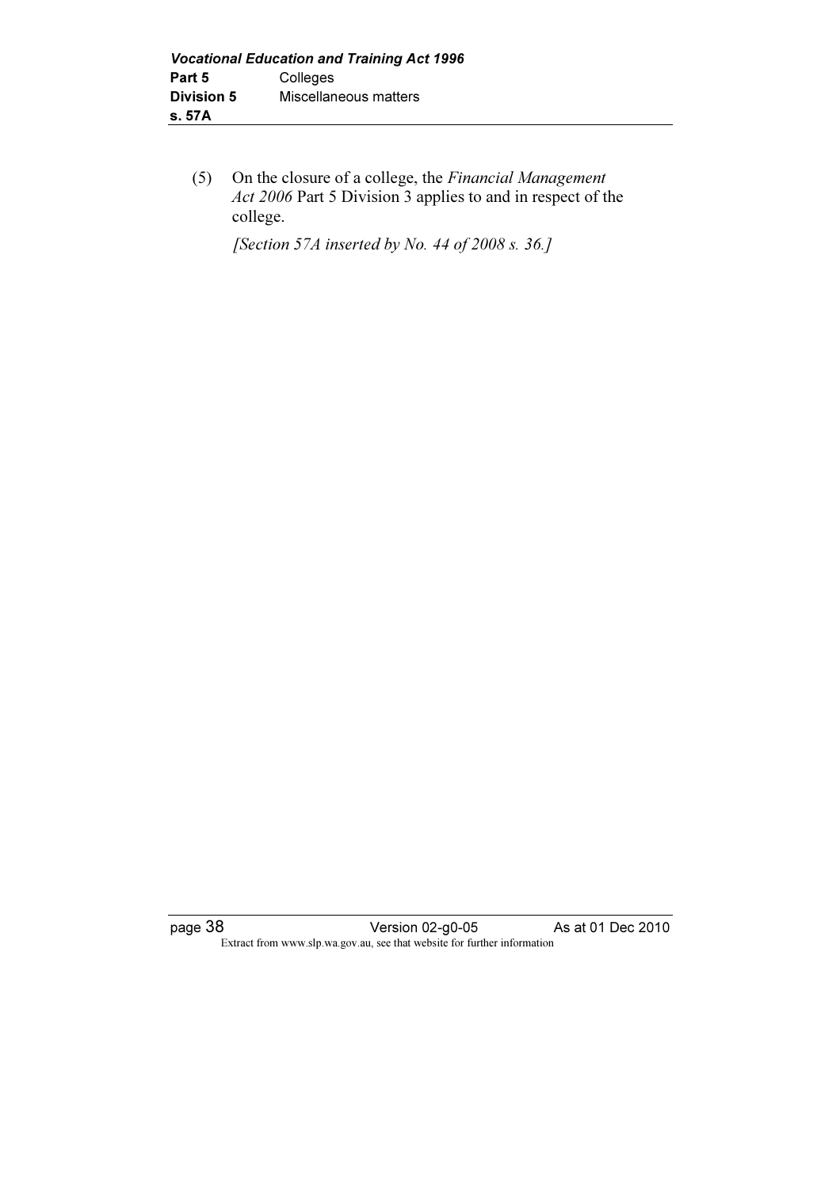(5) On the closure of a college, the Financial Management Act 2006 Part 5 Division 3 applies to and in respect of the college.

[Section 57A inserted by No. 44 of 2008 s. 36.]

page 38 Version 02-g0-05 As at 01 Dec 2010 Extract from www.slp.wa.gov.au, see that website for further information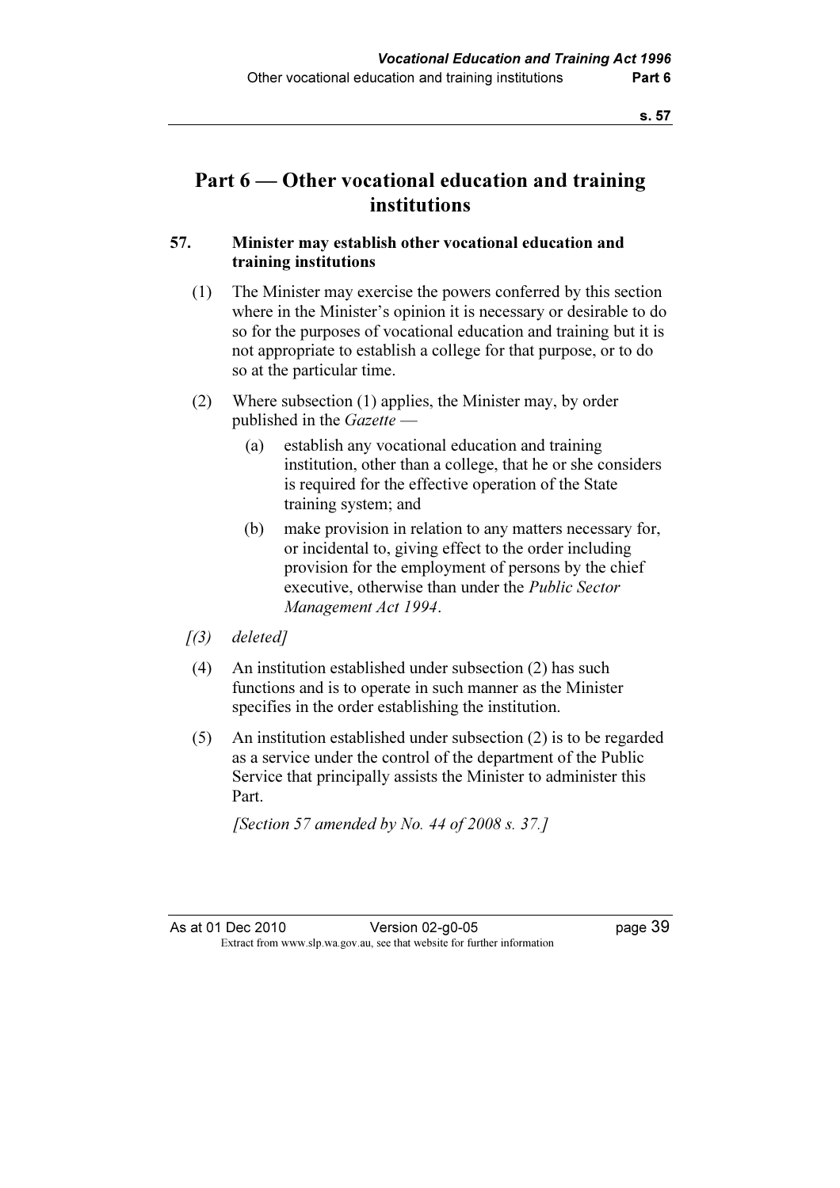# Part 6 — Other vocational education and training institutions

## 57. Minister may establish other vocational education and training institutions

- (1) The Minister may exercise the powers conferred by this section where in the Minister's opinion it is necessary or desirable to do so for the purposes of vocational education and training but it is not appropriate to establish a college for that purpose, or to do so at the particular time.
- (2) Where subsection (1) applies, the Minister may, by order published in the *Gazette* —
	- (a) establish any vocational education and training institution, other than a college, that he or she considers is required for the effective operation of the State training system; and
	- (b) make provision in relation to any matters necessary for, or incidental to, giving effect to the order including provision for the employment of persons by the chief executive, otherwise than under the Public Sector Management Act 1994.
- $(3)$  deleted]
- (4) An institution established under subsection (2) has such functions and is to operate in such manner as the Minister specifies in the order establishing the institution.
- (5) An institution established under subsection (2) is to be regarded as a service under the control of the department of the Public Service that principally assists the Minister to administer this Part.

[Section 57 amended by No. 44 of 2008 s. 37.]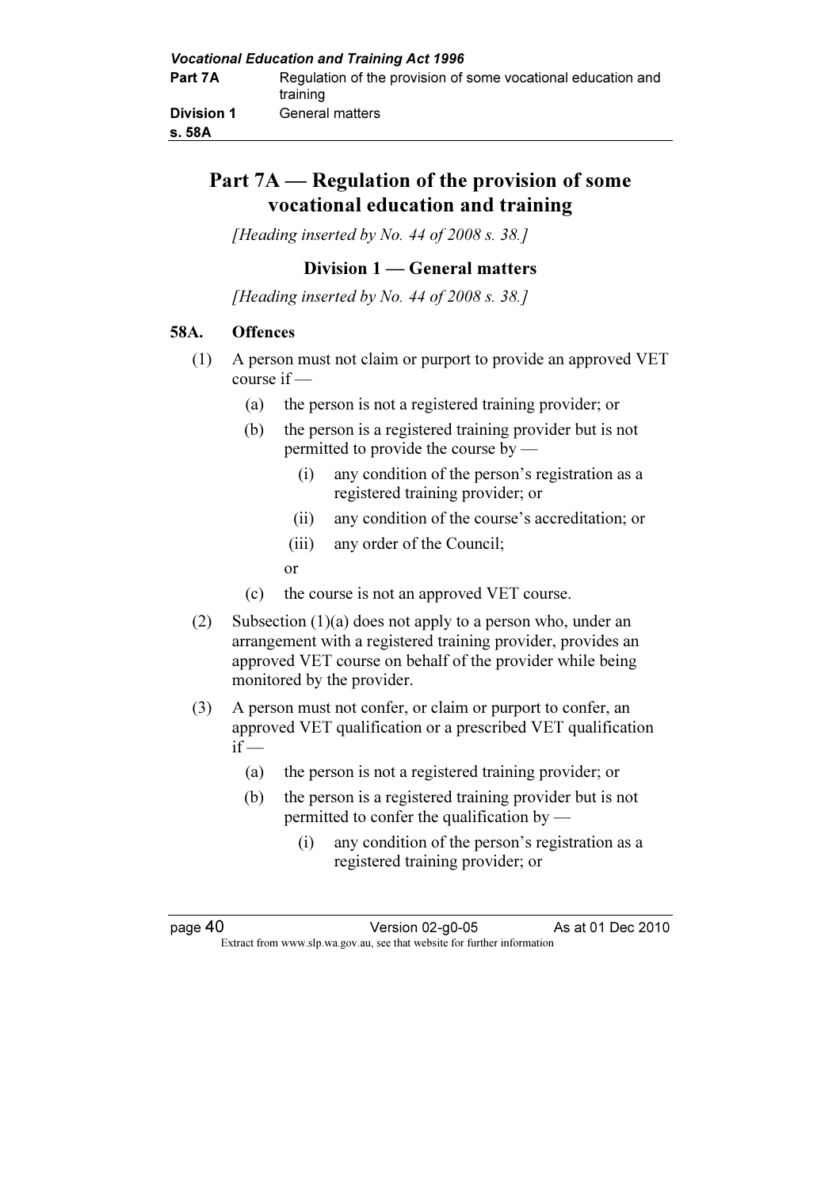|                             | <b>Vocational Education and Training Act 1996</b>                        |
|-----------------------------|--------------------------------------------------------------------------|
| Part 7A                     | Regulation of the provision of some vocational education and<br>training |
| <b>Division 1</b><br>s. 58A | <b>General matters</b>                                                   |

# Part 7A — Regulation of the provision of some vocational education and training

[Heading inserted by No. 44 of 2008 s. 38.]

### Division 1 — General matters

[Heading inserted by No. 44 of 2008 s. 38.]

### 58A. Offences

- (1) A person must not claim or purport to provide an approved VET course if —
	- (a) the person is not a registered training provider; or
	- (b) the person is a registered training provider but is not permitted to provide the course by —
		- (i) any condition of the person's registration as a registered training provider; or
		- (ii) any condition of the course's accreditation; or
		- (iii) any order of the Council;
- or
	- (c) the course is not an approved VET course.
	- (2) Subsection (1)(a) does not apply to a person who, under an arrangement with a registered training provider, provides an approved VET course on behalf of the provider while being monitored by the provider.
	- (3) A person must not confer, or claim or purport to confer, an approved VET qualification or a prescribed VET qualification  $if -$ 
		- (a) the person is not a registered training provider; or
		- (b) the person is a registered training provider but is not permitted to confer the qualification by —
			- (i) any condition of the person's registration as a registered training provider; or

page 40 Version 02-g0-05 As at 01 Dec 2010<br>Extract from www.slp.wa.gov.au, see that website for further information  $\mathbf{F}$  from which we be the website for further information for further information  $\mathbf{F}$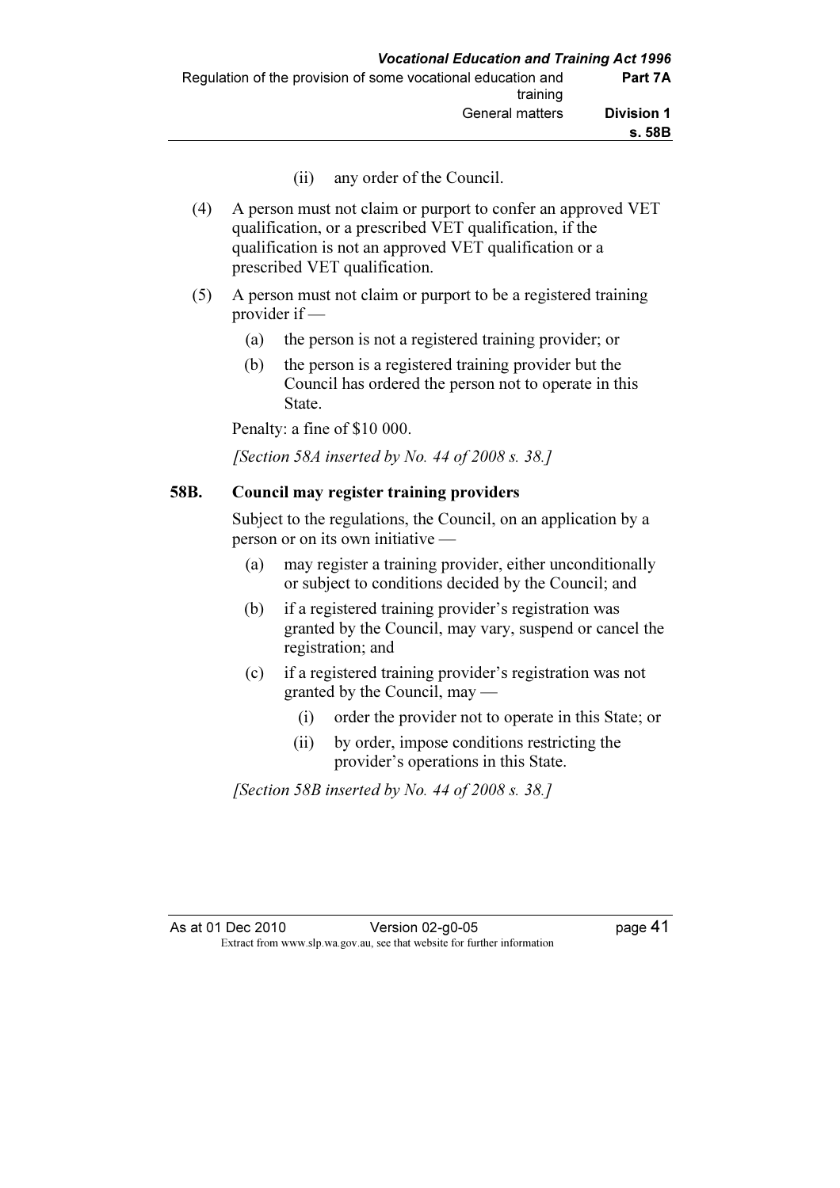- (ii) any order of the Council.
- (4) A person must not claim or purport to confer an approved VET qualification, or a prescribed VET qualification, if the qualification is not an approved VET qualification or a prescribed VET qualification.
- (5) A person must not claim or purport to be a registered training provider if —
	- (a) the person is not a registered training provider; or
	- (b) the person is a registered training provider but the Council has ordered the person not to operate in this State.

Penalty: a fine of \$10 000.

[Section 58A inserted by No. 44 of 2008 s. 38.]

### 58B. Council may register training providers

 Subject to the regulations, the Council, on an application by a person or on its own initiative —

- (a) may register a training provider, either unconditionally or subject to conditions decided by the Council; and
- (b) if a registered training provider's registration was granted by the Council, may vary, suspend or cancel the registration; and
- (c) if a registered training provider's registration was not granted by the Council, may —
	- (i) order the provider not to operate in this State; or
	- (ii) by order, impose conditions restricting the provider's operations in this State.

[Section 58B inserted by No. 44 of 2008 s. 38.]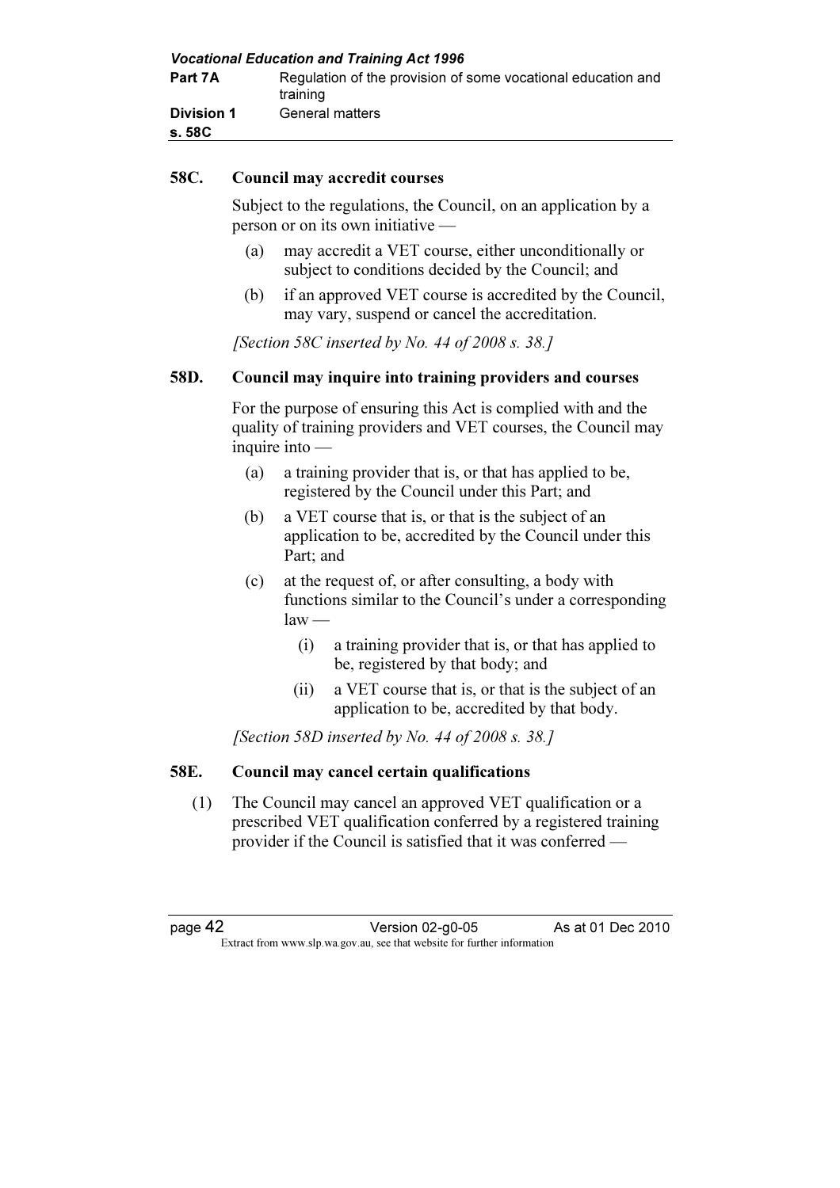|                             | <b>Vocational Education and Training Act 1996</b>                        |
|-----------------------------|--------------------------------------------------------------------------|
| Part 7A                     | Regulation of the provision of some vocational education and<br>training |
| <b>Division 1</b><br>s. 58C | <b>General matters</b>                                                   |

### 58C. Council may accredit courses

 Subject to the regulations, the Council, on an application by a person or on its own initiative —

- (a) may accredit a VET course, either unconditionally or subject to conditions decided by the Council; and
- (b) if an approved VET course is accredited by the Council, may vary, suspend or cancel the accreditation.

[Section 58C inserted by No. 44 of 2008 s. 38.]

### 58D. Council may inquire into training providers and courses

 For the purpose of ensuring this Act is complied with and the quality of training providers and VET courses, the Council may inquire into —

- (a) a training provider that is, or that has applied to be, registered by the Council under this Part; and
- (b) a VET course that is, or that is the subject of an application to be, accredited by the Council under this Part; and
- (c) at the request of, or after consulting, a body with functions similar to the Council's under a corresponding  $law -$ 
	- (i) a training provider that is, or that has applied to be, registered by that body; and
	- (ii) a VET course that is, or that is the subject of an application to be, accredited by that body.

[Section 58D inserted by No. 44 of 2008 s. 38.]

## 58E. Council may cancel certain qualifications

 (1) The Council may cancel an approved VET qualification or a prescribed VET qualification conferred by a registered training provider if the Council is satisfied that it was conferred —

page 42 Version 02-g0-05 As at 01 Dec 2010<br>Extract from www.slp.wa.gov.au, see that website for further information  $\mathbf{F}$  from which we be the website for further information for further information  $\mathbf{F}$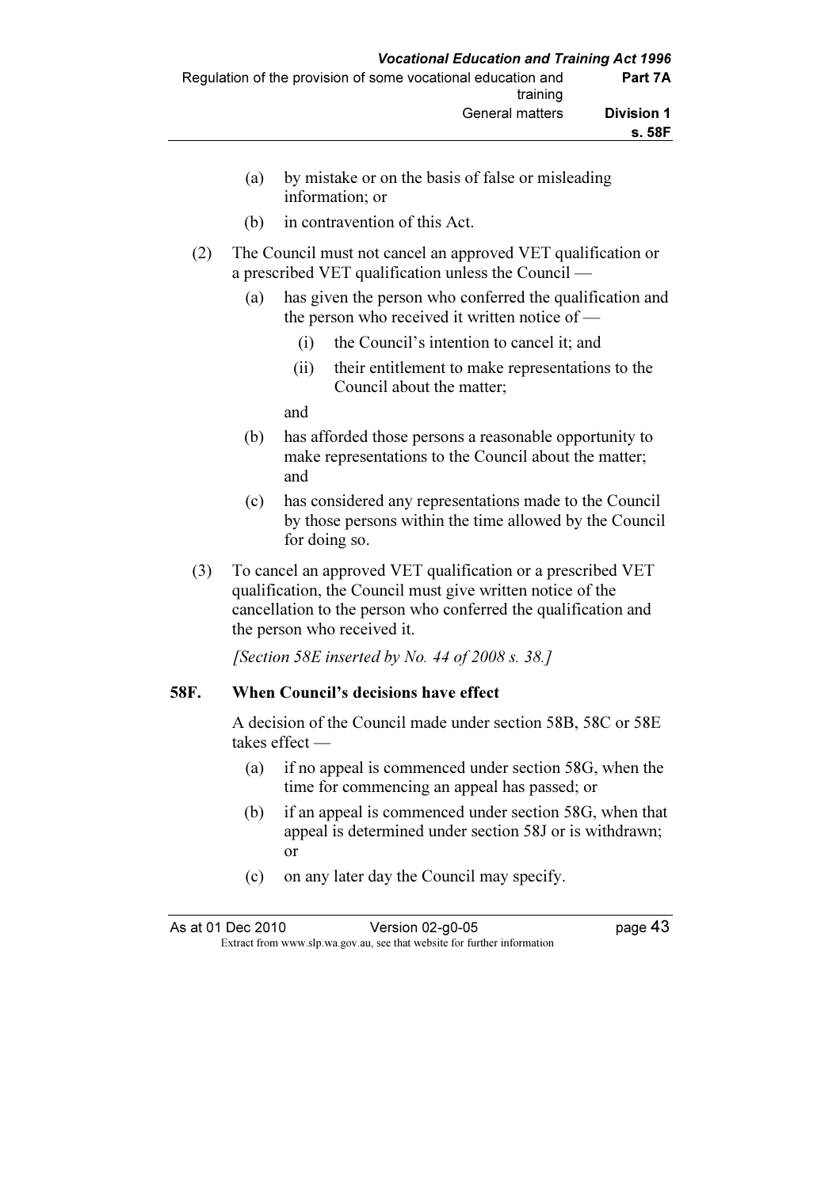- (a) by mistake or on the basis of false or misleading information; or
- (b) in contravention of this Act.
- (2) The Council must not cancel an approved VET qualification or a prescribed VET qualification unless the Council —
	- (a) has given the person who conferred the qualification and the person who received it written notice of —
		- (i) the Council's intention to cancel it; and
		- (ii) their entitlement to make representations to the Council about the matter;

and

- (b) has afforded those persons a reasonable opportunity to make representations to the Council about the matter; and
- (c) has considered any representations made to the Council by those persons within the time allowed by the Council for doing so.
- (3) To cancel an approved VET qualification or a prescribed VET qualification, the Council must give written notice of the cancellation to the person who conferred the qualification and the person who received it.

[Section 58E inserted by No. 44 of 2008 s.  $38.1$ ]

#### 58F. When Council's decisions have effect

 A decision of the Council made under section 58B, 58C or 58E takes effect —

- (a) if no appeal is commenced under section 58G, when the time for commencing an appeal has passed; or
- (b) if an appeal is commenced under section 58G, when that appeal is determined under section 58J or is withdrawn; or
- (c) on any later day the Council may specify.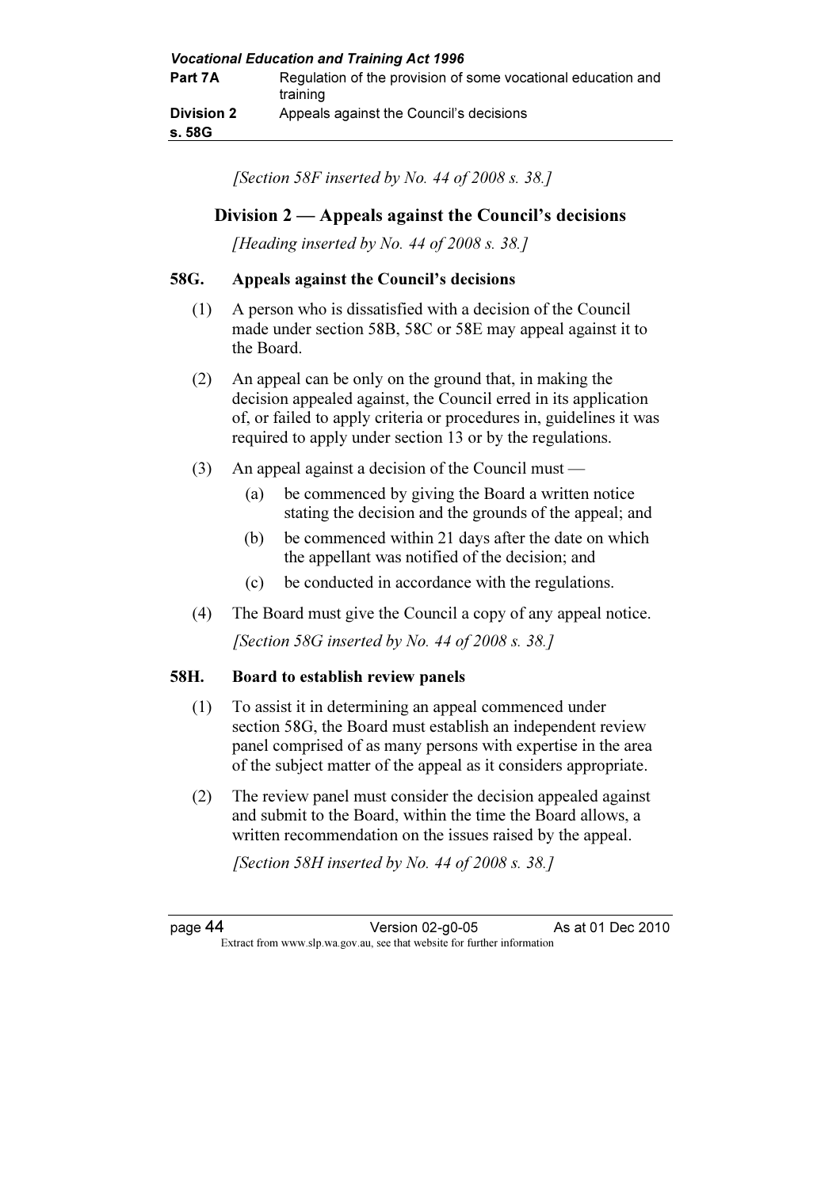|                             | <b>Vocational Education and Training Act 1996</b>                        |
|-----------------------------|--------------------------------------------------------------------------|
| Part 7A                     | Regulation of the provision of some vocational education and<br>training |
| <b>Division 2</b><br>s. 58G | Appeals against the Council's decisions                                  |

[Section 58F inserted by No. 44 of 2008 s. 38.]

## Division 2 — Appeals against the Council's decisions

[Heading inserted by No. 44 of 2008 s. 38.]

## 58G. Appeals against the Council's decisions

- (1) A person who is dissatisfied with a decision of the Council made under section 58B, 58C or 58E may appeal against it to the Board.
- (2) An appeal can be only on the ground that, in making the decision appealed against, the Council erred in its application of, or failed to apply criteria or procedures in, guidelines it was required to apply under section 13 or by the regulations.
- (3) An appeal against a decision of the Council must
	- (a) be commenced by giving the Board a written notice stating the decision and the grounds of the appeal; and
	- (b) be commenced within 21 days after the date on which the appellant was notified of the decision; and
	- (c) be conducted in accordance with the regulations.
- (4) The Board must give the Council a copy of any appeal notice.

[Section 58G inserted by No. 44 of 2008 s.  $38.1$ ]

## 58H. Board to establish review panels

- (1) To assist it in determining an appeal commenced under section 58G, the Board must establish an independent review panel comprised of as many persons with expertise in the area of the subject matter of the appeal as it considers appropriate.
- (2) The review panel must consider the decision appealed against and submit to the Board, within the time the Board allows, a written recommendation on the issues raised by the appeal.

[Section 58H inserted by No. 44 of 2008 s. 38.]

page 44 Version 02-g0-05 As at 01 Dec 2010  $\mathbf{F}$  from which we be the website for further information for further information  $\mathbf{F}$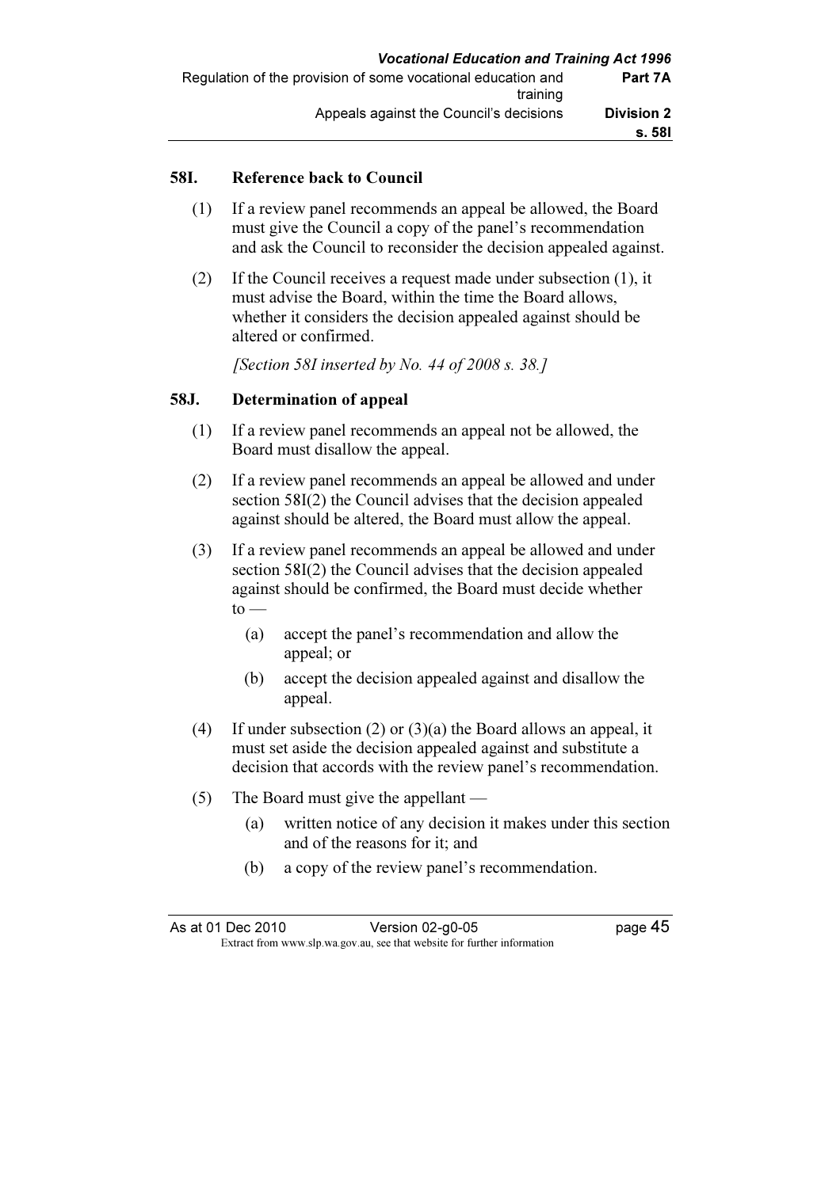## 58I. Reference back to Council

- (1) If a review panel recommends an appeal be allowed, the Board must give the Council a copy of the panel's recommendation and ask the Council to reconsider the decision appealed against.
- (2) If the Council receives a request made under subsection (1), it must advise the Board, within the time the Board allows, whether it considers the decision appealed against should be altered or confirmed.

[Section 58I inserted by No. 44 of 2008 s. 38.]

## 58J. Determination of appeal

- (1) If a review panel recommends an appeal not be allowed, the Board must disallow the appeal.
- (2) If a review panel recommends an appeal be allowed and under section 58I(2) the Council advises that the decision appealed against should be altered, the Board must allow the appeal.
- (3) If a review panel recommends an appeal be allowed and under section 58I(2) the Council advises that the decision appealed against should be confirmed, the Board must decide whether  $\mathsf{to}$  —
	- (a) accept the panel's recommendation and allow the appeal; or
	- (b) accept the decision appealed against and disallow the appeal.
- (4) If under subsection (2) or (3)(a) the Board allows an appeal, it must set aside the decision appealed against and substitute a decision that accords with the review panel's recommendation.
- (5) The Board must give the appellant
	- (a) written notice of any decision it makes under this section and of the reasons for it; and
	- (b) a copy of the review panel's recommendation.

As at 01 Dec 2010 Version 02-g0-05 Page 45  $\mathbf{F}$  from which we be the website for further information for further information  $\mathbf{F}$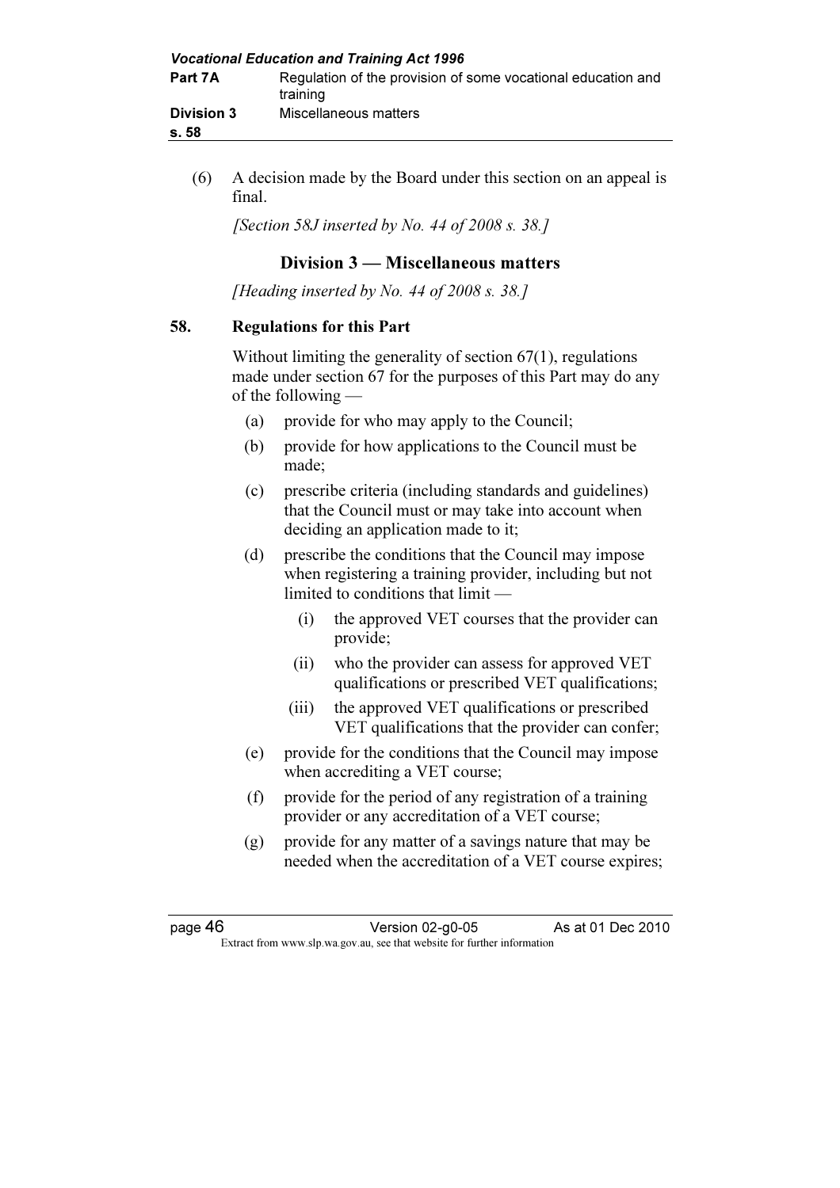|                            | <b>Vocational Education and Training Act 1996</b>                        |
|----------------------------|--------------------------------------------------------------------------|
| Part 7A                    | Regulation of the provision of some vocational education and<br>training |
| <b>Division 3</b><br>s. 58 | Miscellaneous matters                                                    |

 (6) A decision made by the Board under this section on an appeal is final.

[Section 58J inserted by No. 44 of 2008 s. 38.]

## Division 3 — Miscellaneous matters

[Heading inserted by No. 44 of  $2008$  s. 38.]

### 58. Regulations for this Part

Without limiting the generality of section  $67(1)$ , regulations made under section 67 for the purposes of this Part may do any of the following —

- (a) provide for who may apply to the Council;
- (b) provide for how applications to the Council must be made;
- (c) prescribe criteria (including standards and guidelines) that the Council must or may take into account when deciding an application made to it;
- (d) prescribe the conditions that the Council may impose when registering a training provider, including but not limited to conditions that limit —
	- (i) the approved VET courses that the provider can provide;
	- (ii) who the provider can assess for approved VET qualifications or prescribed VET qualifications;
	- (iii) the approved VET qualifications or prescribed VET qualifications that the provider can confer;
- (e) provide for the conditions that the Council may impose when accrediting a VET course;
- (f) provide for the period of any registration of a training provider or any accreditation of a VET course;
- (g) provide for any matter of a savings nature that may be needed when the accreditation of a VET course expires;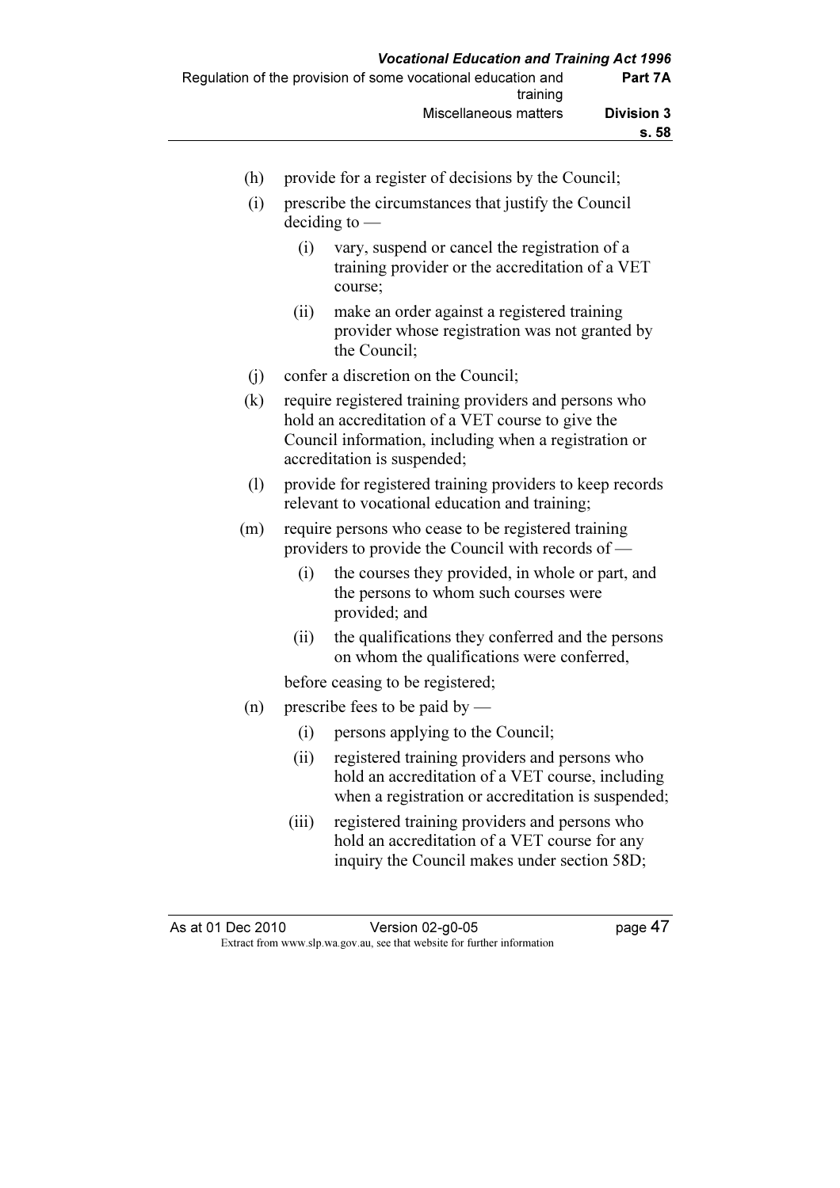- (h) provide for a register of decisions by the Council;
- (i) prescribe the circumstances that justify the Council deciding to —
	- (i) vary, suspend or cancel the registration of a training provider or the accreditation of a VET course;
	- (ii) make an order against a registered training provider whose registration was not granted by the Council;
- (j) confer a discretion on the Council;
- (k) require registered training providers and persons who hold an accreditation of a VET course to give the Council information, including when a registration or accreditation is suspended;
- (l) provide for registered training providers to keep records relevant to vocational education and training;
- (m) require persons who cease to be registered training providers to provide the Council with records of —
	- (i) the courses they provided, in whole or part, and the persons to whom such courses were provided; and
	- (ii) the qualifications they conferred and the persons on whom the qualifications were conferred,

before ceasing to be registered;

- (n) prescribe fees to be paid by
	- (i) persons applying to the Council;
	- (ii) registered training providers and persons who hold an accreditation of a VET course, including when a registration or accreditation is suspended;
	- (iii) registered training providers and persons who hold an accreditation of a VET course for any inquiry the Council makes under section 58D;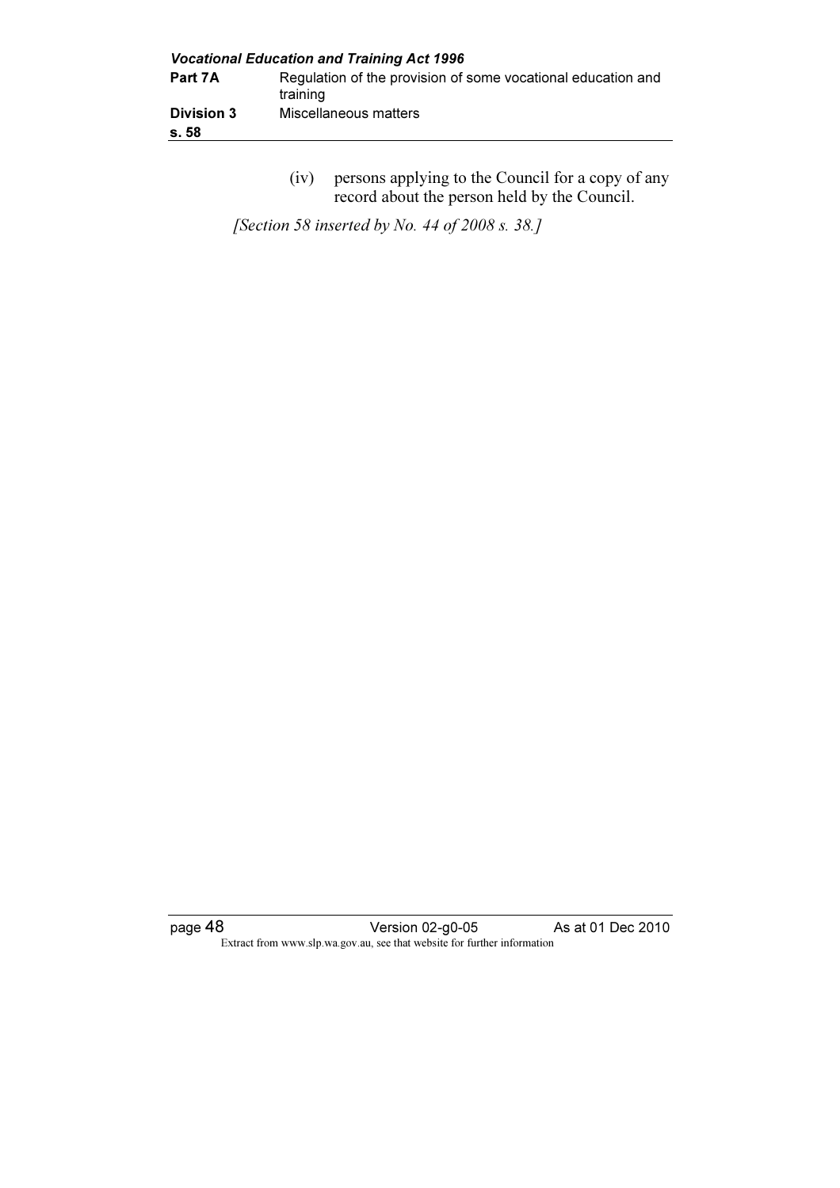| Regulation of the provision of some vocational education and<br>Part 7A<br>training |  |
|-------------------------------------------------------------------------------------|--|
|                                                                                     |  |
| <b>Division 3</b><br>Miscellaneous matters<br>s. 58                                 |  |

 (iv) persons applying to the Council for a copy of any record about the person held by the Council.

[Section 58 inserted by No. 44 of 2008 s. 38.]

page 48 **Version 02-g0-05** As at 01 Dec 2010 Extract from www.slp.wa.gov.au, see that website for further information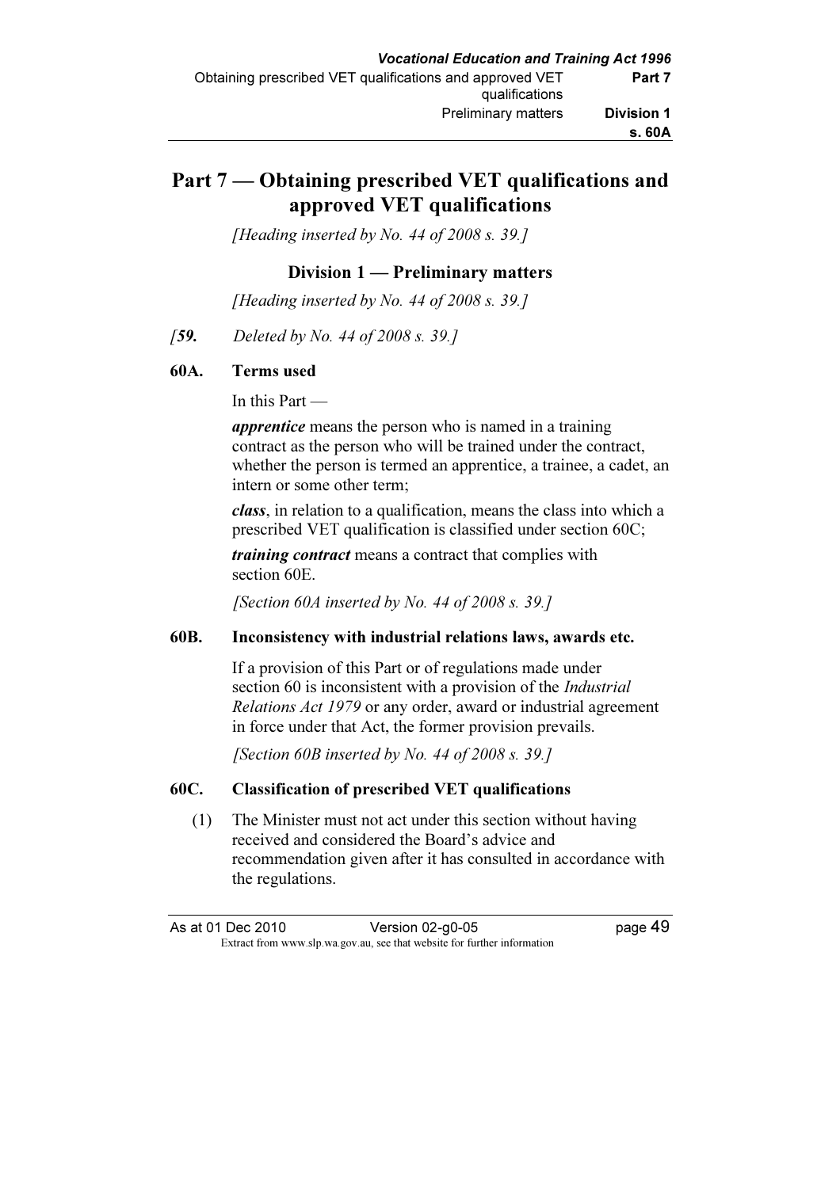# Part 7 — Obtaining prescribed VET qualifications and approved VET qualifications

[Heading inserted by No. 44 of 2008 s. 39.]

## Division 1 — Preliminary matters

[Heading inserted by No. 44 of 2008 s. 39.]

[**59.** Deleted by No. 44 of 2008 s. 39.]

## 60A. Terms used

In this Part —

apprentice means the person who is named in a training contract as the person who will be trained under the contract, whether the person is termed an apprentice, a trainee, a cadet, an intern or some other term;

class, in relation to a qualification, means the class into which a prescribed VET qualification is classified under section 60C;

training contract means a contract that complies with section 60E.

[Section 60A inserted by No. 44 of 2008 s. 39.]

## 60B. Inconsistency with industrial relations laws, awards etc.

 If a provision of this Part or of regulations made under section 60 is inconsistent with a provision of the *Industrial* Relations Act 1979 or any order, award or industrial agreement in force under that Act, the former provision prevails.

[Section 60B inserted by No. 44 of 2008 s. 39.]

## 60C. Classification of prescribed VET qualifications

 (1) The Minister must not act under this section without having received and considered the Board's advice and recommendation given after it has consulted in accordance with the regulations.

As at 01 Dec 2010 Version 02-g0-05  $\mathbf{F}$  from which we be the website for further information for further information  $\mathbf{F}$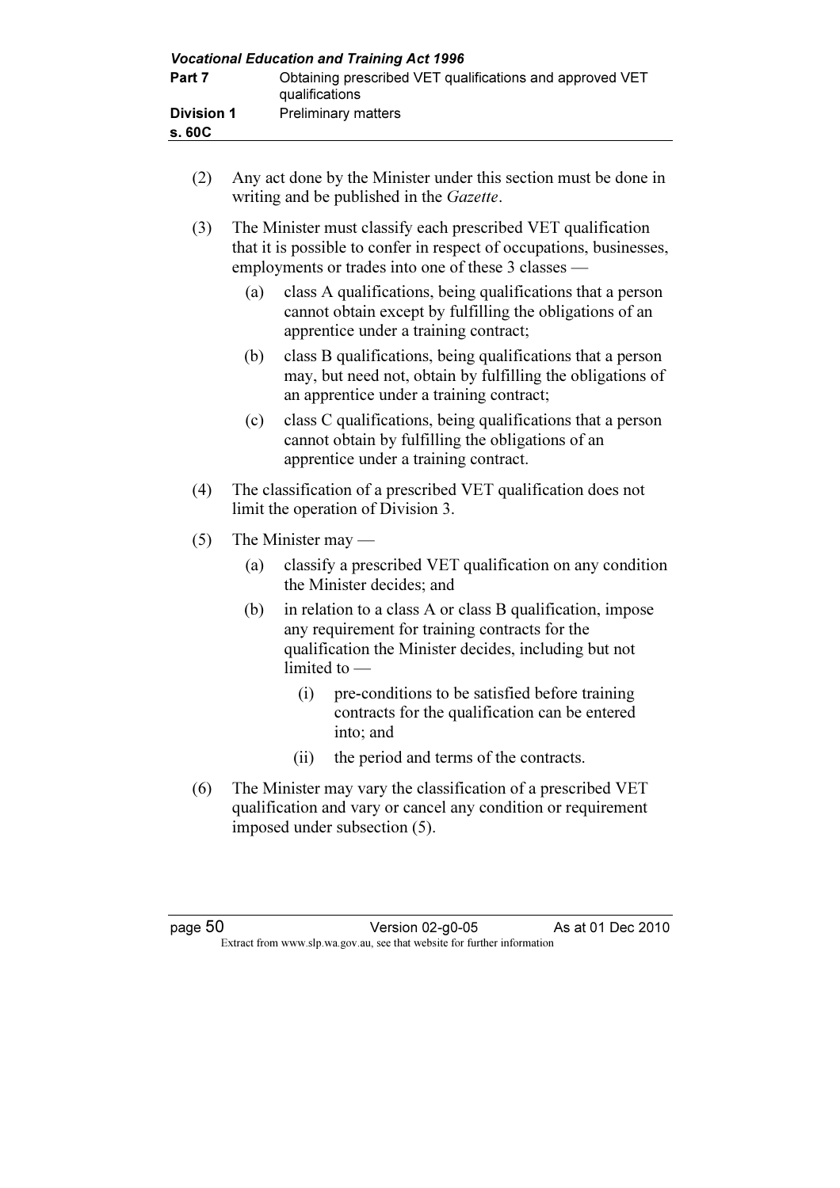|                            | <b>Vocational Education and Training Act 1996</b>                          |
|----------------------------|----------------------------------------------------------------------------|
| Part 7                     | Obtaining prescribed VET qualifications and approved VET<br>qualifications |
| <b>Division 1</b><br>s.60C | <b>Preliminary matters</b>                                                 |

- (2) Any act done by the Minister under this section must be done in writing and be published in the Gazette.
- (3) The Minister must classify each prescribed VET qualification that it is possible to confer in respect of occupations, businesses, employments or trades into one of these 3 classes —
	- (a) class A qualifications, being qualifications that a person cannot obtain except by fulfilling the obligations of an apprentice under a training contract;
	- (b) class B qualifications, being qualifications that a person may, but need not, obtain by fulfilling the obligations of an apprentice under a training contract;
	- (c) class C qualifications, being qualifications that a person cannot obtain by fulfilling the obligations of an apprentice under a training contract.
- (4) The classification of a prescribed VET qualification does not limit the operation of Division 3.
- (5) The Minister may
	- (a) classify a prescribed VET qualification on any condition the Minister decides; and
	- (b) in relation to a class A or class B qualification, impose any requirement for training contracts for the qualification the Minister decides, including but not limited to —
		- (i) pre-conditions to be satisfied before training contracts for the qualification can be entered into; and
		- (ii) the period and terms of the contracts.
- (6) The Minister may vary the classification of a prescribed VET qualification and vary or cancel any condition or requirement imposed under subsection (5).

| page 50 |  |
|---------|--|
|---------|--|

**page 50 Version 02-g0-05** As at 01 Dec 2010<br>Extract from www.slp.wa.gov.au, see that website for further information  $\mathbf{F}$  from which we be the website for further information for further information  $\mathbf{F}$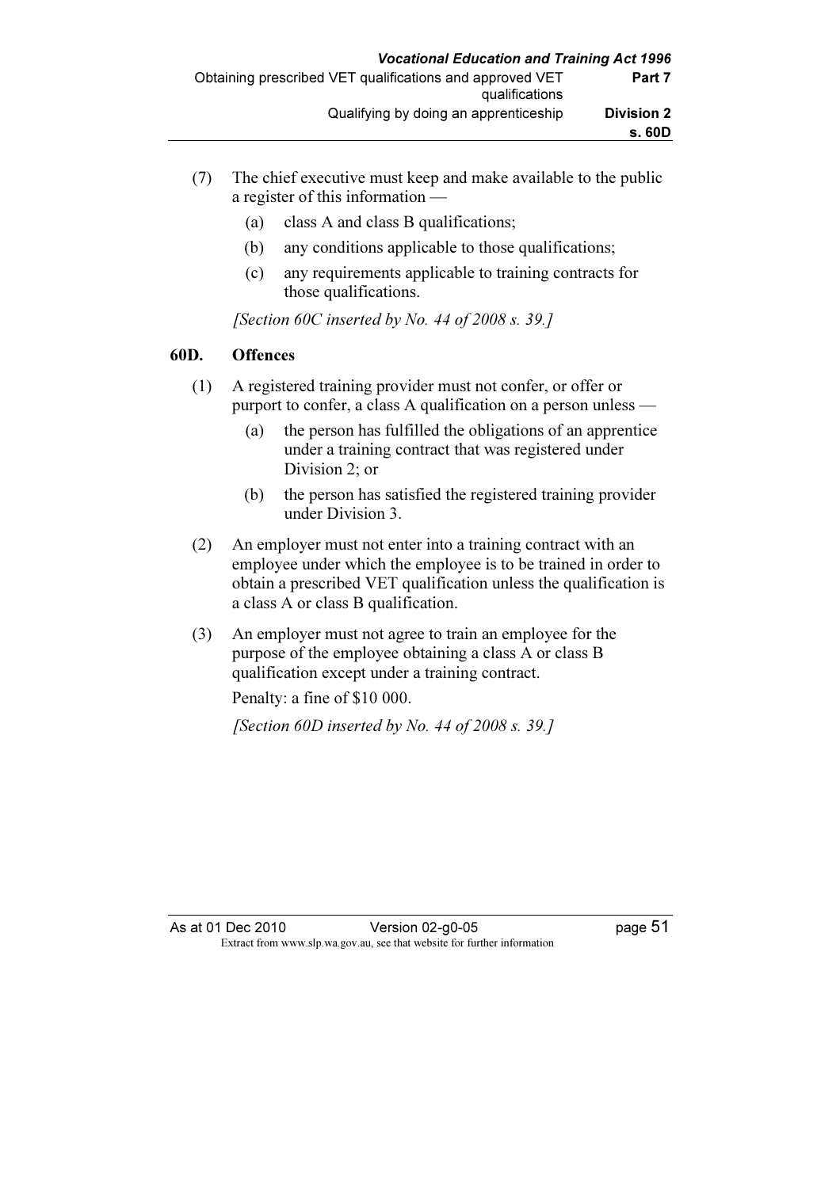- (7) The chief executive must keep and make available to the public a register of this information —
	- (a) class A and class B qualifications;
	- (b) any conditions applicable to those qualifications;
	- (c) any requirements applicable to training contracts for those qualifications.

[Section 60C inserted by No. 44 of 2008 s. 39.]

## 60D. Offences

- (1) A registered training provider must not confer, or offer or purport to confer, a class A qualification on a person unless —
	- (a) the person has fulfilled the obligations of an apprentice under a training contract that was registered under Division 2; or
	- (b) the person has satisfied the registered training provider under Division 3.
- (2) An employer must not enter into a training contract with an employee under which the employee is to be trained in order to obtain a prescribed VET qualification unless the qualification is a class A or class B qualification.
- (3) An employer must not agree to train an employee for the purpose of the employee obtaining a class A or class B qualification except under a training contract.

Penalty: a fine of \$10 000.

[Section 60D inserted by No. 44 of 2008 s. 39.]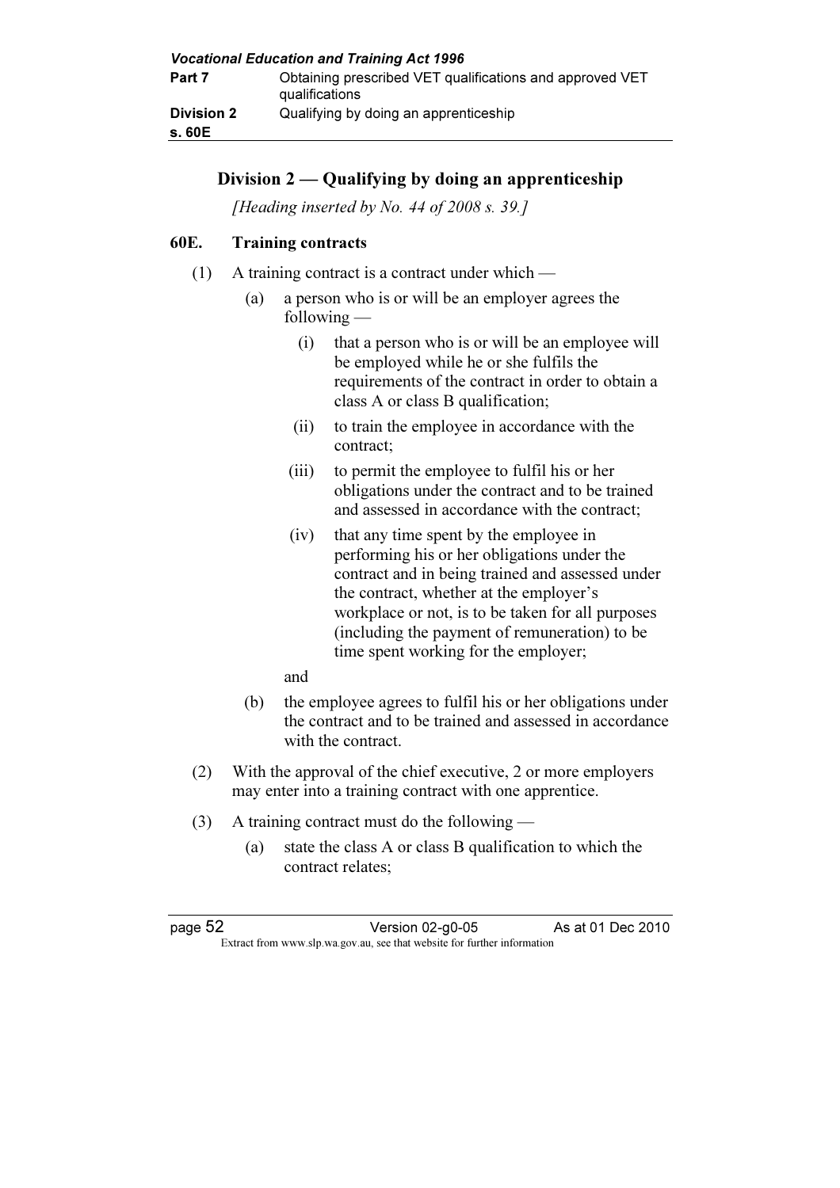## Division 2 — Qualifying by doing an apprenticeship

[Heading inserted by No. 44 of 2008 s. 39.]

## 60E. Training contracts

- (1) A training contract is a contract under which
	- (a) a person who is or will be an employer agrees the following —
		- (i) that a person who is or will be an employee will be employed while he or she fulfils the requirements of the contract in order to obtain a class A or class B qualification;
		- (ii) to train the employee in accordance with the contract;
		- (iii) to permit the employee to fulfil his or her obligations under the contract and to be trained and assessed in accordance with the contract;
		- (iv) that any time spent by the employee in performing his or her obligations under the contract and in being trained and assessed under the contract, whether at the employer's workplace or not, is to be taken for all purposes (including the payment of remuneration) to be time spent working for the employer;
		- and
	- (b) the employee agrees to fulfil his or her obligations under the contract and to be trained and assessed in accordance with the contract.
- (2) With the approval of the chief executive, 2 or more employers may enter into a training contract with one apprentice.
- (3) A training contract must do the following
	- (a) state the class A or class B qualification to which the contract relates;

page 52 Version 02-g0-05 As at 01 Dec 2010<br>Extract from www.slp.wa.gov.au, see that website for further information  $\mathbf{F}$  from which we be the website for further information for further information  $\mathbf{F}$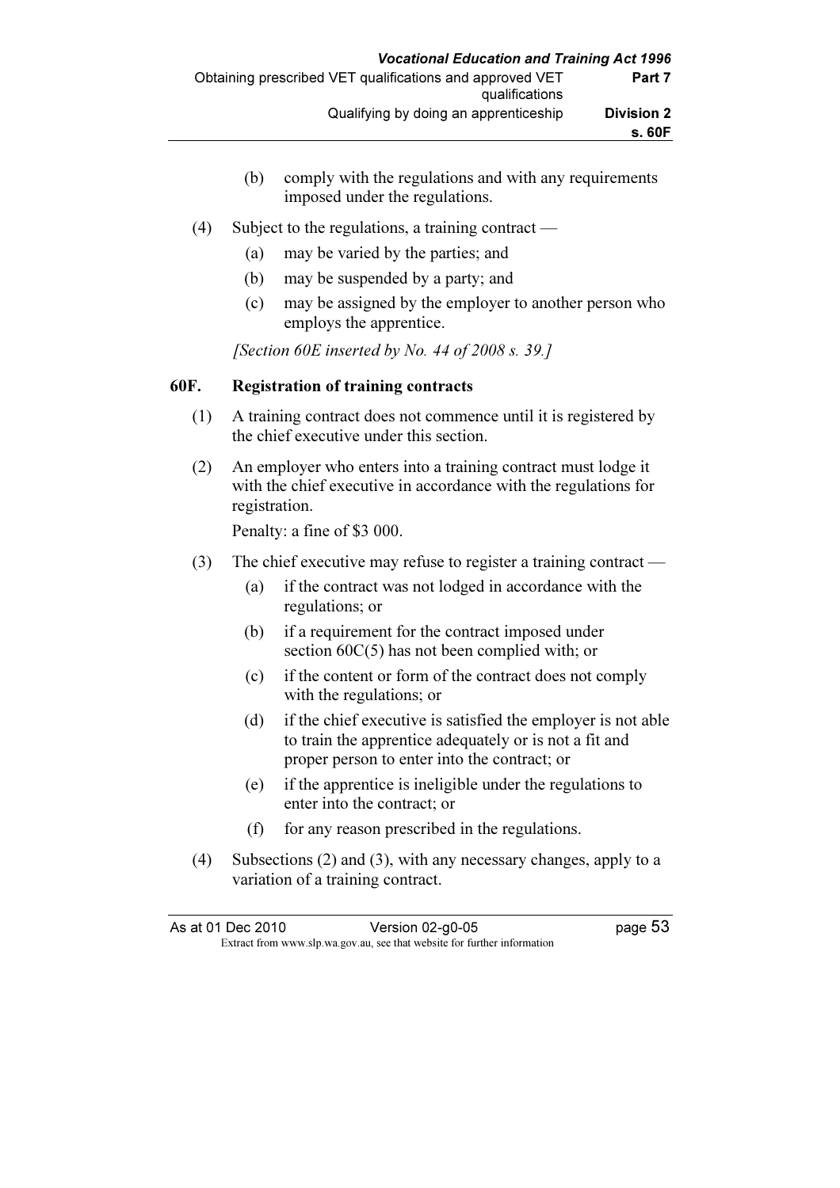- (b) comply with the regulations and with any requirements imposed under the regulations.
- (4) Subject to the regulations, a training contract
	- (a) may be varied by the parties; and
	- (b) may be suspended by a party; and
	- (c) may be assigned by the employer to another person who employs the apprentice.

[Section 60E inserted by No. 44 of 2008 s. 39.]

#### 60F. Registration of training contracts

- (1) A training contract does not commence until it is registered by the chief executive under this section.
- (2) An employer who enters into a training contract must lodge it with the chief executive in accordance with the regulations for registration.

Penalty: a fine of \$3 000.

- (3) The chief executive may refuse to register a training contract
	- (a) if the contract was not lodged in accordance with the regulations; or
	- (b) if a requirement for the contract imposed under section 60C(5) has not been complied with; or
	- (c) if the content or form of the contract does not comply with the regulations; or
	- (d) if the chief executive is satisfied the employer is not able to train the apprentice adequately or is not a fit and proper person to enter into the contract; or
	- (e) if the apprentice is ineligible under the regulations to enter into the contract; or
	- (f) for any reason prescribed in the regulations.
- (4) Subsections (2) and (3), with any necessary changes, apply to a variation of a training contract.

| As at 01 Dec 2010 |                                                                          | Version 02-g0-05 | page 53 |
|-------------------|--------------------------------------------------------------------------|------------------|---------|
|                   | Extract from www.slp.wa.gov.au, see that website for further information |                  |         |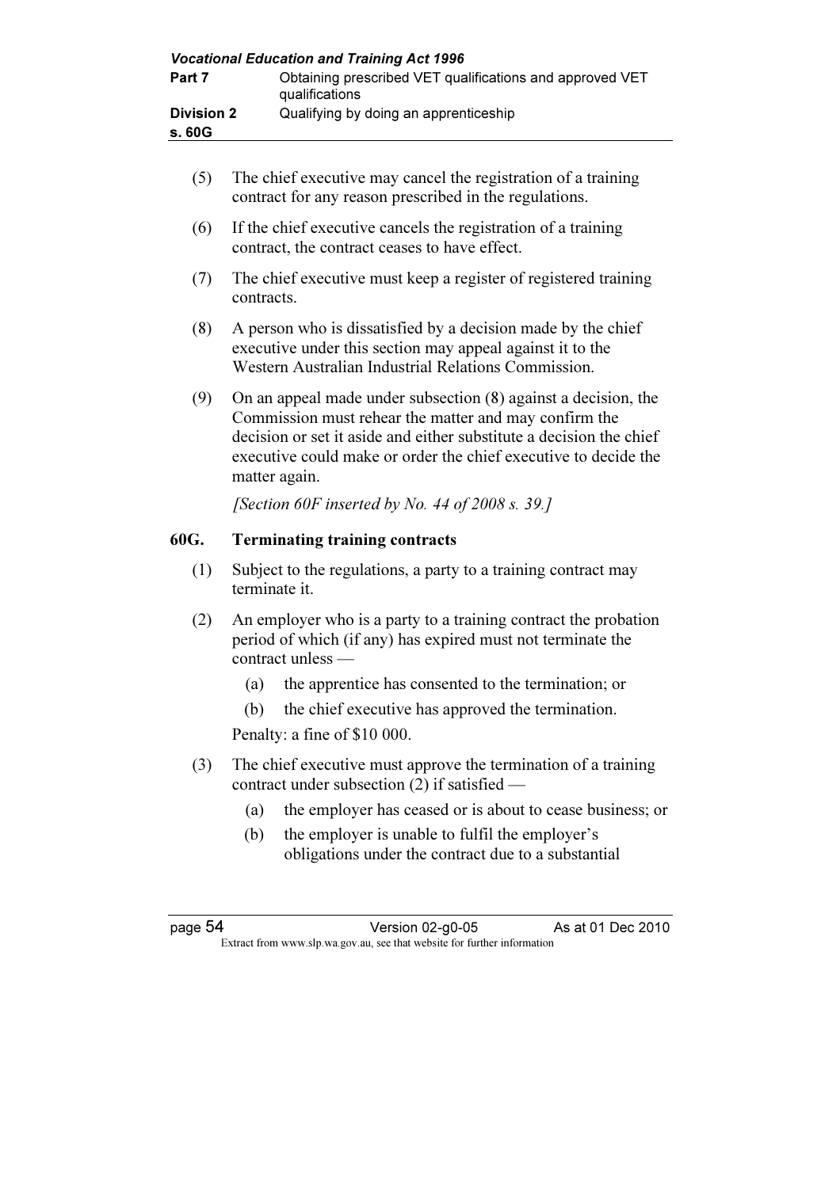|                            | <b>Vocational Education and Training Act 1996</b>                          |
|----------------------------|----------------------------------------------------------------------------|
| Part 7                     | Obtaining prescribed VET qualifications and approved VET<br>qualifications |
| <b>Division 2</b><br>s.60G | Qualifying by doing an apprenticeship                                      |

- (5) The chief executive may cancel the registration of a training contract for any reason prescribed in the regulations.
- (6) If the chief executive cancels the registration of a training contract, the contract ceases to have effect.
- (7) The chief executive must keep a register of registered training contracts.
- (8) A person who is dissatisfied by a decision made by the chief executive under this section may appeal against it to the Western Australian Industrial Relations Commission.
- (9) On an appeal made under subsection (8) against a decision, the Commission must rehear the matter and may confirm the decision or set it aside and either substitute a decision the chief executive could make or order the chief executive to decide the matter again.

[Section 60F inserted by No. 44 of 2008 s. 39.]

## 60G. Terminating training contracts

- (1) Subject to the regulations, a party to a training contract may terminate it.
- (2) An employer who is a party to a training contract the probation period of which (if any) has expired must not terminate the contract unless —
	- (a) the apprentice has consented to the termination; or
	- (b) the chief executive has approved the termination.

Penalty: a fine of \$10 000.

- (3) The chief executive must approve the termination of a training contract under subsection (2) if satisfied —
	- (a) the employer has ceased or is about to cease business; or
	- (b) the employer is unable to fulfil the employer's obligations under the contract due to a substantial

page 54 Version 02-g0-05 As at 01 Dec 2010<br>Extract from www.slp.wa.gov.au, see that website for further information  $\mathbf{F}$  from which we be the website for further information for further information  $\mathbf{F}$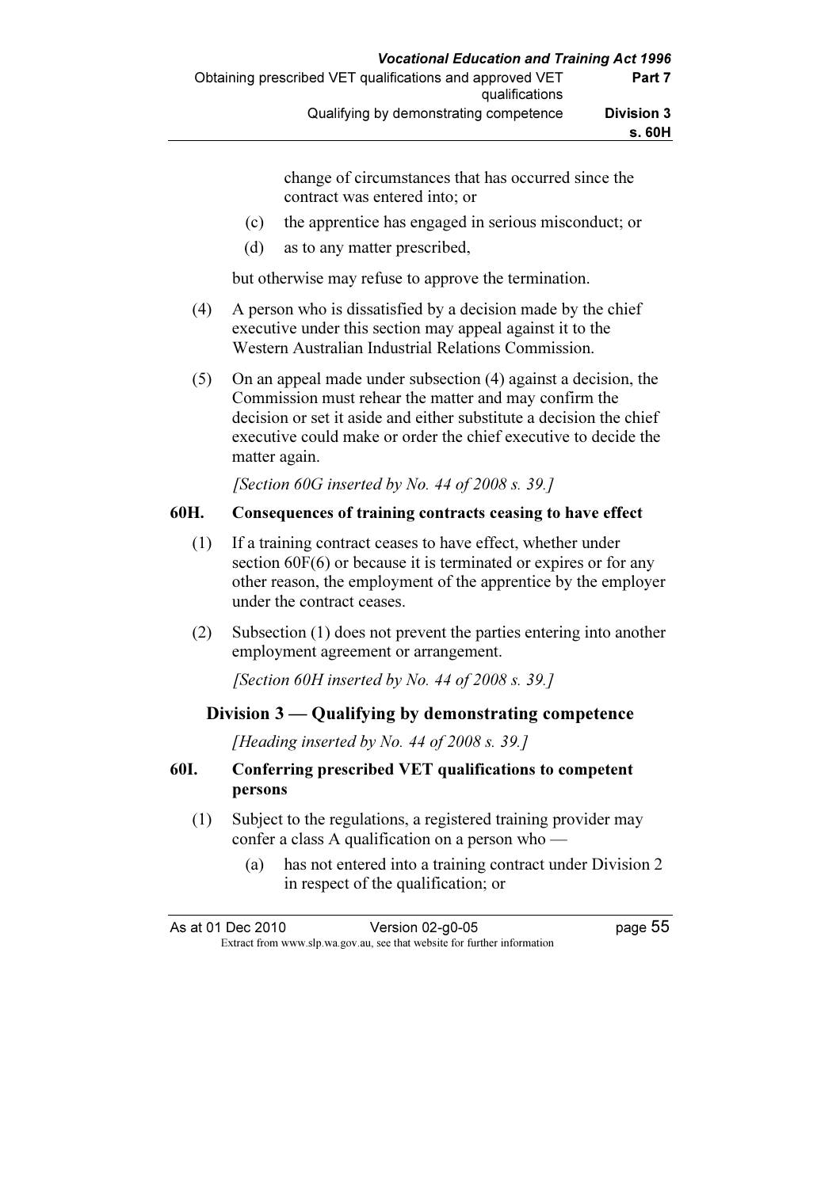change of circumstances that has occurred since the contract was entered into; or

- (c) the apprentice has engaged in serious misconduct; or
- (d) as to any matter prescribed,

but otherwise may refuse to approve the termination.

- (4) A person who is dissatisfied by a decision made by the chief executive under this section may appeal against it to the Western Australian Industrial Relations Commission.
- (5) On an appeal made under subsection (4) against a decision, the Commission must rehear the matter and may confirm the decision or set it aside and either substitute a decision the chief executive could make or order the chief executive to decide the matter again.

[Section 60G inserted by No. 44 of 2008 s. 39.]

### 60H. Consequences of training contracts ceasing to have effect

- (1) If a training contract ceases to have effect, whether under section 60F(6) or because it is terminated or expires or for any other reason, the employment of the apprentice by the employer under the contract ceases.
- (2) Subsection (1) does not prevent the parties entering into another employment agreement or arrangement.

[Section 60H inserted by No. 44 of 2008 s. 39.]

## Division 3 — Qualifying by demonstrating competence

[Heading inserted by No. 44 of 2008 s. 39.]

- 60I. Conferring prescribed VET qualifications to competent persons
	- (1) Subject to the regulations, a registered training provider may confer a class A qualification on a person who -
		- (a) has not entered into a training contract under Division 2 in respect of the qualification; or

| As at 01 Dec 2010                                                        | Version $02$ -g0-05 | page 55 |
|--------------------------------------------------------------------------|---------------------|---------|
| Extract from www.slp.wa.gov.au, see that website for further information |                     |         |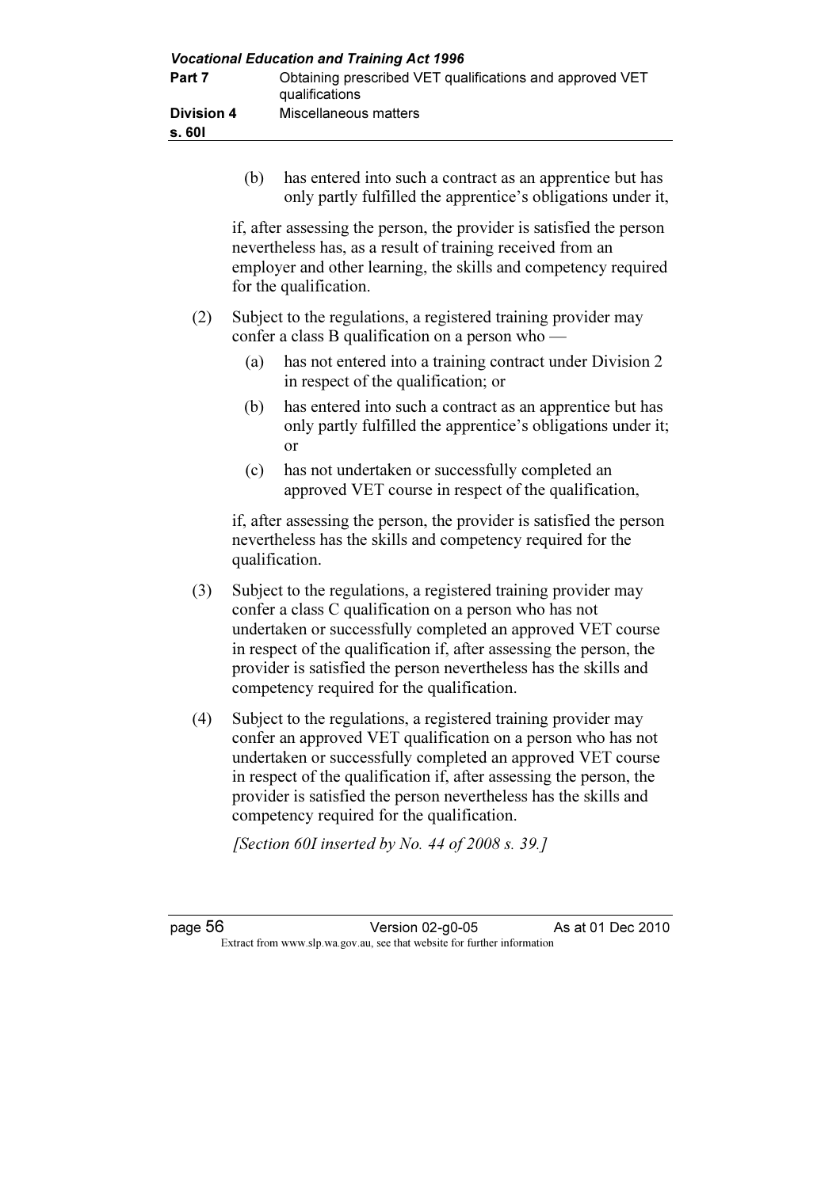| <b>Vocational Education and Training Act 1996</b> |                                                                            |  |  |
|---------------------------------------------------|----------------------------------------------------------------------------|--|--|
| Part 7                                            | Obtaining prescribed VET qualifications and approved VET<br>qualifications |  |  |
| <b>Division 4</b><br>s. 60I                       | Miscellaneous matters                                                      |  |  |

 (b) has entered into such a contract as an apprentice but has only partly fulfilled the apprentice's obligations under it,

 if, after assessing the person, the provider is satisfied the person nevertheless has, as a result of training received from an employer and other learning, the skills and competency required for the qualification.

- (2) Subject to the regulations, a registered training provider may confer a class B qualification on a person who —
	- (a) has not entered into a training contract under Division 2 in respect of the qualification; or
	- (b) has entered into such a contract as an apprentice but has only partly fulfilled the apprentice's obligations under it; or
	- (c) has not undertaken or successfully completed an approved VET course in respect of the qualification,

 if, after assessing the person, the provider is satisfied the person nevertheless has the skills and competency required for the qualification.

- (3) Subject to the regulations, a registered training provider may confer a class C qualification on a person who has not undertaken or successfully completed an approved VET course in respect of the qualification if, after assessing the person, the provider is satisfied the person nevertheless has the skills and competency required for the qualification.
- (4) Subject to the regulations, a registered training provider may confer an approved VET qualification on a person who has not undertaken or successfully completed an approved VET course in respect of the qualification if, after assessing the person, the provider is satisfied the person nevertheless has the skills and competency required for the qualification.

[Section 60I inserted by No. 44 of 2008 s. 39.]

page 56 Version 02-g0-05 As at 01 Dec 2010  $\mathbf{F}$  from which we be the website for further information for further information  $\mathbf{F}$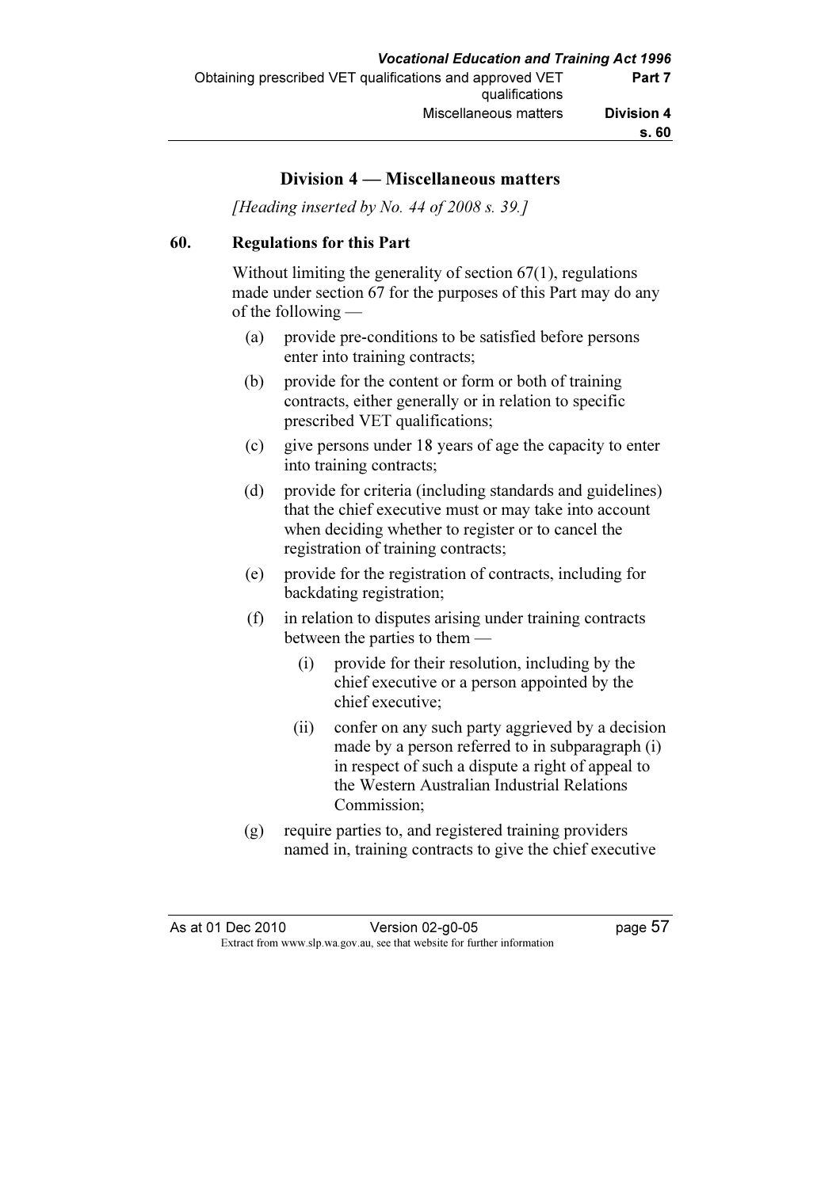## Division 4 — Miscellaneous matters

[Heading inserted by No. 44 of 2008 s. 39.]

### 60. Regulations for this Part

 Without limiting the generality of section 67(1), regulations made under section 67 for the purposes of this Part may do any of the following —

- (a) provide pre-conditions to be satisfied before persons enter into training contracts;
- (b) provide for the content or form or both of training contracts, either generally or in relation to specific prescribed VET qualifications;
- (c) give persons under 18 years of age the capacity to enter into training contracts;
- (d) provide for criteria (including standards and guidelines) that the chief executive must or may take into account when deciding whether to register or to cancel the registration of training contracts;
- (e) provide for the registration of contracts, including for backdating registration;
- (f) in relation to disputes arising under training contracts between the parties to them —
	- (i) provide for their resolution, including by the chief executive or a person appointed by the chief executive;
	- (ii) confer on any such party aggrieved by a decision made by a person referred to in subparagraph (i) in respect of such a dispute a right of appeal to the Western Australian Industrial Relations Commission;
- (g) require parties to, and registered training providers named in, training contracts to give the chief executive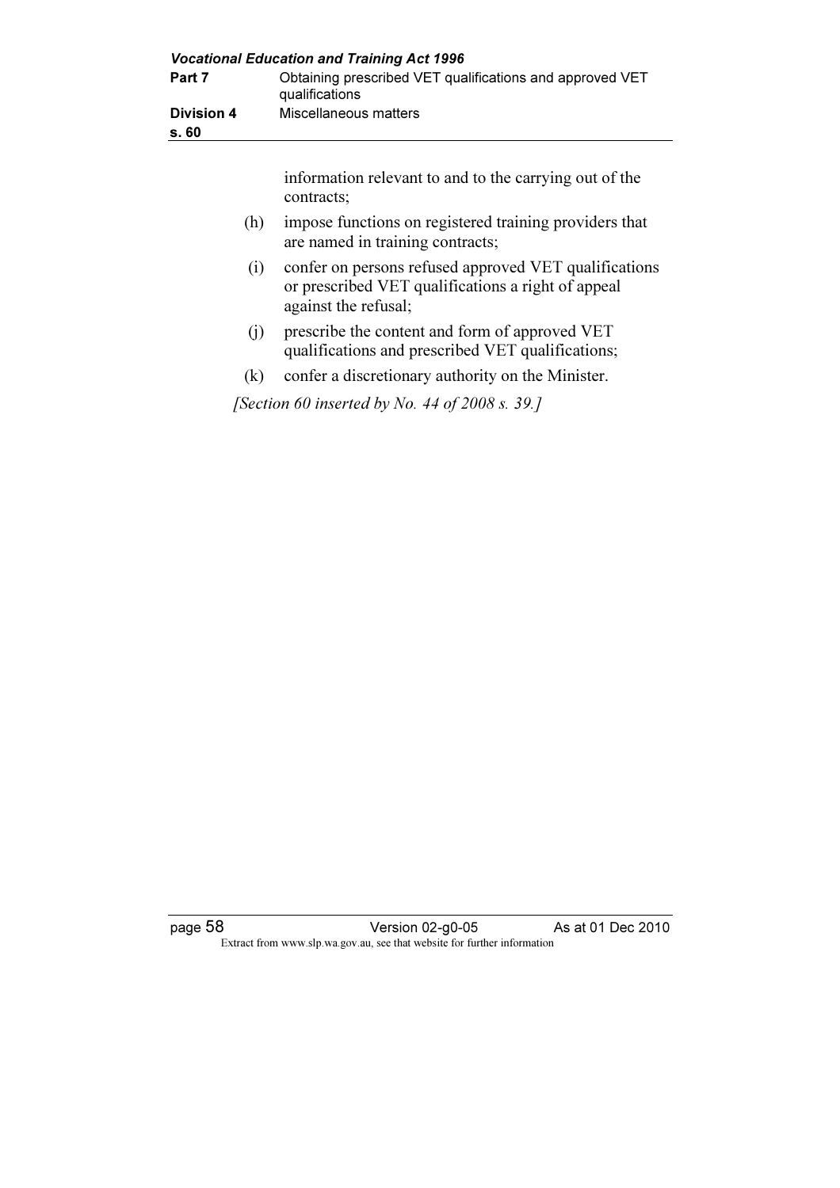| Part 7     | <b>Vocational Education and Training Act 1996</b><br>Obtaining prescribed VET qualifications and approved VET<br>qualifications     |
|------------|-------------------------------------------------------------------------------------------------------------------------------------|
| Division 4 | Miscellaneous matters                                                                                                               |
| s.60       |                                                                                                                                     |
|            | information relevant to and to the carrying out of the<br>contracts;                                                                |
| (h)        | impose functions on registered training providers that<br>are named in training contracts;                                          |
| (i)        | confer on persons refused approved VET qualifications<br>or prescribed VET qualifications a right of appeal<br>against the refusal; |
| (i)        | prescribe the content and form of approved VET<br>qualifications and prescribed VET qualifications;                                 |
| (k)        | confer a discretionary authority on the Minister.                                                                                   |

[Section 60 inserted by No. 44 of 2008 s. 39.]

page 58 Version 02-g0-05 As at 01 Dec 2010  $\mathbf{F}$  from which we be the website for further information for further information  $\mathbf{F}$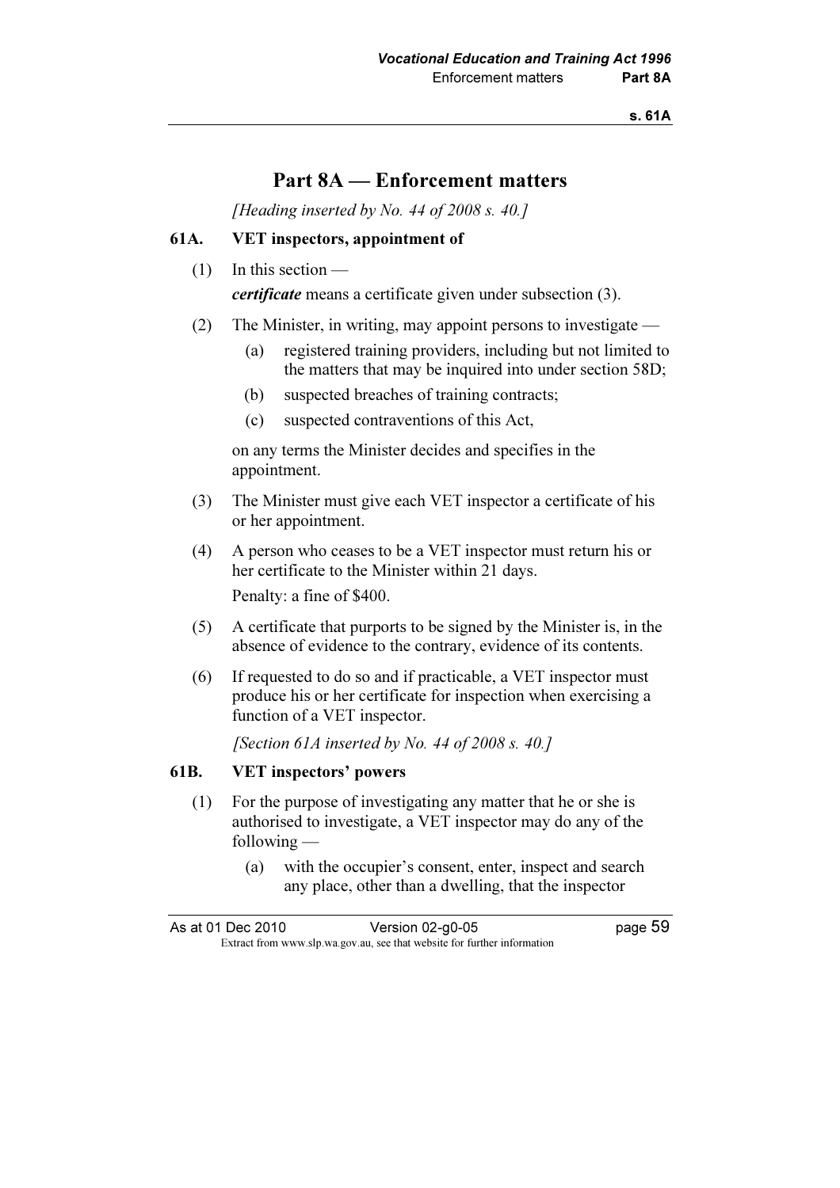# Part 8A — Enforcement matters

[Heading inserted by No. 44 of 2008 s.  $40.1$ ]

## 61A. VET inspectors, appointment of

(1) In this section —

certificate means a certificate given under subsection (3).

- (2) The Minister, in writing, may appoint persons to investigate
	- (a) registered training providers, including but not limited to the matters that may be inquired into under section 58D;
	- (b) suspected breaches of training contracts;
	- (c) suspected contraventions of this Act,

 on any terms the Minister decides and specifies in the appointment.

- (3) The Minister must give each VET inspector a certificate of his or her appointment.
- (4) A person who ceases to be a VET inspector must return his or her certificate to the Minister within 21 days. Penalty: a fine of \$400.
- (5) A certificate that purports to be signed by the Minister is, in the absence of evidence to the contrary, evidence of its contents.
- (6) If requested to do so and if practicable, a VET inspector must produce his or her certificate for inspection when exercising a function of a VET inspector.

[Section 61A inserted by No. 44 of 2008 s. 40.]

#### 61B. VET inspectors' powers

- (1) For the purpose of investigating any matter that he or she is authorised to investigate, a VET inspector may do any of the following —
	- (a) with the occupier's consent, enter, inspect and search any place, other than a dwelling, that the inspector

| As at 01 Dec 2010 | Version 02-g0-05                                                         | page 59 |
|-------------------|--------------------------------------------------------------------------|---------|
|                   | Extract from www.slp.wa.gov.au, see that website for further information |         |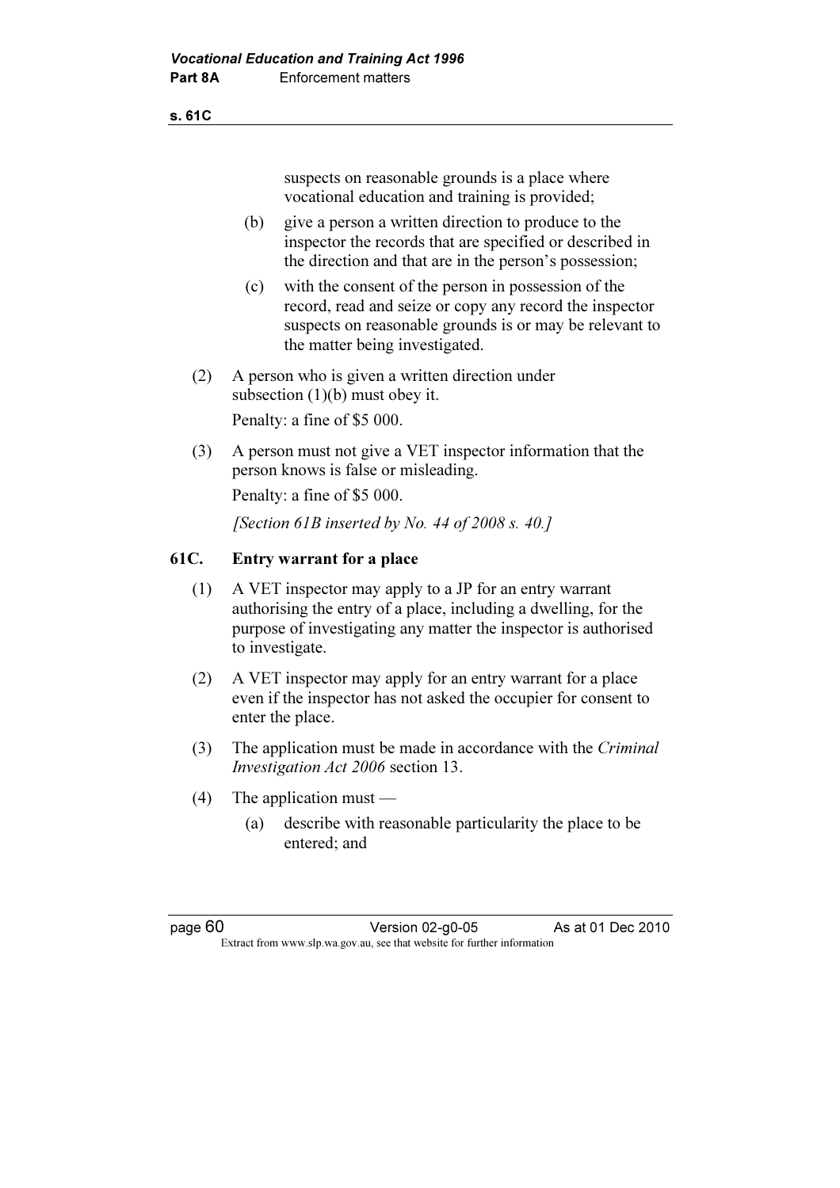#### s. 61C

suspects on reasonable grounds is a place where vocational education and training is provided;

- (b) give a person a written direction to produce to the inspector the records that are specified or described in the direction and that are in the person's possession;
- (c) with the consent of the person in possession of the record, read and seize or copy any record the inspector suspects on reasonable grounds is or may be relevant to the matter being investigated.
- (2) A person who is given a written direction under subsection (1)(b) must obey it. Penalty: a fine of \$5 000.
- (3) A person must not give a VET inspector information that the person knows is false or misleading.

Penalty: a fine of \$5 000.

[Section 61B inserted by No. 44 of 2008 s. 40.]

#### 61C. Entry warrant for a place

- (1) A VET inspector may apply to a JP for an entry warrant authorising the entry of a place, including a dwelling, for the purpose of investigating any matter the inspector is authorised to investigate.
- (2) A VET inspector may apply for an entry warrant for a place even if the inspector has not asked the occupier for consent to enter the place.
- (3) The application must be made in accordance with the Criminal Investigation Act 2006 section 13.
- (4) The application must
	- (a) describe with reasonable particularity the place to be entered; and

page 60 Version 02-g0-05 As at 01 Dec 2010<br>Extract from www.slp.wa.gov.au, see that website for further information  $\mathbf{F}$  from which we be the website for further information for further information  $\mathbf{F}$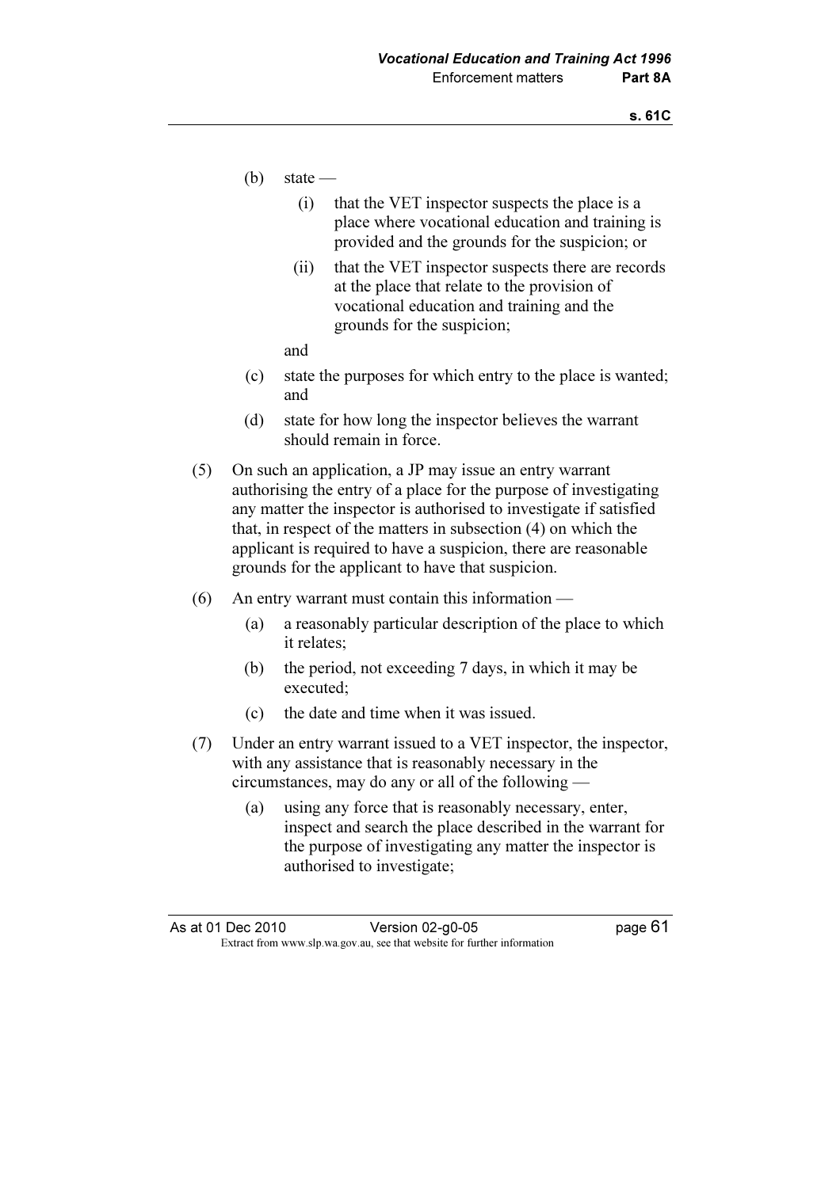- $(b)$  state
	- (i) that the VET inspector suspects the place is a place where vocational education and training is provided and the grounds for the suspicion; or
	- (ii) that the VET inspector suspects there are records at the place that relate to the provision of vocational education and training and the grounds for the suspicion;

and

- (c) state the purposes for which entry to the place is wanted; and
- (d) state for how long the inspector believes the warrant should remain in force.
- (5) On such an application, a JP may issue an entry warrant authorising the entry of a place for the purpose of investigating any matter the inspector is authorised to investigate if satisfied that, in respect of the matters in subsection (4) on which the applicant is required to have a suspicion, there are reasonable grounds for the applicant to have that suspicion.
- (6) An entry warrant must contain this information
	- (a) a reasonably particular description of the place to which it relates;
	- (b) the period, not exceeding 7 days, in which it may be executed;
	- (c) the date and time when it was issued.
- (7) Under an entry warrant issued to a VET inspector, the inspector, with any assistance that is reasonably necessary in the circumstances, may do any or all of the following —
	- (a) using any force that is reasonably necessary, enter, inspect and search the place described in the warrant for the purpose of investigating any matter the inspector is authorised to investigate;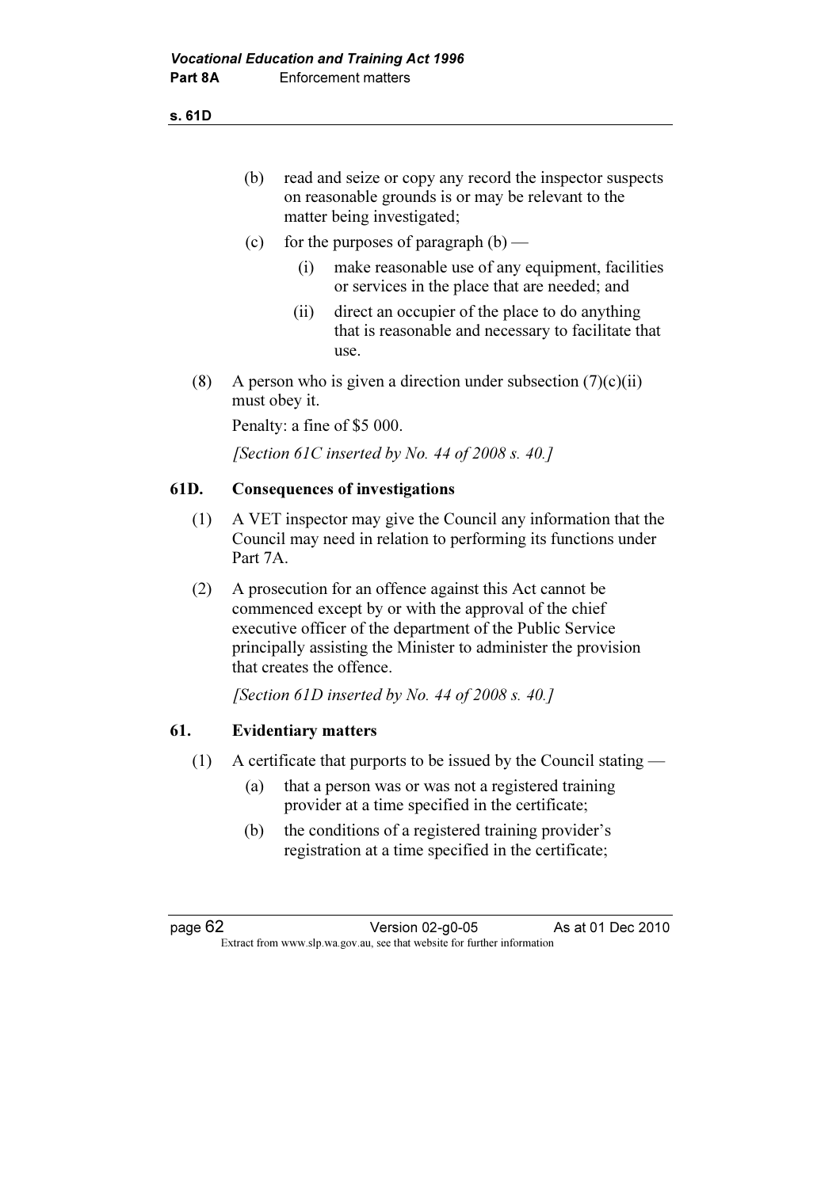- (b) read and seize or copy any record the inspector suspects on reasonable grounds is or may be relevant to the matter being investigated;
- (c) for the purposes of paragraph  $(b)$ 
	- (i) make reasonable use of any equipment, facilities or services in the place that are needed; and
	- (ii) direct an occupier of the place to do anything that is reasonable and necessary to facilitate that use.
- (8) A person who is given a direction under subsection  $(7)(c)(ii)$ must obey it.

Penalty: a fine of \$5 000.

[Section 61C inserted by No. 44 of 2008 s. 40.]

#### 61D. Consequences of investigations

- (1) A VET inspector may give the Council any information that the Council may need in relation to performing its functions under Part 7A.
- (2) A prosecution for an offence against this Act cannot be commenced except by or with the approval of the chief executive officer of the department of the Public Service principally assisting the Minister to administer the provision that creates the offence.

[Section 61D inserted by No. 44 of 2008 s. 40.]

#### 61. Evidentiary matters

- (1) A certificate that purports to be issued by the Council stating
	- (a) that a person was or was not a registered training provider at a time specified in the certificate;
	- (b) the conditions of a registered training provider's registration at a time specified in the certificate;

page 62 Version 02-g0-05 As at 01 Dec 2010<br>Extract from www.slp.wa.gov.au, see that website for further information  $\mathbf{F}$  from which we be the website for further information for further information  $\mathbf{F}$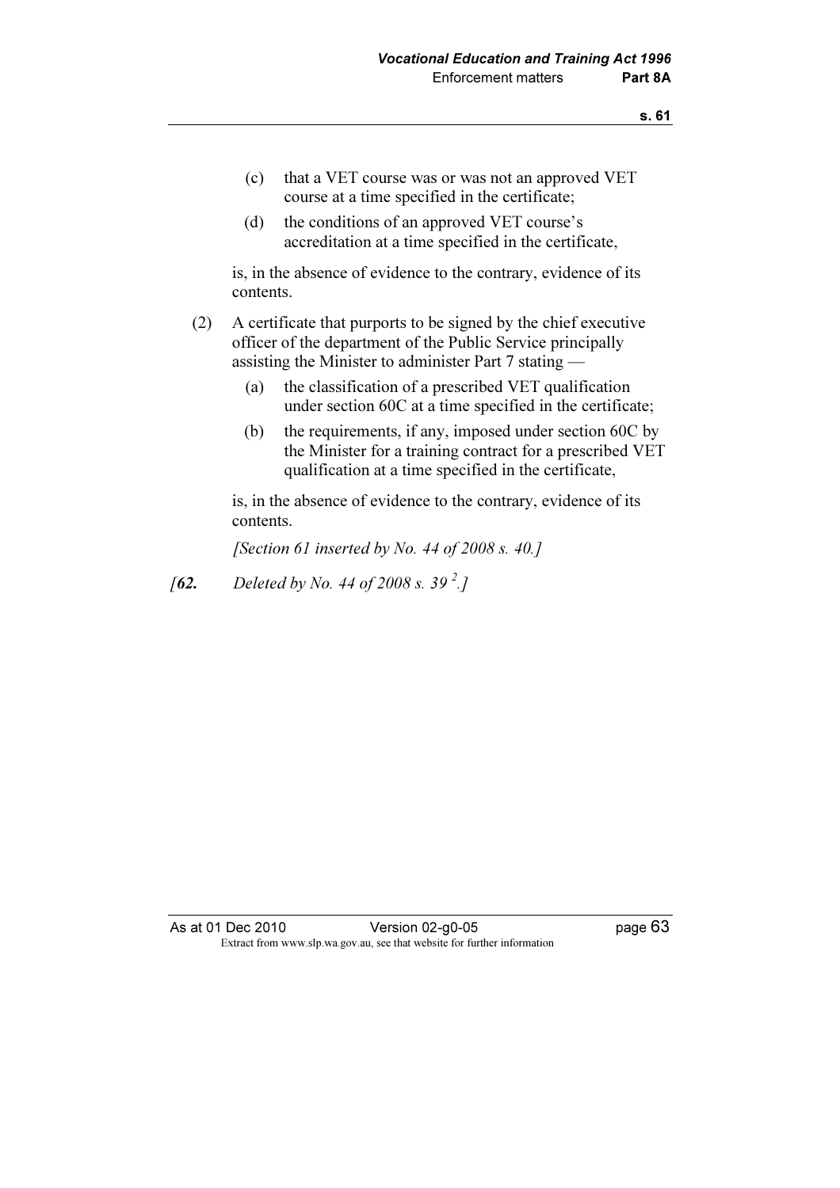- (c) that a VET course was or was not an approved VET course at a time specified in the certificate;
- (d) the conditions of an approved VET course's accreditation at a time specified in the certificate,

 is, in the absence of evidence to the contrary, evidence of its contents.

- (2) A certificate that purports to be signed by the chief executive officer of the department of the Public Service principally assisting the Minister to administer Part 7 stating —
	- (a) the classification of a prescribed VET qualification under section 60C at a time specified in the certificate;
	- (b) the requirements, if any, imposed under section 60C by the Minister for a training contract for a prescribed VET qualification at a time specified in the certificate,

 is, in the absence of evidence to the contrary, evidence of its contents.

[Section 61 inserted by No. 44 of 2008 s. 40.]

[62. Deleted by No. 44 of 2008 s. 39<sup>2</sup>.]

As at 01 Dec 2010 Version 02-g0-05 Page 63 Extract from www.slp.wa.gov.au, see that website for further information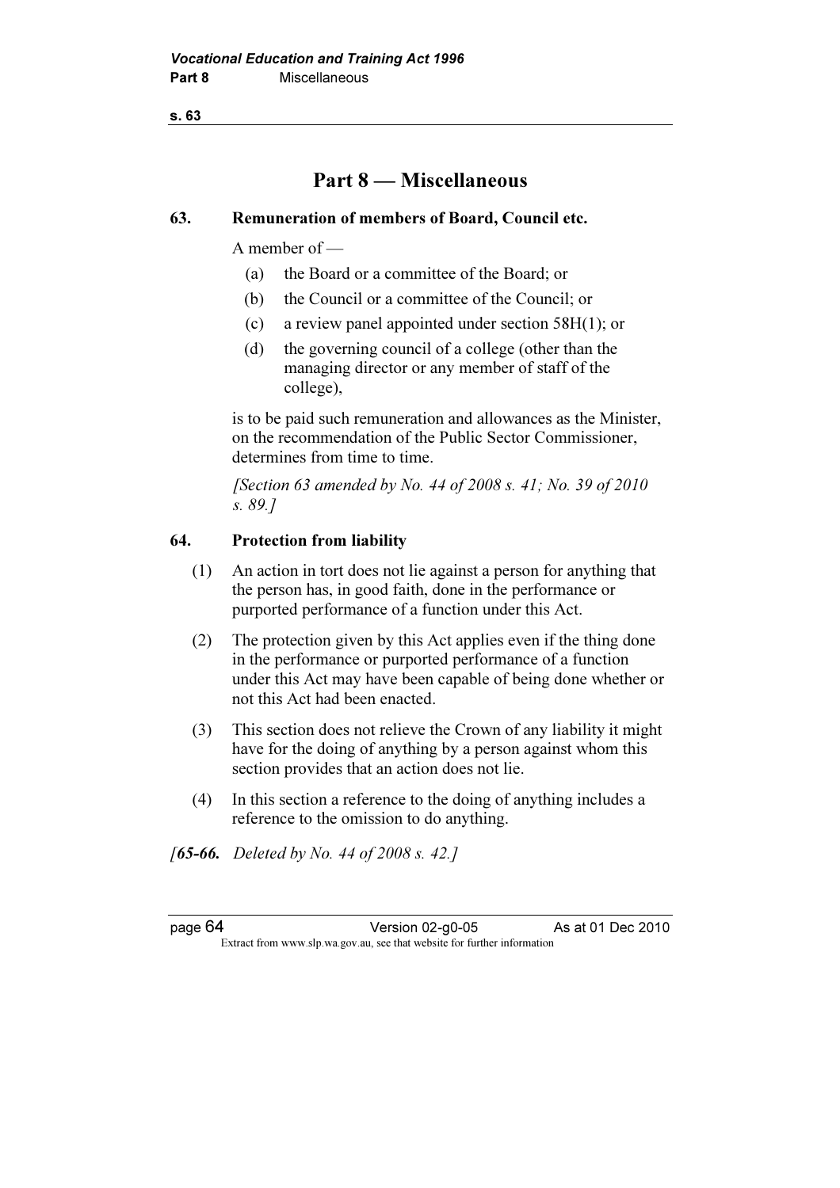s. 63

# Part 8 — Miscellaneous

## 63. Remuneration of members of Board, Council etc.

A member of —

- (a) the Board or a committee of the Board; or
- (b) the Council or a committee of the Council; or
- (c) a review panel appointed under section 58H(1); or
- (d) the governing council of a college (other than the managing director or any member of staff of the college),

 is to be paid such remuneration and allowances as the Minister, on the recommendation of the Public Sector Commissioner, determines from time to time.

[Section 63 amended by No. 44 of 2008 s. 41; No. 39 of 2010] s. 89.]

### 64. Protection from liability

- (1) An action in tort does not lie against a person for anything that the person has, in good faith, done in the performance or purported performance of a function under this Act.
- (2) The protection given by this Act applies even if the thing done in the performance or purported performance of a function under this Act may have been capable of being done whether or not this Act had been enacted.
- (3) This section does not relieve the Crown of any liability it might have for the doing of anything by a person against whom this section provides that an action does not lie.
- (4) In this section a reference to the doing of anything includes a reference to the omission to do anything.

[65-66. Deleted by No. 44 of 2008 s. 42.]

page 64 Version 02-g0-05 As at 01 Dec 2010<br>Extract from www.slp.wa.gov.au, see that website for further information  $\mathbf{F}$  from which we be the website for further information for further information  $\mathbf{F}$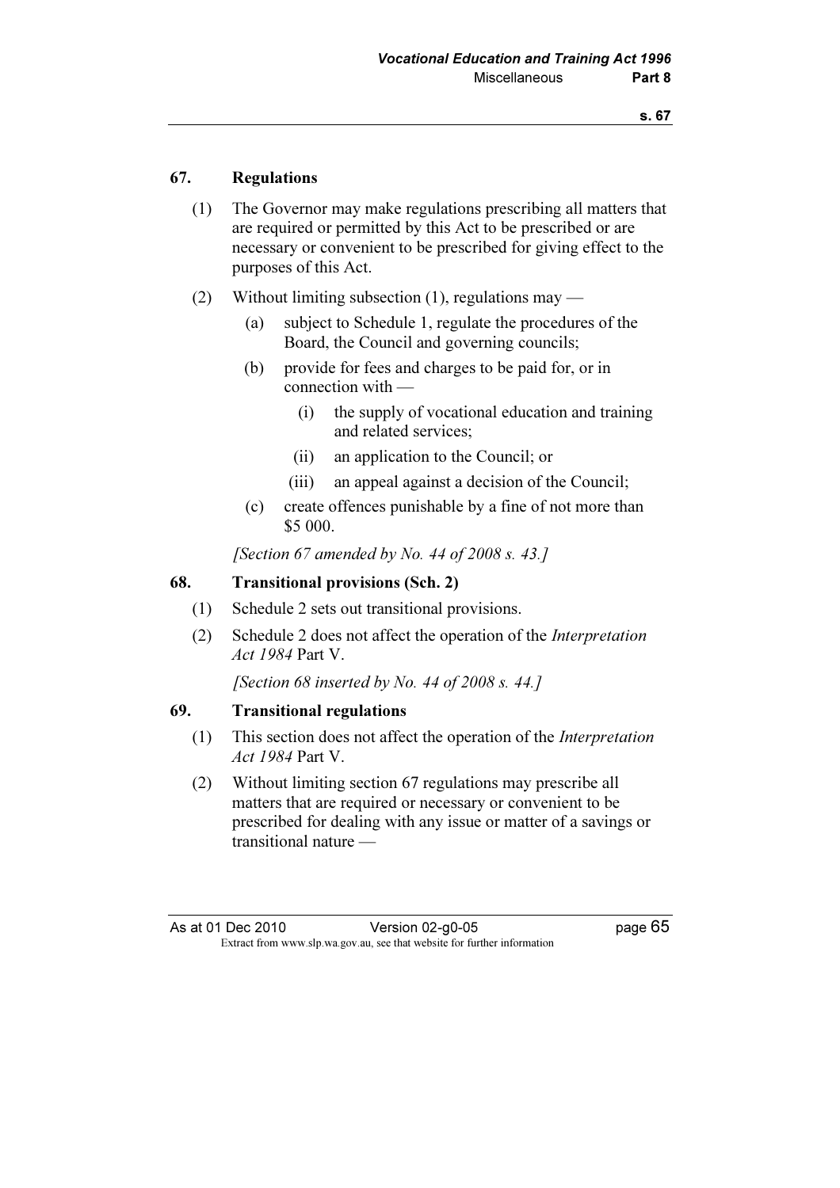## 67. Regulations

- (1) The Governor may make regulations prescribing all matters that are required or permitted by this Act to be prescribed or are necessary or convenient to be prescribed for giving effect to the purposes of this Act.
- (2) Without limiting subsection (1), regulations may
	- (a) subject to Schedule 1, regulate the procedures of the Board, the Council and governing councils;
	- (b) provide for fees and charges to be paid for, or in connection with —
		- (i) the supply of vocational education and training and related services;
		- (ii) an application to the Council; or
		- (iii) an appeal against a decision of the Council;
	- (c) create offences punishable by a fine of not more than \$5 000.

[Section 67 amended by No. 44 of 2008 s. 43.]

## 68. Transitional provisions (Sch. 2)

- (1) Schedule 2 sets out transitional provisions.
- (2) Schedule 2 does not affect the operation of the Interpretation Act 1984 Part V.

[Section 68 inserted by No. 44 of 2008 s. 44.]

### 69. Transitional regulations

- (1) This section does not affect the operation of the Interpretation Act 1984 Part V.
- (2) Without limiting section 67 regulations may prescribe all matters that are required or necessary or convenient to be prescribed for dealing with any issue or matter of a savings or transitional nature —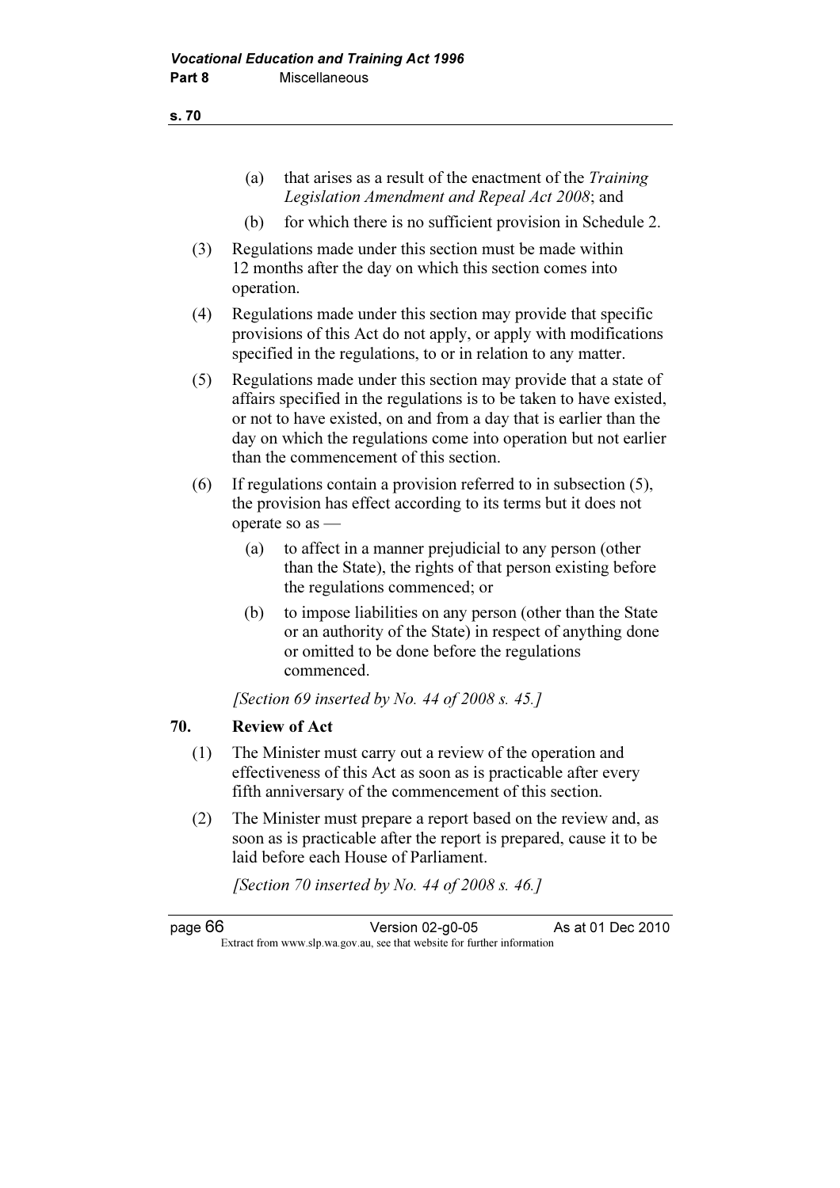(a) that arises as a result of the enactment of the Training Legislation Amendment and Repeal Act 2008; and

- (b) for which there is no sufficient provision in Schedule 2.
- (3) Regulations made under this section must be made within 12 months after the day on which this section comes into operation.
- (4) Regulations made under this section may provide that specific provisions of this Act do not apply, or apply with modifications specified in the regulations, to or in relation to any matter.
- (5) Regulations made under this section may provide that a state of affairs specified in the regulations is to be taken to have existed, or not to have existed, on and from a day that is earlier than the day on which the regulations come into operation but not earlier than the commencement of this section.
- (6) If regulations contain a provision referred to in subsection (5), the provision has effect according to its terms but it does not operate so as —
	- (a) to affect in a manner prejudicial to any person (other than the State), the rights of that person existing before the regulations commenced; or
	- (b) to impose liabilities on any person (other than the State or an authority of the State) in respect of anything done or omitted to be done before the regulations commenced.

[Section 69 inserted by No. 44 of 2008 s. 45.]

## 70. Review of Act

- (1) The Minister must carry out a review of the operation and effectiveness of this Act as soon as is practicable after every fifth anniversary of the commencement of this section.
- (2) The Minister must prepare a report based on the review and, as soon as is practicable after the report is prepared, cause it to be laid before each House of Parliament.

[Section 70 inserted by No. 44 of 2008 s. 46.]

page 66 Version 02-g0-05 As at 01 Dec 2010  $\mathbf{F}$  from which we be the website for further information for further information  $\mathbf{F}$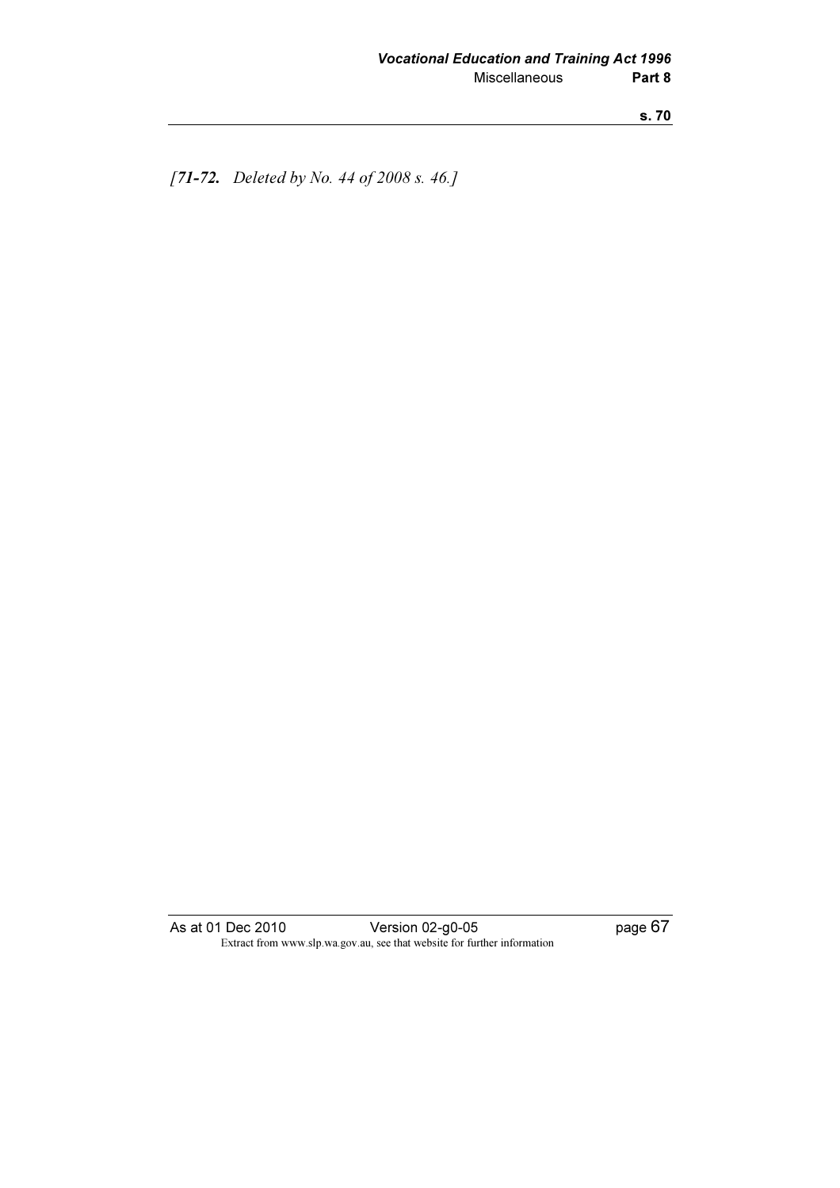s. 70

[71-72. Deleted by No. 44 of 2008 s. 46.]

As at 01 Dec 2010 Version 02-g0-05 page 67 Extract from www.slp.wa.gov.au, see that website for further information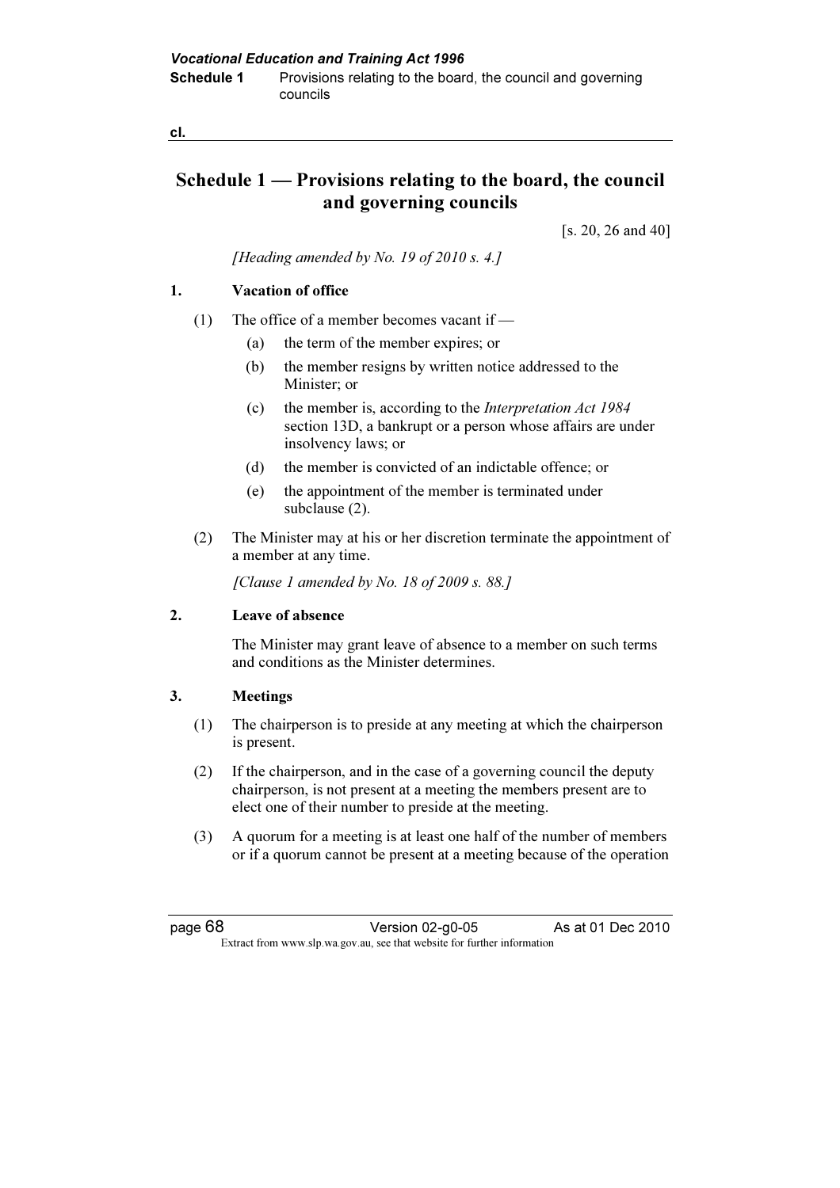cl.

# Schedule 1 — Provisions relating to the board, the council and governing councils

[s. 20, 26 and 40]

[Heading amended by No. 19 of 2010 s. 4.]

### 1. Vacation of office

- (1) The office of a member becomes vacant if
	- (a) the term of the member expires; or
	- (b) the member resigns by written notice addressed to the Minister; or
	- (c) the member is, according to the Interpretation Act 1984 section 13D, a bankrupt or a person whose affairs are under insolvency laws; or
	- (d) the member is convicted of an indictable offence; or
	- (e) the appointment of the member is terminated under subclause (2).
- (2) The Minister may at his or her discretion terminate the appointment of a member at any time.

[Clause 1 amended by No. 18 of 2009 s. 88.]

### 2. Leave of absence

 The Minister may grant leave of absence to a member on such terms and conditions as the Minister determines.

### 3. Meetings

- (1) The chairperson is to preside at any meeting at which the chairperson is present.
- (2) If the chairperson, and in the case of a governing council the deputy chairperson, is not present at a meeting the members present are to elect one of their number to preside at the meeting.
- (3) A quorum for a meeting is at least one half of the number of members or if a quorum cannot be present at a meeting because of the operation

page 68 Version 02-g0-05 As at 01 Dec 2010  $\mathbf{F}$  from which we be the website for further information for further information  $\mathbf{F}$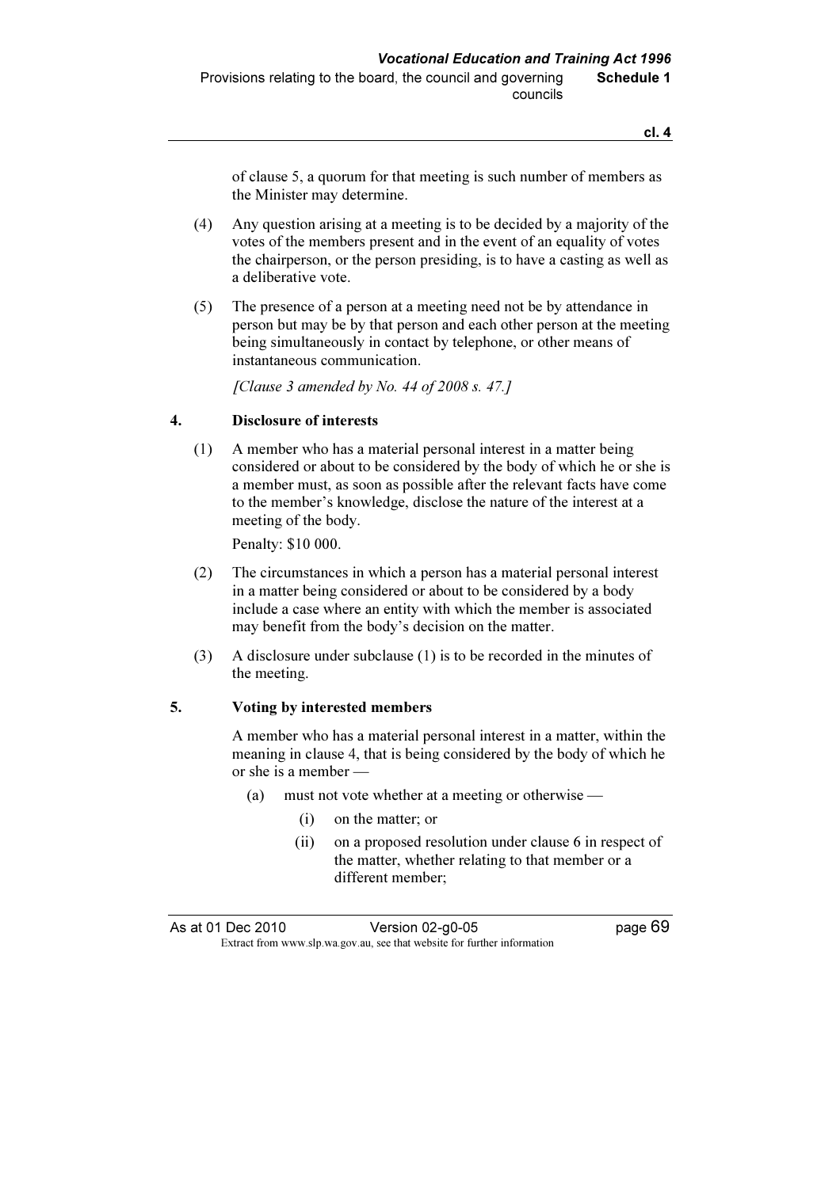of clause 5, a quorum for that meeting is such number of members as the Minister may determine.

- (4) Any question arising at a meeting is to be decided by a majority of the votes of the members present and in the event of an equality of votes the chairperson, or the person presiding, is to have a casting as well as a deliberative vote.
- (5) The presence of a person at a meeting need not be by attendance in person but may be by that person and each other person at the meeting being simultaneously in contact by telephone, or other means of instantaneous communication.

[Clause 3 amended by No. 44 of 2008 s. 47.]

#### 4. Disclosure of interests

 (1) A member who has a material personal interest in a matter being considered or about to be considered by the body of which he or she is a member must, as soon as possible after the relevant facts have come to the member's knowledge, disclose the nature of the interest at a meeting of the body.

Penalty: \$10 000.

- (2) The circumstances in which a person has a material personal interest in a matter being considered or about to be considered by a body include a case where an entity with which the member is associated may benefit from the body's decision on the matter.
- (3) A disclosure under subclause (1) is to be recorded in the minutes of the meeting.

### 5. Voting by interested members

 A member who has a material personal interest in a matter, within the meaning in clause 4, that is being considered by the body of which he or she is a member —

- (a) must not vote whether at a meeting or otherwise
	- (i) on the matter; or
	- (ii) on a proposed resolution under clause 6 in respect of the matter, whether relating to that member or a different member;

cl. 4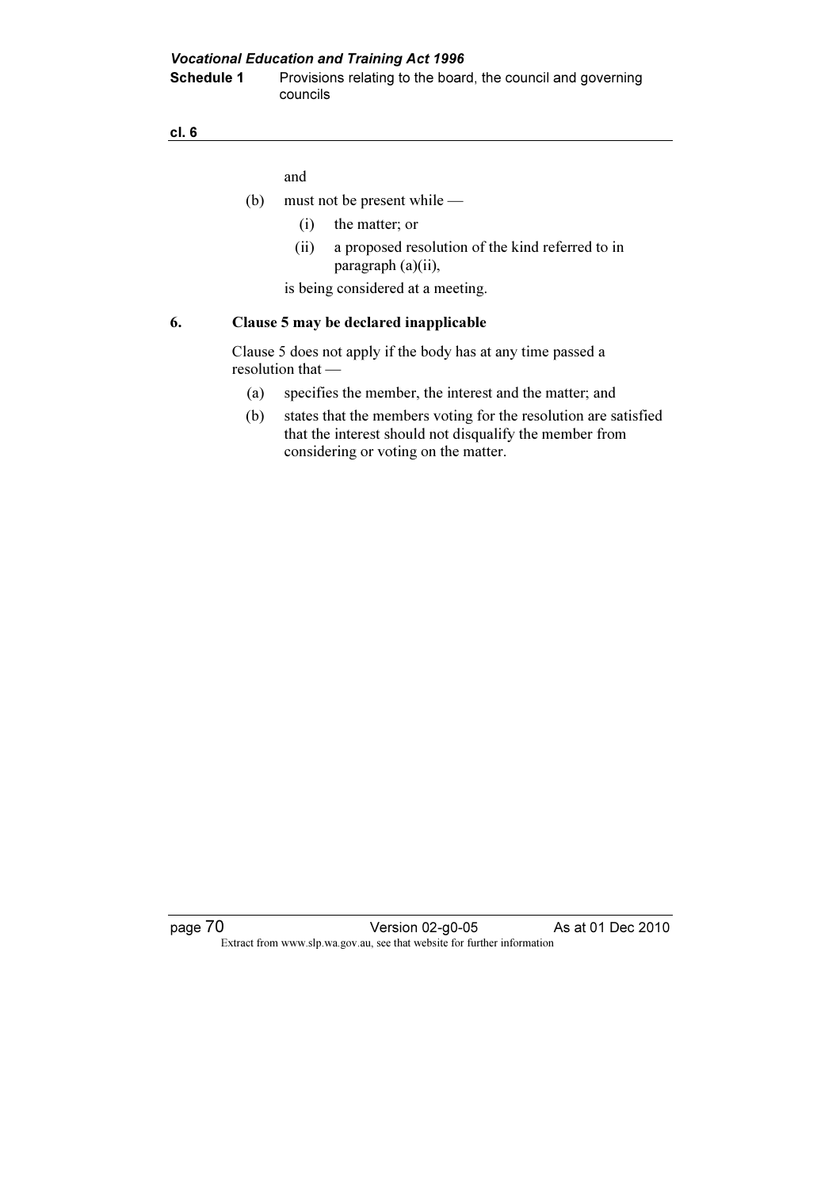cl. 6

and

- (b) must not be present while
	- (i) the matter; or
	- (ii) a proposed resolution of the kind referred to in paragraph (a)(ii),
	- is being considered at a meeting.

### 6. Clause 5 may be declared inapplicable

 Clause 5 does not apply if the body has at any time passed a resolution that —

- (a) specifies the member, the interest and the matter; and
- (b) states that the members voting for the resolution are satisfied that the interest should not disqualify the member from considering or voting on the matter.

page 70 **Version 02-g0-05** As at 01 Dec 2010 Extract from www.slp.wa.gov.au, see that website for further information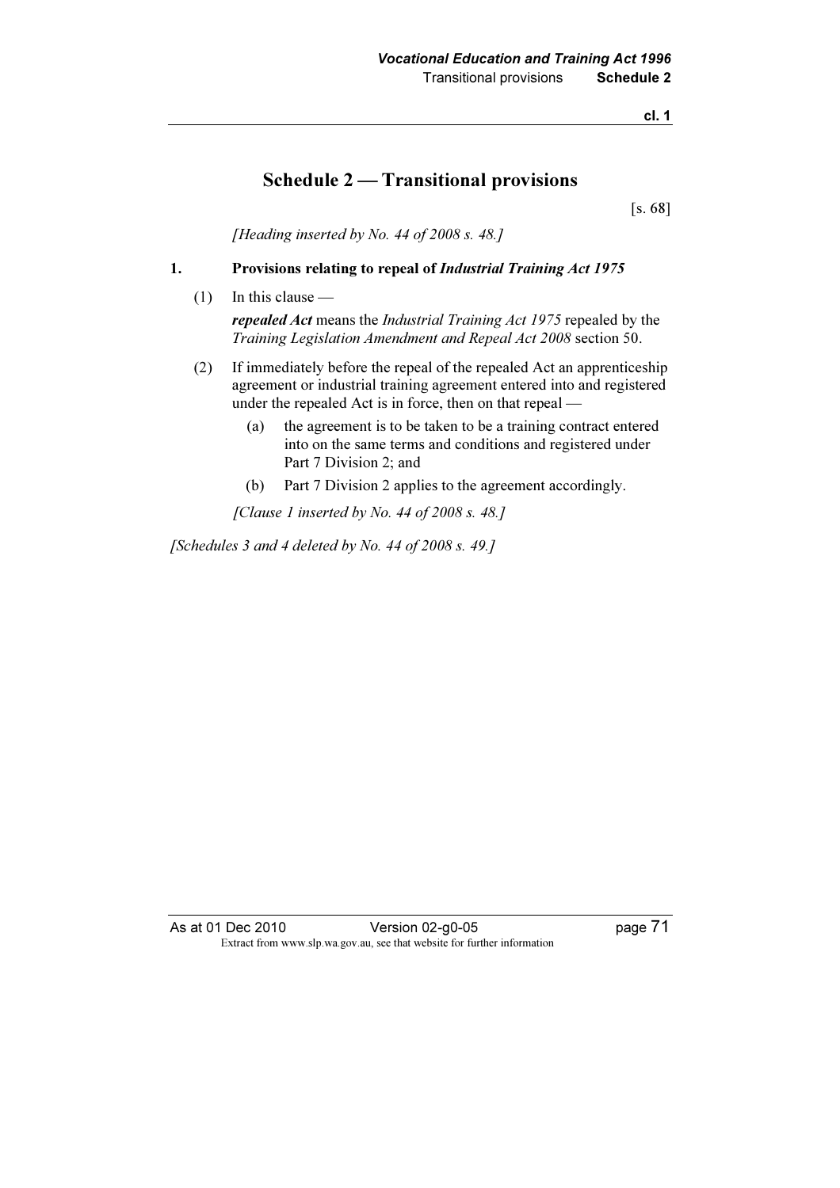# Schedule 2 — Transitional provisions

[s. 68]

[Heading inserted by No. 44 of 2008 s. 48.]

### 1. Provisions relating to repeal of Industrial Training Act 1975

(1) In this clause —

repealed Act means the Industrial Training Act 1975 repealed by the Training Legislation Amendment and Repeal Act 2008 section 50.

- (2) If immediately before the repeal of the repealed Act an apprenticeship agreement or industrial training agreement entered into and registered under the repealed Act is in force, then on that repeal —
	- (a) the agreement is to be taken to be a training contract entered into on the same terms and conditions and registered under Part 7 Division 2; and
	- (b) Part 7 Division 2 applies to the agreement accordingly.

[Clause 1 inserted by No. 44 of 2008 s. 48.]

[Schedules 3 and 4 deleted by No. 44 of 2008 s. 49.]

As at 01 Dec 2010 Version 02-g0-05 Page 71 Extract from www.slp.wa.gov.au, see that website for further information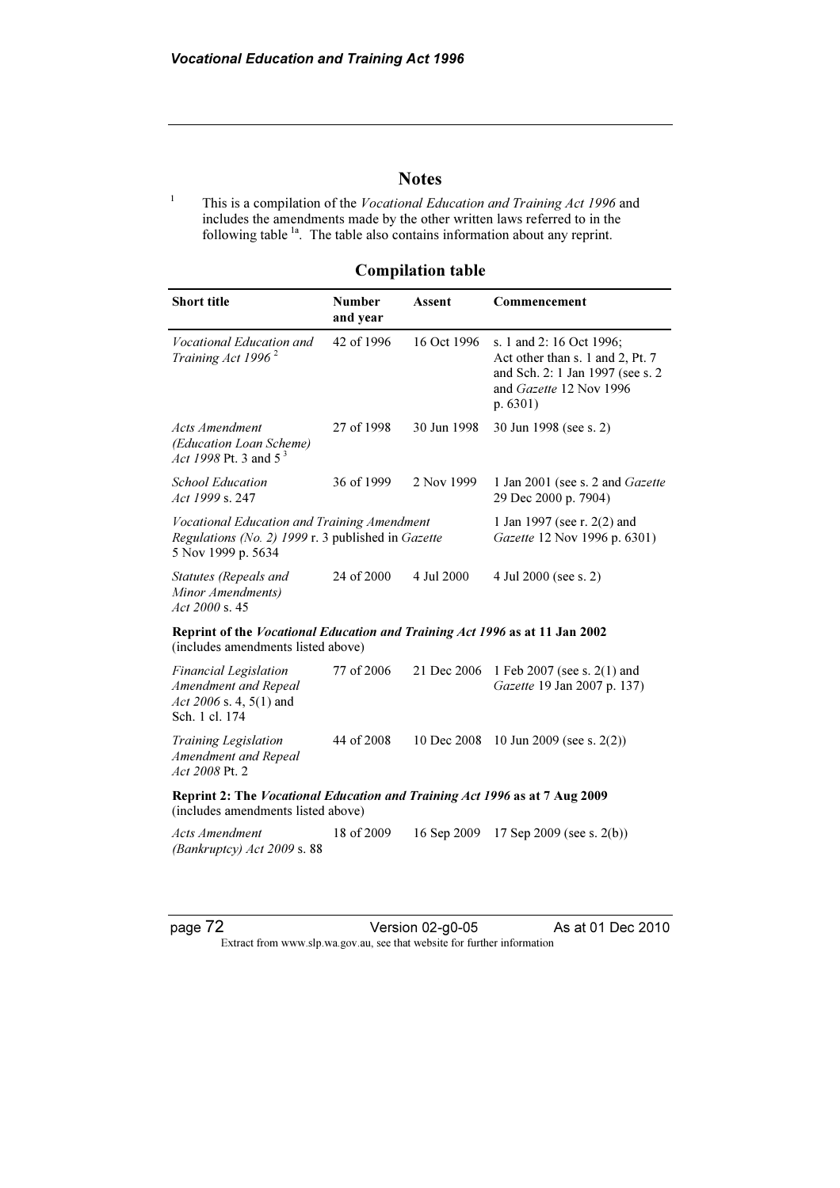### **Notes**

1 This is a compilation of the Vocational Education and Training Act 1996 and includes the amendments made by the other written laws referred to in the following table <sup>1a</sup>. The table also contains information about any reprint.

## Compilation table

| <b>Short title</b>                                                                                                      | <b>Number</b><br>and year | <b>Assent</b> | Commencement                                                                                                                            |
|-------------------------------------------------------------------------------------------------------------------------|---------------------------|---------------|-----------------------------------------------------------------------------------------------------------------------------------------|
| Vocational Education and<br>Training Act 1996 <sup>2</sup>                                                              | 42 of 1996                | 16 Oct 1996   | s. 1 and 2: 16 Oct 1996;<br>Act other than s. 1 and 2, Pt. 7<br>and Sch. 2: 1 Jan 1997 (see s. 2<br>and Gazette 12 Nov 1996<br>p. 6301) |
| <b>Acts Amendment</b><br>(Education Loan Scheme)<br>Act 1998 Pt. 3 and $5^3$                                            | 27 of 1998                | 30 Jun 1998   | 30 Jun 1998 (see s. 2)                                                                                                                  |
| <b>School Education</b><br>Act 1999 s. 247                                                                              | 36 of 1999                | 2 Nov 1999    | 1 Jan 2001 (see s. 2 and Gazette<br>29 Dec 2000 p. 7904)                                                                                |
| Vocational Education and Training Amendment<br>Regulations (No. 2) 1999 r. 3 published in Gazette<br>5 Nov 1999 p. 5634 |                           |               | 1 Jan 1997 (see r. 2(2) and<br>Gazette 12 Nov 1996 p. 6301)                                                                             |
| Statutes (Repeals and<br>Minor Amendments)<br>Act 2000 s. 45                                                            | 24 of 2000                | 4 Jul 2000    | 4 Jul 2000 (see s. 2)                                                                                                                   |
| Reprint of the Vocational Education and Training Act 1996 as at 11 Jan 2002<br>(includes amendments listed above)       |                           |               |                                                                                                                                         |
| <b>Financial Legislation</b><br>Amendment and Repeal<br>Act 2006 s. 4, 5(1) and<br>Sch. 1 cl. 174                       | 77 of 2006                | 21 Dec 2006   | 1 Feb 2007 (see s. 2(1) and<br>Gazette 19 Jan 2007 p. 137)                                                                              |
| Training Legislation<br>Amendment and Repeal<br>Act 2008 Pt. 2                                                          | 44 of 2008                | 10 Dec 2008   | 10 Jun 2009 (see s. $2(2)$ )                                                                                                            |
| Reprint 2: The Vocational Education and Training Act 1996 as at 7 Aug 2009<br>(includes amendments listed above)        |                           |               |                                                                                                                                         |
| <b>Acts Amendment</b><br>(Bankruptcy) Act 2009 s. 88                                                                    | 18 of 2009                | 16 Sep 2009   | 17 Sep 2009 (see s. $2(b)$ )                                                                                                            |

page 72 Version 02-g0-05 As at 01 Dec 2010

Extract from www.slp.wa.gov.au, see that website for further information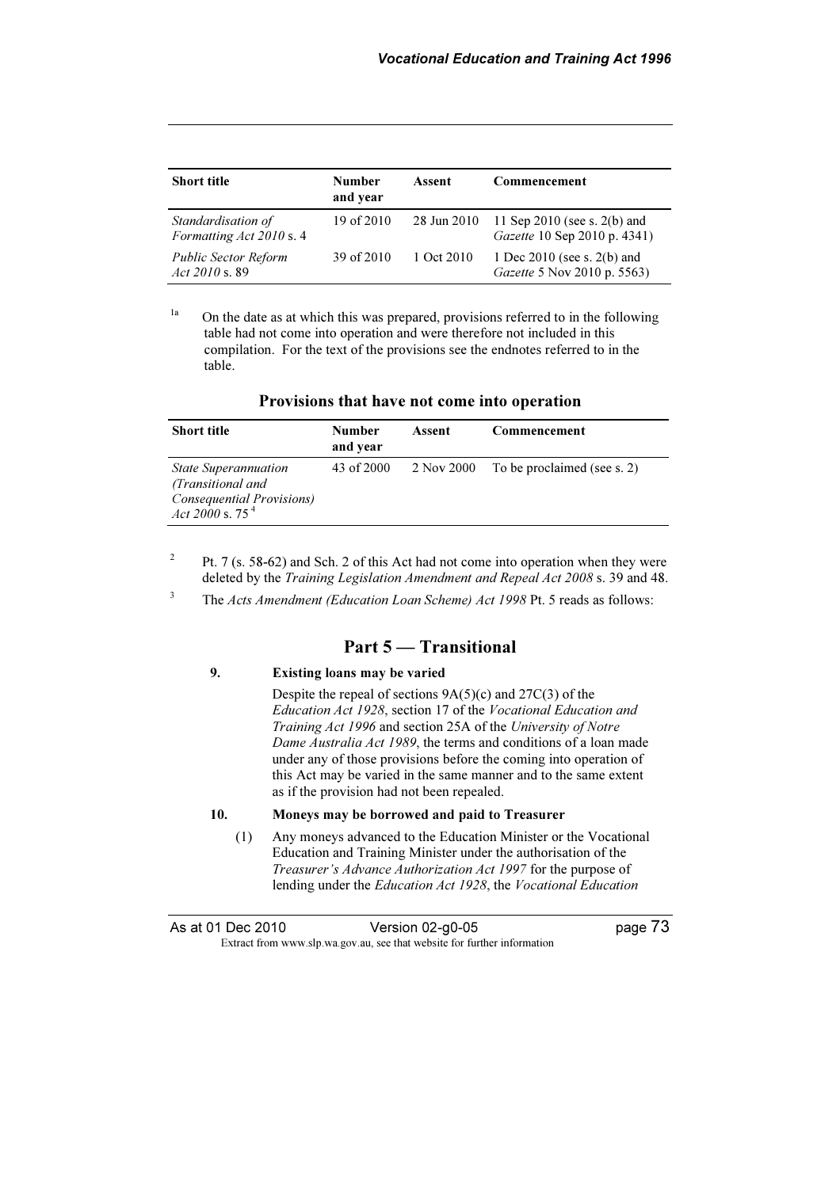| <b>Short title</b>                             | <b>Number</b><br>and year | Assent      | Commencement                                                       |
|------------------------------------------------|---------------------------|-------------|--------------------------------------------------------------------|
| Standardisation of<br>Formatting Act 2010 s. 4 | 19 of 2010                | 28 Jun 2010 | 11 Sep $2010$ (see s. $2(b)$ ) and<br>Gazette 10 Sep 2010 p. 4341) |
| <b>Public Sector Reform</b><br>Act 2010 s. 89  | 39 of 2010                | 1 Oct 2010  | 1 Dec 2010 (see s. $2(b)$ and<br>Gazette 5 Nov 2010 p. 5563)       |

 $1a$  On the date as at which this was prepared, provisions referred to in the following table had not come into operation and were therefore not included in this compilation. For the text of the provisions see the endnotes referred to in the table.

| <b>Short title</b>                               | <b>Number</b><br>and vear | Assent     | Commencement                |
|--------------------------------------------------|---------------------------|------------|-----------------------------|
| <b>State Superannuation</b><br>(Transitional and | 43 of 2000                | 2 Nov 2000 | To be proclaimed (see s. 2) |

#### Provisions that have not come into operation

| Pt. 7 (s. 58-62) and Sch. 2 of this Act had not come into operation when they were |
|------------------------------------------------------------------------------------|
| deleted by the Training Legislation Amendment and Repeal Act 2008 s. 39 and 48.    |

3 The Acts Amendment (Education Loan Scheme) Act 1998 Pt. 5 reads as follows:

## Part 5 — Transitional

### 9. Existing loans may be varied

Consequential Provisions)

Act 2000 s. 75<sup>4</sup>

 Despite the repeal of sections 9A(5)(c) and 27C(3) of the Education Act 1928, section 17 of the Vocational Education and Training Act 1996 and section 25A of the University of Notre Dame Australia Act 1989, the terms and conditions of a loan made under any of those provisions before the coming into operation of this Act may be varied in the same manner and to the same extent as if the provision had not been repealed.

#### 10. Moneys may be borrowed and paid to Treasurer

 (1) Any moneys advanced to the Education Minister or the Vocational Education and Training Minister under the authorisation of the Treasurer's Advance Authorization Act 1997 for the purpose of lending under the Education Act 1928, the Vocational Education

As at 01 Dec 2010 Version 02-g0-05 Page 73 Extract from www.slp.wa.gov.au, see that website for further information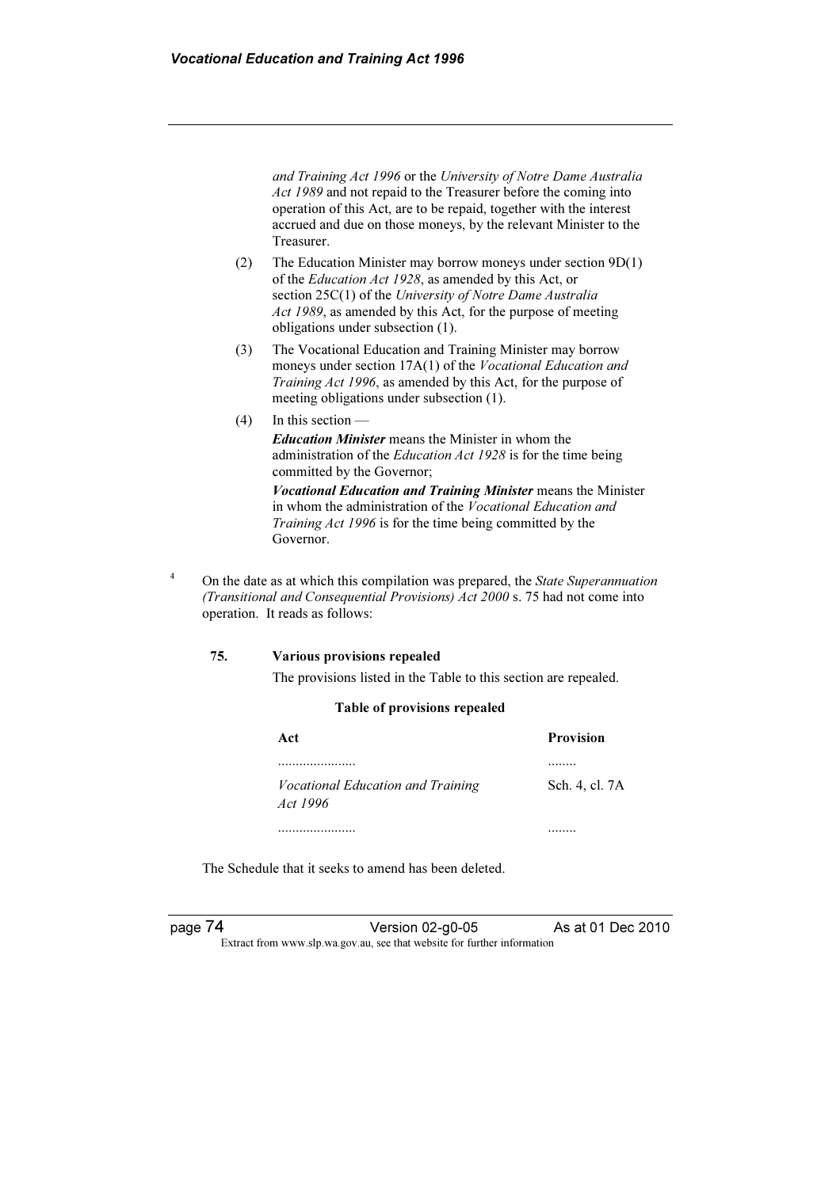and Training Act 1996 or the University of Notre Dame Australia Act 1989 and not repaid to the Treasurer before the coming into operation of this Act, are to be repaid, together with the interest accrued and due on those moneys, by the relevant Minister to the Treasurer.

- (2) The Education Minister may borrow moneys under section 9D(1) of the Education Act 1928, as amended by this Act, or section 25C(1) of the University of Notre Dame Australia Act 1989, as amended by this Act, for the purpose of meeting obligations under subsection (1).
- (3) The Vocational Education and Training Minister may borrow moneys under section 17A(1) of the *Vocational Education and* Training Act 1996, as amended by this Act, for the purpose of meeting obligations under subsection (1).
- $(4)$  In this section Education Minister means the Minister in whom the administration of the Education Act 1928 is for the time being committed by the Governor;

Vocational Education and Training Minister means the Minister in whom the administration of the Vocational Education and Training Act 1996 is for the time being committed by the Governor.

4 On the date as at which this compilation was prepared, the State Superannuation (Transitional and Consequential Provisions) Act 2000 s. 75 had not come into operation. It reads as follows:

#### 75. Various provisions repealed

The provisions listed in the Table to this section are repealed.

#### Table of provisions repealed

| Act                                           | <b>Provision</b> |
|-----------------------------------------------|------------------|
|                                               |                  |
| Vocational Education and Training<br>Act 1996 | Sch. 4, cl. 7A   |
|                                               |                  |

The Schedule that it seeks to amend has been deleted.

page 74 Version 02-g0-05 As at 01 Dec 2010 Extract from www.slp.wa.gov.au, see that website for further information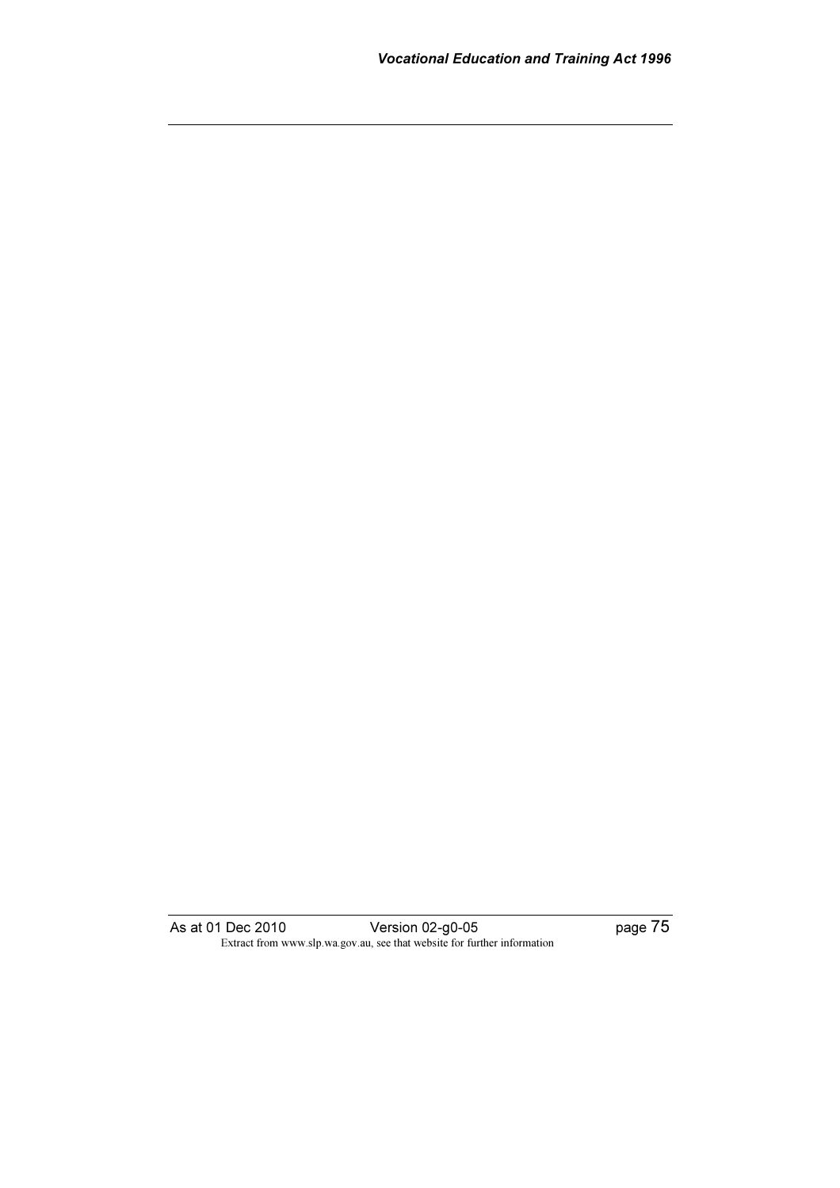As at 01 Dec 2010 Version 02-g0-05 Page 75  $\mathbf{F}$  from which we be the website for further information for further information  $\mathbf{F}$